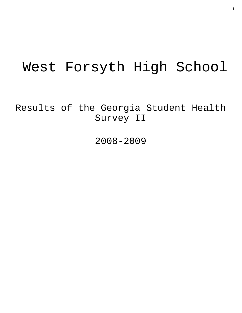# West Forsyth High School

Results of the Georgia Student Health Survey II

2008-2009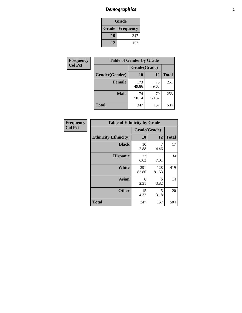# *Demographics* **2**

| Grade                    |     |  |  |  |
|--------------------------|-----|--|--|--|
| <b>Grade   Frequency</b> |     |  |  |  |
| 10                       | 347 |  |  |  |
| 12                       | 157 |  |  |  |

| <b>Frequency</b> | <b>Table of Gender by Grade</b> |              |             |              |  |  |
|------------------|---------------------------------|--------------|-------------|--------------|--|--|
| <b>Col Pct</b>   |                                 | Grade(Grade) |             |              |  |  |
|                  | Gender(Gender)                  | 10           | 12          | <b>Total</b> |  |  |
|                  | <b>Female</b>                   | 173<br>49.86 | 78<br>49.68 | 251          |  |  |
|                  | <b>Male</b>                     | 174<br>50.14 | 79<br>50.32 | 253          |  |  |
|                  | <b>Total</b>                    | 347          | 157         | 504          |  |  |

| <b>Frequency</b> |
|------------------|
| <b>Col Pct</b>   |

| <b>Table of Ethnicity by Grade</b> |              |              |              |  |  |  |
|------------------------------------|--------------|--------------|--------------|--|--|--|
|                                    | Grade(Grade) |              |              |  |  |  |
| <b>Ethnicity</b> (Ethnicity)       | 10           | 12           | <b>Total</b> |  |  |  |
| <b>Black</b>                       | 10<br>2.88   | 7<br>4.46    | 17           |  |  |  |
| <b>Hispanic</b>                    | 23<br>6.63   | 11<br>7.01   | 34           |  |  |  |
| White                              | 291<br>83.86 | 128<br>81.53 | 419          |  |  |  |
| <b>Asian</b>                       | 8<br>2.31    | 6<br>3.82    | 14           |  |  |  |
| <b>Other</b>                       | 15<br>4.32   | 5<br>3.18    | 20           |  |  |  |
| <b>Total</b>                       | 347          | 157          | 504          |  |  |  |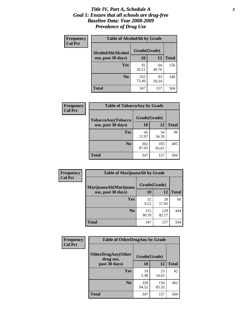### *Title IV, Part A, Schedule A* **3** *Goal 1: Ensure that all schools are drug-free Baseline Data: Year 2008-2009 Prevalence of Drug Use*

| Frequency<br><b>Col Pct</b> | <b>Table of AlcoholAlt by Grade</b> |              |             |              |  |  |
|-----------------------------|-------------------------------------|--------------|-------------|--------------|--|--|
|                             | AlcoholAlt(Alcohol                  | Grade(Grade) |             |              |  |  |
|                             | use, past 30 days)                  | <b>10</b>    | 12          | <b>Total</b> |  |  |
|                             | Yes                                 | 92<br>26.51  | 64<br>40.76 | 156          |  |  |
|                             | N <sub>0</sub>                      | 255<br>73.49 | 93<br>59.24 | 348          |  |  |
|                             | Total                               | 347          | 157         | 504          |  |  |

| Frequency      | <b>Table of TobaccoAny by Grade</b> |              |              |              |  |
|----------------|-------------------------------------|--------------|--------------|--------------|--|
| <b>Col Pct</b> | TobaccoAny(Tobacco                  | Grade(Grade) |              |              |  |
|                | use, past 30 days)                  | 10           | 12           | <b>Total</b> |  |
|                | <b>Yes</b>                          | 45<br>12.97  | 54<br>34.39  | 99           |  |
|                | N <sub>0</sub>                      | 302<br>87.03 | 103<br>65.61 | 405          |  |
|                | Total                               | 347          | 157          | 504          |  |

| Frequency<br><b>Col Pct</b> | <b>Table of MarijuanaAlt by Grade</b> |              |              |              |  |
|-----------------------------|---------------------------------------|--------------|--------------|--------------|--|
|                             | MarijuanaAlt(Marijuana                | Grade(Grade) |              |              |  |
|                             | use, past 30 days)                    | 10           | 12           | <b>Total</b> |  |
|                             | Yes                                   | 32<br>9.22   | 28<br>17.83  | 60           |  |
|                             | N <sub>0</sub>                        | 315<br>90.78 | 129<br>82.17 | 444          |  |
|                             | <b>Total</b>                          | 347          | 157          | 504          |  |

| <b>Frequency</b> | <b>Table of OtherDrugAny by Grade</b>  |              |              |              |  |
|------------------|----------------------------------------|--------------|--------------|--------------|--|
| <b>Col Pct</b>   | <b>OtherDrugAny(Other</b><br>drug use, | Grade(Grade) |              |              |  |
|                  | past 30 days)                          | 10           | 12           | <b>Total</b> |  |
|                  | Yes                                    | 19<br>5.48   | 23<br>14.65  | 42           |  |
|                  | N <sub>0</sub>                         | 328<br>94.52 | 134<br>85.35 | 462          |  |
|                  | <b>Total</b>                           | 347          | 157          | 504          |  |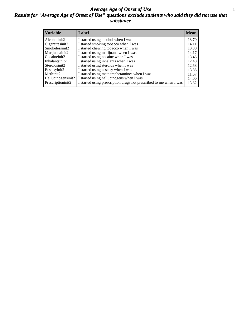### *Average Age of Onset of Use* **4** *Results for "Average Age of Onset of Use" questions exclude students who said they did not use that substance*

| <b>Variable</b>    | Label                                                              | <b>Mean</b> |
|--------------------|--------------------------------------------------------------------|-------------|
| Alcoholinit2       | I started using alcohol when I was                                 | 13.70       |
| Cigarettesinit2    | I started smoking tobacco when I was                               | 14.11       |
| Smokelessinit2     | I started chewing tobacco when I was                               | 13.30       |
| Marijuanainit2     | I started using marijuana when I was                               | 14.17       |
| Cocaineinit2       | I started using cocaine when I was                                 | 13.45       |
| Inhalantsinit2     | I started using inhalants when I was                               | 12.48       |
| Steroidsinit2      | I started using steroids when I was                                | 12.58       |
| Ecstasyinit2       | I started using ecstasy when I was                                 | 13.85       |
| Methinit2          | I started using methamphetamines when I was                        | 11.67       |
| Hallucinogensinit2 | I started using hallucinogens when I was                           | 14.00       |
| Prescriptioninit2  | I started using prescription drugs not prescribed to me when I was | 13.62       |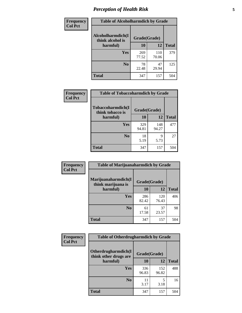# *Perception of Health Risk* **5**

| Frequency      | <b>Table of Alcoholharmdich by Grade</b> |              |              |              |  |
|----------------|------------------------------------------|--------------|--------------|--------------|--|
| <b>Col Pct</b> | Alcoholharmdich(I<br>think alcohol is    | Grade(Grade) |              |              |  |
|                | harmful)                                 | 10           | 12           | <b>Total</b> |  |
|                | <b>Yes</b>                               | 269<br>77.52 | 110<br>70.06 | 379          |  |
|                | N <sub>0</sub>                           | 78<br>22.48  | 47<br>29.94  | 125          |  |
|                | <b>Total</b>                             | 347          | 157          | 504          |  |

| Frequency      | <b>Table of Tobaccoharmdich by Grade</b> |              |              |              |  |
|----------------|------------------------------------------|--------------|--------------|--------------|--|
| <b>Col Pct</b> | Tobaccoharmdich(I<br>think tobacco is    | Grade(Grade) |              |              |  |
|                | harmful)                                 | 10           | 12           | <b>Total</b> |  |
|                | <b>Yes</b>                               | 329<br>94.81 | 148<br>94.27 | 477          |  |
|                | N <sub>0</sub>                           | 18<br>5.19   | 9<br>5.73    | 27           |  |
|                | <b>Total</b>                             | 347          | 157          | 504          |  |

| Frequency      | <b>Table of Marijuanaharmdich by Grade</b>                |              |              |              |  |  |
|----------------|-----------------------------------------------------------|--------------|--------------|--------------|--|--|
| <b>Col Pct</b> | Marijuanaharmdich(I<br>Grade(Grade)<br>think marijuana is |              |              |              |  |  |
|                | harmful)                                                  | 10           | 12           | <b>Total</b> |  |  |
|                | Yes                                                       | 286<br>82.42 | 120<br>76.43 | 406          |  |  |
|                | N <sub>0</sub>                                            | 61<br>17.58  | 37<br>23.57  | 98           |  |  |
|                | <b>Total</b>                                              | 347          | 157          | 504          |  |  |

| Frequency      | <b>Table of Otherdrugharmdich by Grade</b>   |              |              |              |  |  |  |
|----------------|----------------------------------------------|--------------|--------------|--------------|--|--|--|
| <b>Col Pct</b> | Otherdrugharmdich(I<br>think other drugs are | Grade(Grade) |              |              |  |  |  |
|                | harmful)                                     | 10           | <b>12</b>    | <b>Total</b> |  |  |  |
|                | <b>Yes</b>                                   | 336<br>96.83 | 152<br>96.82 | 488          |  |  |  |
|                | N <sub>0</sub>                               | 11<br>3.17   | 5<br>3.18    | 16           |  |  |  |
|                | <b>Total</b>                                 | 347          | 157          | 504          |  |  |  |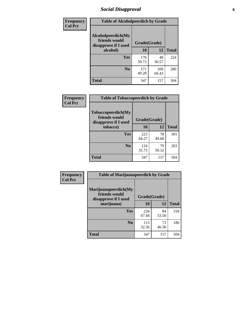# *Social Disapproval* **6**

| Frequency      | <b>Table of Alcoholpeerdich by Grade</b>                                                                |              |              |              |
|----------------|---------------------------------------------------------------------------------------------------------|--------------|--------------|--------------|
| <b>Col Pct</b> | Alcoholpeerdich(My<br>friends would<br>disapprove if I used<br>alcohol)<br><b>Yes</b><br>N <sub>0</sub> | Grade(Grade) |              |              |
|                |                                                                                                         | 10           | 12           | <b>Total</b> |
|                |                                                                                                         | 176<br>50.72 | 48<br>30.57  | 224          |
|                |                                                                                                         | 171<br>49.28 | 109<br>69.43 | 280          |
|                | Total                                                                                                   | 347          | 157          | 504          |

| <b>Frequency</b> |
|------------------|
| <b>Col Pct</b>   |

| <b>Table of Tobaccopeerdich by Grade</b>                    |              |             |              |  |  |  |
|-------------------------------------------------------------|--------------|-------------|--------------|--|--|--|
| Tobaccopeerdich(My<br>friends would<br>disapprove if I used | Grade(Grade) |             |              |  |  |  |
| tobacco)                                                    | 10           | 12          | <b>Total</b> |  |  |  |
| Yes                                                         | 223<br>64.27 | 78<br>49.68 | 301          |  |  |  |
| N <sub>0</sub>                                              | 124<br>35.73 | 79<br>50.32 | 203          |  |  |  |
| <b>Total</b>                                                | 347          | 157         | 504          |  |  |  |

| <b>Frequency</b> | <b>Table of Marijuanapeerdich by Grade</b>                    |              |             |              |  |  |  |
|------------------|---------------------------------------------------------------|--------------|-------------|--------------|--|--|--|
| <b>Col Pct</b>   | Marijuanapeerdich(My<br>friends would<br>disapprove if I used | Grade(Grade) |             |              |  |  |  |
|                  | marijuana)                                                    | 10           | 12          | <b>Total</b> |  |  |  |
|                  | <b>Yes</b>                                                    | 234<br>67.44 | 84<br>53.50 | 318          |  |  |  |
|                  | N <sub>0</sub>                                                | 113<br>32.56 | 73<br>46.50 | 186          |  |  |  |
|                  | <b>Total</b>                                                  | 347          | 157         | 504          |  |  |  |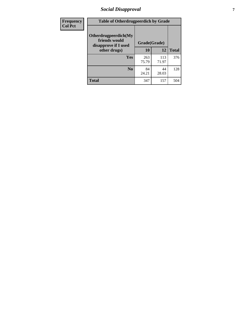# *Social Disapproval* **7**

| Frequency      | <b>Table of Otherdrugpeerdich by Grade</b>                    |              |              |              |  |  |  |
|----------------|---------------------------------------------------------------|--------------|--------------|--------------|--|--|--|
| <b>Col Pct</b> | Otherdrugpeerdich(My<br>friends would<br>disapprove if I used | Grade(Grade) |              |              |  |  |  |
|                | other drugs)                                                  | 10           | 12           | <b>Total</b> |  |  |  |
|                | Yes                                                           | 263<br>75.79 | 113<br>71.97 | 376          |  |  |  |
|                | N <sub>0</sub>                                                | 84<br>24.21  | 44<br>28.03  | 128          |  |  |  |
|                | <b>Total</b>                                                  | 347          | 157          | 504          |  |  |  |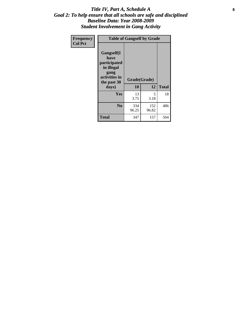### Title IV, Part A, Schedule A **8** *Goal 2: To help ensure that all schools are safe and disciplined Baseline Data: Year 2008-2009 Student Involvement in Gang Activity*

| Frequency      |                                                                                                   | <b>Table of Gangself by Grade</b> |              |              |  |
|----------------|---------------------------------------------------------------------------------------------------|-----------------------------------|--------------|--------------|--|
| <b>Col Pct</b> | Gangself(I<br>have<br>participated<br>in illegal<br>gang<br>activities in<br>the past 30<br>days) | Grade(Grade)<br>10                | 12           | <b>Total</b> |  |
|                | Yes                                                                                               | 13<br>3.75                        | 5<br>3.18    | 18           |  |
|                | N <sub>0</sub>                                                                                    | 334<br>96.25                      | 152<br>96.82 | 486          |  |
|                | <b>Total</b>                                                                                      | 347                               | 157          | 504          |  |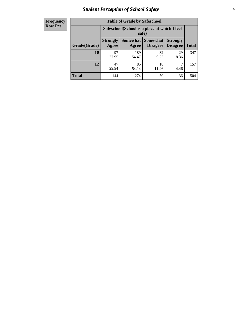# *Student Perception of School Safety* **9**

| <b>Frequency</b><br>Row Pct |
|-----------------------------|
|                             |

| <b>Table of Grade by Safeschool</b> |                          |                                                        |                               |                                    |              |  |  |
|-------------------------------------|--------------------------|--------------------------------------------------------|-------------------------------|------------------------------------|--------------|--|--|
|                                     |                          | Safeschool (School is a place at which I feel<br>safe) |                               |                                    |              |  |  |
| Grade(Grade)                        | <b>Strongly</b><br>Agree | Agree                                                  | Somewhat Somewhat<br>Disagree | <b>Strongly</b><br><b>Disagree</b> | <b>Total</b> |  |  |
| 10                                  | 97<br>27.95              | 189<br>54.47                                           | 32<br>9.22                    | 29<br>8.36                         | 347          |  |  |
| 12                                  | 47<br>29.94              | 85<br>54.14                                            | 18<br>11.46                   | 4.46                               | 157          |  |  |
| <b>Total</b>                        | 144                      | 274                                                    | 50                            | 36                                 | 504          |  |  |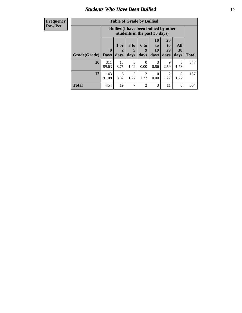### *Students Who Have Been Bullied* **10**

### **Frequency Row Pct**

| <b>Table of Grade by Bullied</b> |                             |                                                                               |                              |                        |                        |                        |                        |              |
|----------------------------------|-----------------------------|-------------------------------------------------------------------------------|------------------------------|------------------------|------------------------|------------------------|------------------------|--------------|
|                                  |                             | <b>Bullied</b> (I have been bullied by other<br>students in the past 30 days) |                              |                        |                        |                        |                        |              |
| Grade(Grade)                     | $\mathbf{0}$<br><b>Days</b> | 1 or<br>2<br>days                                                             | 3 <sub>to</sub><br>5<br>days | 6 to<br>9<br>days      | 10<br>to<br>19<br>days | 20<br>to<br>29<br>days | All<br>30<br>days      | <b>Total</b> |
| 10                               | 311<br>89.63                | 13<br>3.75                                                                    | 5<br>1.44                    | $\Omega$<br>0.00       | 3<br>0.86              | 9<br>2.59              | 6<br>1.73              | 347          |
| 12                               | 143<br>91.08                | 6<br>3.82                                                                     | $\overline{2}$<br>1.27       | $\overline{2}$<br>1.27 | 0<br>0.00              | 2<br>1.27              | $\overline{c}$<br>1.27 | 157          |
| <b>Total</b>                     | 454                         | 19                                                                            | 7                            | $\overline{2}$         | 3                      | 11                     | 8                      | 504          |

 $\blacksquare$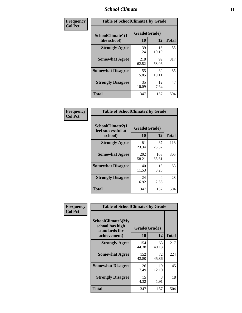### *School Climate* **11**

| Frequency      | <b>Table of SchoolClimate1 by Grade</b> |                    |             |              |  |
|----------------|-----------------------------------------|--------------------|-------------|--------------|--|
| <b>Col Pct</b> | SchoolClimate1(I<br>like school)        | Grade(Grade)<br>10 | 12          | <b>Total</b> |  |
|                | <b>Strongly Agree</b>                   | 39<br>11.24        | 16<br>10.19 | 55           |  |
|                | <b>Somewhat Agree</b>                   | 218<br>62.82       | 99<br>63.06 | 317          |  |
|                | <b>Somewhat Disagree</b>                | 55<br>15.85        | 30<br>19.11 | 85           |  |
|                | <b>Strongly Disagree</b>                | 35<br>10.09        | 12<br>7.64  | 47           |  |
|                | <b>Total</b>                            | 347                | 157         | 504          |  |

| Frequency<br>Col Pct |  |
|----------------------|--|
|                      |  |

| <b>Table of SchoolClimate2 by Grade</b>           |                    |              |              |  |  |
|---------------------------------------------------|--------------------|--------------|--------------|--|--|
| SchoolClimate2(I<br>feel successful at<br>school) | Grade(Grade)<br>10 | 12           | <b>Total</b> |  |  |
| <b>Strongly Agree</b>                             | 81<br>23.34        | 37<br>23.57  | 118          |  |  |
| <b>Somewhat Agree</b>                             | 202<br>58.21       | 103<br>65.61 | 305          |  |  |
| <b>Somewhat Disagree</b>                          | 40<br>11.53        | 13<br>8.28   | 53           |  |  |
| <b>Strongly Disagree</b>                          | 24<br>6.92         | 4<br>2.55    | 28           |  |  |
| <b>Total</b>                                      | 347                | 157          | 504          |  |  |

| Frequency      | <b>Table of SchoolClimate3 by Grade</b>                      |              |             |              |
|----------------|--------------------------------------------------------------|--------------|-------------|--------------|
| <b>Col Pct</b> | <b>SchoolClimate3(My</b><br>school has high<br>standards for | Grade(Grade) |             |              |
|                | achievement)                                                 | 10           | 12          | <b>Total</b> |
|                | <b>Strongly Agree</b>                                        | 154<br>44.38 | 63<br>40.13 | 217          |
|                | <b>Somewhat Agree</b>                                        | 152<br>43.80 | 72<br>45.86 | 224          |
|                | <b>Somewhat Disagree</b>                                     | 26<br>7.49   | 19<br>12.10 | 45           |
|                | <b>Strongly Disagree</b>                                     | 15<br>4.32   | 3<br>1.91   | 18           |
|                | Total                                                        | 347          | 157         | 504          |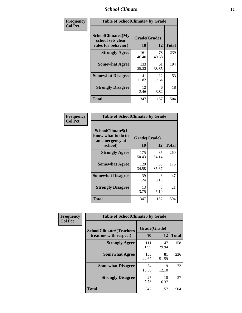### *School Climate* **12**

| Frequency      |                                                                      | <b>Table of SchoolClimate4 by Grade</b> |             |              |  |
|----------------|----------------------------------------------------------------------|-----------------------------------------|-------------|--------------|--|
| <b>Col Pct</b> | <b>SchoolClimate4(My</b><br>school sets clear<br>rules for behavior) | Grade(Grade)<br>10                      | 12          | <b>Total</b> |  |
|                | <b>Strongly Agree</b>                                                | 161<br>46.40                            | 78<br>49.68 | 239          |  |
|                | <b>Somewhat Agree</b>                                                | 133<br>38.33                            | 61<br>38.85 | 194          |  |
|                | <b>Somewhat Disagree</b>                                             | 41<br>11.82                             | 12<br>7.64  | 53           |  |
|                | <b>Strongly Disagree</b>                                             | 12<br>3.46                              | 6<br>3.82   | 18           |  |
|                | <b>Total</b>                                                         | 347                                     | 157         | 504          |  |

| <b>Table of SchoolClimate5 by Grade</b>                   |              |             |              |  |  |
|-----------------------------------------------------------|--------------|-------------|--------------|--|--|
| SchoolClimate5(I<br>know what to do in<br>an emergency at | Grade(Grade) |             |              |  |  |
| school)                                                   | 10           | 12          | <b>Total</b> |  |  |
| <b>Strongly Agree</b>                                     | 175<br>50.43 | 85<br>54.14 | 260          |  |  |
| <b>Somewhat Agree</b>                                     | 120<br>34.58 | 56<br>35.67 | 176          |  |  |
| <b>Somewhat Disagree</b>                                  | 39<br>11.24  | 8<br>5.10   | 47           |  |  |
| <b>Strongly Disagree</b>                                  | 13<br>3.75   | 8<br>5.10   | 21           |  |  |
| <b>Total</b>                                              | 347          | 157         | 504          |  |  |

| Frequency      | <b>Table of SchoolClimate6 by Grade</b>                  |                           |             |              |  |
|----------------|----------------------------------------------------------|---------------------------|-------------|--------------|--|
| <b>Col Pct</b> | <b>SchoolClimate6(Teachers</b><br>treat me with respect) | Grade(Grade)<br><b>10</b> | 12          | <b>Total</b> |  |
|                | <b>Strongly Agree</b>                                    | 111<br>31.99              | 47<br>29.94 | 158          |  |
|                | <b>Somewhat Agree</b>                                    | 155<br>44.67              | 81<br>51.59 | 236          |  |
|                | <b>Somewhat Disagree</b>                                 | 54<br>15.56               | 19<br>12.10 | 73           |  |
|                | <b>Strongly Disagree</b>                                 | 27<br>7.78                | 10<br>6.37  | 37           |  |
|                | <b>Total</b>                                             | 347                       | 157         | 504          |  |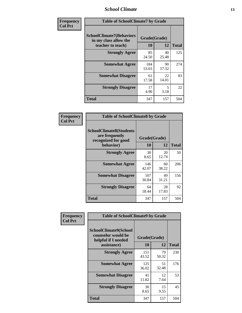### *School Climate* **13**

| Frequency      |                                                                               | <b>Table of SchoolClimate7 by Grade</b> |             |              |  |
|----------------|-------------------------------------------------------------------------------|-----------------------------------------|-------------|--------------|--|
| <b>Col Pct</b> | <b>SchoolClimate7(Behaviors</b><br>in my class allow the<br>teacher to teach) | Grade(Grade)<br><b>10</b>               | 12          | <b>Total</b> |  |
|                | <b>Strongly Agree</b>                                                         | 85<br>24.50                             | 40<br>25.48 | 125          |  |
|                | <b>Somewhat Agree</b>                                                         | 184<br>53.03                            | 90<br>57.32 | 274          |  |
|                | <b>Somewhat Disagree</b>                                                      | 61<br>17.58                             | 22<br>14.01 | 83           |  |
|                | <b>Strongly Disagree</b>                                                      | 17<br>4.90                              | 5<br>3.18   | 22           |  |
|                | <b>Total</b>                                                                  | 347                                     | 157         | 504          |  |

| Frequency      | <b>Table of SchoolClimate8 by Grade</b>                                              |                    |             |              |
|----------------|--------------------------------------------------------------------------------------|--------------------|-------------|--------------|
| <b>Col Pct</b> | <b>SchoolClimate8(Students</b><br>are frequently<br>recognized for good<br>behavior) | Grade(Grade)<br>10 | 12          | <b>Total</b> |
|                | <b>Strongly Agree</b>                                                                | 30<br>8.65         | 20<br>12.74 | 50           |
|                | <b>Somewhat Agree</b>                                                                | 146<br>42.07       | 60<br>38.22 | 206          |
|                | <b>Somewhat Disagree</b>                                                             | 107<br>30.84       | 49<br>31.21 | 156          |
|                | <b>Strongly Disagree</b>                                                             | 64<br>18.44        | 28<br>17.83 | 92           |
|                | <b>Total</b>                                                                         | 347                | 157         | 504          |

| Frequency      | <b>Table of SchoolClimate9 by Grade</b>                                           |                    |             |              |
|----------------|-----------------------------------------------------------------------------------|--------------------|-------------|--------------|
| <b>Col Pct</b> | SchoolClimate9(School<br>counselor would be<br>helpful if I needed<br>assistance) | Grade(Grade)<br>10 | 12          | <b>Total</b> |
|                | <b>Strongly Agree</b>                                                             | 151<br>43.52       | 79<br>50.32 | 230          |
|                | <b>Somewhat Agree</b>                                                             | 125<br>36.02       | 51<br>32.48 | 176          |
|                | <b>Somewhat Disagree</b>                                                          | 41<br>11.82        | 12<br>7.64  | 53           |
|                | <b>Strongly Disagree</b>                                                          | 30<br>8.65         | 15<br>9.55  | 45           |
|                | Total                                                                             | 347                | 157         | 504          |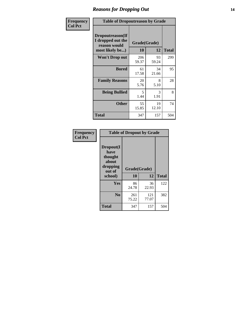### *Reasons for Dropping Out* **14**

| Frequency      | <b>Table of Dropoutreason by Grade</b>                                   |              |                    |              |
|----------------|--------------------------------------------------------------------------|--------------|--------------------|--------------|
| <b>Col Pct</b> | Dropoutreason(If<br>I dropped out the<br>reason would<br>most likely be) | <b>10</b>    | Grade(Grade)<br>12 | <b>Total</b> |
|                | Won't Drop out                                                           | 206<br>59.37 | 93<br>59.24        | 299          |
|                | <b>Bored</b>                                                             | 61<br>17.58  | 34<br>21.66        | 95           |
|                | <b>Family Reasons</b>                                                    | 20<br>5.76   | 8<br>5.10          | 28           |
|                | <b>Being Bullied</b>                                                     | 5<br>1.44    | 3<br>1.91          | 8            |
|                | <b>Other</b>                                                             | 55<br>15.85  | 19<br>12.10        | 74           |
|                | Total                                                                    | 347          | 157                | 504          |

| Frequency      | <b>Table of Dropout by Grade</b>                                       |                    |              |              |  |
|----------------|------------------------------------------------------------------------|--------------------|--------------|--------------|--|
| <b>Col Pct</b> | Dropout(I<br>have<br>thought<br>about<br>dropping<br>out of<br>school) | Grade(Grade)<br>10 | 12           | <b>Total</b> |  |
|                | Yes                                                                    | 86                 | 36           | 122          |  |
|                |                                                                        | 24.78              | 22.93        |              |  |
|                | N <sub>0</sub>                                                         | 261<br>75.22       | 121<br>77.07 | 382          |  |
|                | <b>Total</b>                                                           | 347                | 157          | 504          |  |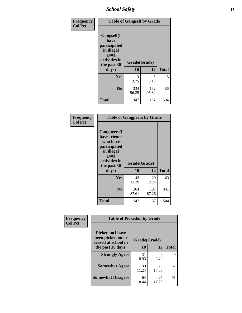*School Safety* **15**

| Frequency      |                                                                                                           | <b>Table of Gangself by Grade</b> |              |              |  |
|----------------|-----------------------------------------------------------------------------------------------------------|-----------------------------------|--------------|--------------|--|
| <b>Col Pct</b> | <b>Gangself</b> (I<br>have<br>participated<br>in illegal<br>gang<br>activities in<br>the past 30<br>days) | Grade(Grade)<br>10                | 12           | <b>Total</b> |  |
|                | Yes                                                                                                       | 13<br>3.75                        | 5<br>3.18    | 18           |  |
|                | N <sub>0</sub>                                                                                            | 334<br>96.25                      | 152<br>96.82 | 486          |  |
|                | <b>Total</b>                                                                                              | 347                               | 157          | 504          |  |

| Frequency<br><b>Col Pct</b> | <b>Table of Gangpeers by Grade</b>                                                                                             |                    |              |              |
|-----------------------------|--------------------------------------------------------------------------------------------------------------------------------|--------------------|--------------|--------------|
|                             | <b>Gangpeers</b> (I<br>have friends<br>who have<br>participated<br>in illegal<br>gang<br>activities in<br>the past 30<br>days) | Grade(Grade)<br>10 | 12           | <b>Total</b> |
|                             | Yes                                                                                                                            | 43<br>12.39        | 20<br>12.74  | 63           |
|                             | N <sub>0</sub>                                                                                                                 | 304<br>87.61       | 137<br>87.26 | 441          |
|                             | <b>Total</b>                                                                                                                   | 347                | 157          | 504          |

| Frequency      | <b>Table of Pickedon by Grade</b>                                   |              |             |              |  |  |  |  |  |
|----------------|---------------------------------------------------------------------|--------------|-------------|--------------|--|--|--|--|--|
| <b>Col Pct</b> | <b>Pickedon</b> (I have<br>been picked on or<br>teased at school in | Grade(Grade) |             |              |  |  |  |  |  |
|                | the past 30 days)                                                   | 10           | 12          | <b>Total</b> |  |  |  |  |  |
|                | <b>Strongly Agree</b>                                               | 31<br>8.93   | 9<br>5.73   | 40           |  |  |  |  |  |
|                | <b>Somewhat Agree</b>                                               | 39<br>11.24  | 28<br>17.83 | 67           |  |  |  |  |  |
|                | <b>Somewhat Disagree</b>                                            | 64<br>18.44  | 27<br>17.20 | 91           |  |  |  |  |  |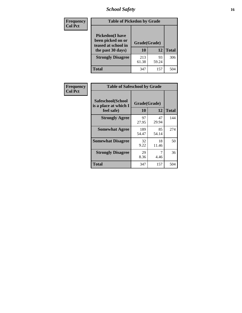# *School Safety* **16**

| <b>Frequency</b> |                                                                                          | <b>Table of Pickedon by Grade</b> |              |     |  |  |  |  |  |  |  |
|------------------|------------------------------------------------------------------------------------------|-----------------------------------|--------------|-----|--|--|--|--|--|--|--|
| <b>Col Pct</b>   | <b>Pickedon</b> (I have<br>been picked on or<br>teased at school in<br>the past 30 days) | Grade(Grade)<br>10                | <b>Total</b> |     |  |  |  |  |  |  |  |
|                  | <b>Strongly Disagree</b>                                                                 | 213<br>61.38                      | 93<br>59.24  | 306 |  |  |  |  |  |  |  |
|                  | Total                                                                                    | 347                               | 157          | 504 |  |  |  |  |  |  |  |

| Frequency      | <b>Table of Safeschool by Grade</b>                      |                    |              |     |
|----------------|----------------------------------------------------------|--------------------|--------------|-----|
| <b>Col Pct</b> | Safeschool(School<br>is a place at which I<br>feel safe) | Grade(Grade)<br>10 | <b>Total</b> |     |
|                | <b>Strongly Agree</b>                                    | 97<br>27.95        | 47<br>29.94  | 144 |
|                | <b>Somewhat Agree</b>                                    | 189<br>54.47       | 85<br>54.14  | 274 |
|                | <b>Somewhat Disagree</b>                                 | 32<br>9.22         | 18<br>11.46  | 50  |
|                | <b>Strongly Disagree</b>                                 | 29<br>8.36         | 4.46         | 36  |
|                | <b>Total</b>                                             | 347                | 157          | 504 |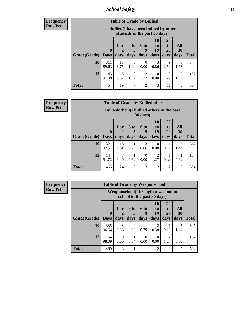*School Safety* **17**

| Frequency      |
|----------------|
| <b>Row Pct</b> |

| <b>Table of Grade by Bullied</b> |              |                                                                               |                        |                |                |                |                        |              |  |  |  |
|----------------------------------|--------------|-------------------------------------------------------------------------------|------------------------|----------------|----------------|----------------|------------------------|--------------|--|--|--|
|                                  |              | <b>Bullied</b> (I have been bullied by other<br>students in the past 30 days) |                        |                |                |                |                        |              |  |  |  |
|                                  | $\bf{0}$     | $1$ or                                                                        | 3 <sub>to</sub><br>5   | 6 to<br>9      | 10<br>to<br>19 | 20<br>to<br>29 | All<br>30              |              |  |  |  |
| <b>Grade(Grade)</b>              | <b>Days</b>  | days                                                                          | days                   | days           | days           | days           | days                   | <b>Total</b> |  |  |  |
| <b>10</b>                        | 311<br>89.63 | 13<br>3.75                                                                    | 5<br>1.44              | 0<br>0.00      | 3<br>0.86      | 9<br>2.59      | 6<br>1.73              | 347          |  |  |  |
| 12                               | 143<br>91.08 | 6<br>3.82                                                                     | $\overline{2}$<br>1.27 | 2<br>1.27      | 0<br>0.00      | 2<br>1.27      | $\overline{2}$<br>1.27 | 157          |  |  |  |
| <b>Total</b>                     | 454          | 19                                                                            | 7                      | $\overline{c}$ | 3              | 11             | 8                      | 504          |  |  |  |

| Frequency      |
|----------------|
| <b>Row Pct</b> |

**r** 

| <b>Table of Grade by Bulliedothers</b> |                                                                |                |                              |                   |                        |                        |                   |              |  |  |  |
|----------------------------------------|----------------------------------------------------------------|----------------|------------------------------|-------------------|------------------------|------------------------|-------------------|--------------|--|--|--|
|                                        | <b>Bulliedothers</b> (I bullied others in the past<br>30 days) |                |                              |                   |                        |                        |                   |              |  |  |  |
| <b>Grade(Grade)</b>                    | $\mathbf 0$<br><b>Days</b>                                     | $1$ or<br>days | 3 <sub>to</sub><br>5<br>days | 6 to<br>9<br>days | 10<br>to<br>19<br>days | 20<br>to<br>29<br>days | All<br>30<br>days | <b>Total</b> |  |  |  |
| 10                                     | 321<br>92.51                                                   | 16<br>4.61     | 0.29                         | 3<br>0.86         | $\Omega$<br>0.00       | 0.29                   | 1.44              | 347          |  |  |  |
| 12                                     | 144<br>91.72                                                   | 8<br>5.10      | 0.64                         | 0<br>0.00         | 2<br>1.27              | 0.64                   | 0.64              | 157          |  |  |  |
| Total                                  | 465                                                            | 24             | $\overline{2}$               | 3                 | $\overline{2}$         | $\overline{2}$         | 6                 | 504          |  |  |  |

| Frequency      | <b>Table of Grade by Weaponschool</b> |              |                                                                   |                              |                   |                               |                               |                          |              |  |  |
|----------------|---------------------------------------|--------------|-------------------------------------------------------------------|------------------------------|-------------------|-------------------------------|-------------------------------|--------------------------|--------------|--|--|
| <b>Row Pct</b> |                                       |              | Weaponschool(I brought a weapon to<br>school in the past 30 days) |                              |                   |                               |                               |                          |              |  |  |
|                | Grade(Grade)   Days                   | $\mathbf{0}$ | $1$ or<br>days                                                    | 3 <sub>to</sub><br>5<br>days | 6 to<br>9<br>days | <b>10</b><br>to<br>19<br>days | <b>20</b><br>to<br>29<br>days | <b>All</b><br>30<br>days | <b>Total</b> |  |  |
|                | 10                                    | 335          | 3                                                                 | 0                            |                   | 2                             |                               | 5                        | 347          |  |  |
|                |                                       | 96.54        | 0.86                                                              | 0.00                         | 0.29              | 0.58                          | 0.29                          | 1.44                     |              |  |  |
|                | 12                                    | 154<br>98.09 | $\Omega$<br>0.00                                                  | 0.64                         | 0<br>0.00         | $\Omega$<br>0.00              | 2<br>1.27                     | $\Omega$<br>0.00         | 157          |  |  |
|                | <b>Total</b>                          | 489          | 3                                                                 |                              |                   | $\mathfrak{D}$                | 3                             | 5                        | 504          |  |  |

h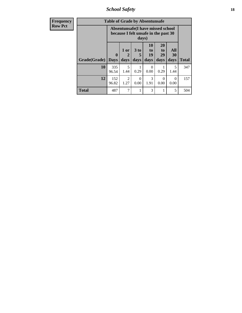*School Safety* **18**

| <b>Frequency</b> | <b>Table of Grade by Absentunsafe</b> |                                                                           |                        |                              |                               |                               |                   |              |  |  |  |
|------------------|---------------------------------------|---------------------------------------------------------------------------|------------------------|------------------------------|-------------------------------|-------------------------------|-------------------|--------------|--|--|--|
| <b>Row Pct</b>   |                                       | Absentunsafe(I have missed school<br>because I felt unsafe in the past 30 |                        |                              |                               |                               |                   |              |  |  |  |
|                  | Grade(Grade)                          | $\mathbf 0$<br><b>Days</b>                                                | 1 or<br>2<br>days      | 3 <sub>to</sub><br>5<br>days | <b>10</b><br>to<br>19<br>days | <b>20</b><br>to<br>29<br>days | All<br>30<br>days | <b>Total</b> |  |  |  |
|                  | 10                                    | 335<br>96.54                                                              | 5<br>1.44              | 0.29                         | $\Omega$<br>0.00              | 0.29                          | 5<br>1.44         | 347          |  |  |  |
|                  | 12                                    | 152<br>96.82                                                              | $\mathfrak{D}$<br>1.27 | 0<br>0.00                    | $\mathcal{R}$<br>1.91         | $\Omega$<br>0.00              | $\Omega$<br>0.00  | 157          |  |  |  |
|                  | <b>Total</b>                          | 487                                                                       | 7                      |                              | 3                             | 1                             | 5                 | 504          |  |  |  |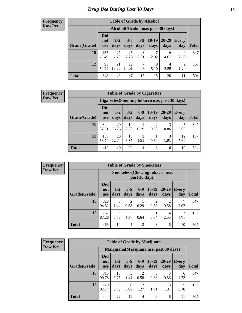### *Drug Use During Last 30 Days* **19**

#### **Frequency Row Pct**

| <b>Table of Grade by Alcohol</b> |                                 |                                    |                 |               |                 |                   |                        |       |  |  |  |
|----------------------------------|---------------------------------|------------------------------------|-----------------|---------------|-----------------|-------------------|------------------------|-------|--|--|--|
|                                  |                                 | Alcohol(Alcohol use, past 30 days) |                 |               |                 |                   |                        |       |  |  |  |
| Grade(Grade)                     | <b>Did</b><br>not<br><b>use</b> | $1-2$<br>days                      | $3 - 5$<br>days | $6-9$<br>days | $10-19$<br>days | $20 - 29$<br>days | Every<br>day           | Total |  |  |  |
| 10                               | 255<br>73.49                    | 27<br>7.78                         | 25<br>7.20      | 8<br>2.31     | 7<br>2.02       | 16<br>4.61        | 9<br>2.59              | 347   |  |  |  |
| 12                               | 93<br>59.24                     | 21<br>13.38                        | 22<br>14.01     | 7<br>4.46     | 8<br>5.10       | 4<br>2.55         | $\overline{2}$<br>1.27 | 157   |  |  |  |
| <b>Total</b>                     | 348                             | 48                                 | 47              | 15            | 15              | 20                | 11                     | 504   |  |  |  |

#### **Frequency Row Pct**

| <b>Table of Grade by Cigarettes</b> |                                                |                 |                 |                 |               |               |                     |              |  |  |  |
|-------------------------------------|------------------------------------------------|-----------------|-----------------|-----------------|---------------|---------------|---------------------|--------------|--|--|--|
|                                     | Cigarettes (Smoking tobacco use, past 30 days) |                 |                 |                 |               |               |                     |              |  |  |  |
| Grade(Grade)                        | <b>Did</b><br>not<br><b>use</b>                | $1 - 2$<br>days | $3 - 5$<br>days | $6 - 9$<br>days | 10-19<br>days | 20-29<br>days | <b>Every</b><br>day | <b>Total</b> |  |  |  |
| <b>10</b>                           | 304<br>87.61                                   | 20<br>5.76      | 10<br>2.88      | 0.29            | 0.58          | 3<br>0.86     | 2.02                | 347          |  |  |  |
| 12                                  | 108<br>68.79                                   | 20<br>12.74     | 10<br>6.37      | 3<br>1.91       | 0.64          | 1.91          | 12<br>7.64          | 157          |  |  |  |
| <b>Total</b>                        | 412                                            | 40              | 20              | 4               | 3             | 6             | 19                  | 504          |  |  |  |

**Frequency Row Pct**

|              | <b>Table of Grade by Smokeless</b> |                                                        |                 |                 |                        |                        |                     |              |  |  |  |  |
|--------------|------------------------------------|--------------------------------------------------------|-----------------|-----------------|------------------------|------------------------|---------------------|--------------|--|--|--|--|
|              |                                    | <b>Smokeless</b> (Chewing tobaccouse,<br>past 30 days) |                 |                 |                        |                        |                     |              |  |  |  |  |
| Grade(Grade) | <b>Did</b><br>not<br><b>use</b>    | $1 - 2$<br>days                                        | $3 - 5$<br>days | $6 - 9$<br>days | $10-19$<br>days        | $20 - 29$<br>days      | <b>Every</b><br>day | <b>Total</b> |  |  |  |  |
| 10           | 328<br>94.52                       | 5<br>1.44                                              | 2<br>0.58       | 0.29            | $\overline{c}$<br>0.58 | $\overline{2}$<br>0.58 | 2.02                | 347          |  |  |  |  |
| 12           | 137<br>87.26                       | 9<br>5.73                                              | 2<br>1.27       | 0.64            | 0.64                   | 4<br>2.55              | 3<br>1.91           | 157          |  |  |  |  |
| <b>Total</b> | 465                                | 14                                                     | 4               | $\overline{c}$  | 3                      | 6                      | 10                  | 504          |  |  |  |  |

| <b>Table of Grade by Marijuana</b> |                                 |                                         |                 |                        |                 |                   |                     |              |  |
|------------------------------------|---------------------------------|-----------------------------------------|-----------------|------------------------|-----------------|-------------------|---------------------|--------------|--|
|                                    |                                 | Marijuana (Marijuana use, past 30 days) |                 |                        |                 |                   |                     |              |  |
| Grade(Grade)                       | <b>Did</b><br>not<br><b>use</b> | $1 - 2$<br>days                         | $3 - 5$<br>days | $6-9$<br>days          | $10-19$<br>days | $20 - 29$<br>days | <b>Every</b><br>day | <b>Total</b> |  |
| 10                                 | 315<br>90.78                    | 13<br>3.75                              | 5<br>1.44       | $\overline{2}$<br>0.58 | 3<br>0.86       | 0.86              | 6<br>1.73           | 347          |  |
| 12                                 | 129<br>82.17                    | 9<br>5.73                               | 6<br>3.82       | $\overline{2}$<br>1.27 | 3<br>1.91       | 3<br>1.91         | 5<br>3.18           | 157          |  |
| <b>Total</b>                       | 444                             | 22                                      | 11              | $\overline{4}$         | 6               | 6                 | 11                  | 504          |  |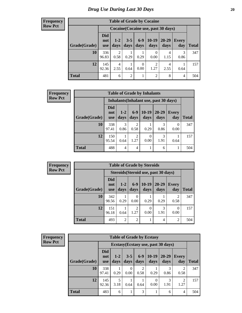#### **Frequency Row Pct**

| <b>Table of Grade by Cocaine</b> |                                 |               |                 |                  |                        |                                     |              |              |  |  |
|----------------------------------|---------------------------------|---------------|-----------------|------------------|------------------------|-------------------------------------|--------------|--------------|--|--|
|                                  |                                 |               |                 |                  |                        | Cocaine (Cocaine use, past 30 days) |              |              |  |  |
| Grade(Grade)                     | <b>Did</b><br>not<br><b>use</b> | $1-2$<br>days | $3 - 5$<br>days | $6-9$<br>days    | $10-19$<br>days        | 20-29<br>days                       | Every<br>day | <b>Total</b> |  |  |
| 10                               | 336<br>96.83                    | 2<br>0.58     | 0.29            | 0.29             | 0<br>0.00              | 4<br>1.15                           | 3<br>0.86    | 347          |  |  |
| 12                               | 145<br>92.36                    | 4<br>2.55     | 0.64            | $\theta$<br>0.00 | $\overline{2}$<br>1.27 | 4<br>2.55                           | 0.64         | 157          |  |  |
| <b>Total</b>                     | 481                             | 6             | $\overline{2}$  | $\mathbf{1}$     | $\overline{2}$         | 8                                   | 4            | 504          |  |  |

| Frequency      |              |                                 |                                        |                        | <b>Table of Grade by Inhalants</b> |                   |                  |              |  |  |
|----------------|--------------|---------------------------------|----------------------------------------|------------------------|------------------------------------|-------------------|------------------|--------------|--|--|
| <b>Row Pct</b> |              |                                 | Inhalants (Inhalant use, past 30 days) |                        |                                    |                   |                  |              |  |  |
|                | Grade(Grade) | <b>Did</b><br>not<br><b>use</b> | $1 - 2$<br>days                        | $6-9$<br>days          | $10-19$<br>days                    | $20 - 29$<br>days | Every<br>day     | <b>Total</b> |  |  |
|                | 10           | 338<br>97.41                    | 3<br>0.86                              | $\mathfrak{D}$<br>0.58 | 0.29                               | 3<br>0.86         | $\Omega$<br>0.00 | 347          |  |  |
|                | 12           | 150<br>95.54                    | 0.64                                   | $\mathfrak{D}$<br>1.27 | $\Omega$<br>0.00                   | 3<br>1.91         | 0.64             | 157          |  |  |
|                | <b>Total</b> | 488                             | $\overline{4}$                         | 4                      |                                    | 6                 |                  | 504          |  |  |

| $\overline{J}$ | <b>Table of Grade by Steroids</b> |                                 |                |                        |                 |                                      |                                                                                                                                                                         |              |  |
|----------------|-----------------------------------|---------------------------------|----------------|------------------------|-----------------|--------------------------------------|-------------------------------------------------------------------------------------------------------------------------------------------------------------------------|--------------|--|
|                |                                   |                                 |                |                        |                 | Steroids (Steroid use, past 30 days) |                                                                                                                                                                         |              |  |
|                | Grade(Grade)                      | <b>Did</b><br>not<br><b>use</b> | $1-2$<br>days  | $6-9$<br>days          | $10-19$<br>days | $20 - 29$<br>days                    | Every<br>day                                                                                                                                                            | <b>Total</b> |  |
|                | 10                                | 342<br>98.56                    | 0.29           | $\theta$<br>0.00       | 0.29            | 0.29                                 | $\mathcal{D}_{\mathcal{A}}^{\mathcal{A}}(\mathcal{A})=\mathcal{D}_{\mathcal{A}}^{\mathcal{A}}(\mathcal{A})\mathcal{D}_{\mathcal{A}}^{\mathcal{A}}(\mathcal{A})$<br>0.58 | 347          |  |
|                | 12                                | 151<br>96.18                    | 0.64           | $\overline{2}$<br>1.27 | 0<br>0.00       | 3<br>1.91                            | 0.00                                                                                                                                                                    | 157          |  |
|                | <b>Total</b>                      | 493                             | $\overline{2}$ | $\overline{2}$         |                 | 4                                    | $\mathfrak{D}$                                                                                                                                                          | 504          |  |

| Frequency      | <b>Table of Grade by Ecstasy</b> |                                 |                 |                 |                                     |                 |                                     |                        |              |
|----------------|----------------------------------|---------------------------------|-----------------|-----------------|-------------------------------------|-----------------|-------------------------------------|------------------------|--------------|
| <b>Row Pct</b> |                                  |                                 |                 |                 |                                     |                 | Ecstasy (Ecstasy use, past 30 days) |                        |              |
|                | Grade(Grade)                     | <b>Did</b><br>not<br><b>use</b> | $1 - 2$<br>days | $3 - 5$<br>days | $6-9$<br>days                       | $10-19$<br>days | $20 - 29$<br>days                   | <b>Every</b><br>day    | <b>Total</b> |
|                | 10                               | 338<br>97.41                    | 0.29            | $_{0}$<br>0.00  | $\mathcal{D}_{\mathcal{A}}$<br>0.58 | 0.29            | 3<br>0.86                           | $\overline{2}$<br>0.58 | 347          |
|                | 12                               | 145<br>92.36                    | 5<br>3.18       | 0.64            | 0.64                                | 0.00            | 3<br>1.91                           | $\mathfrak{D}$<br>1.27 | 157          |
|                | <b>Total</b>                     | 483                             | 6               |                 | 3                                   |                 | 6                                   | $\overline{4}$         | 504          |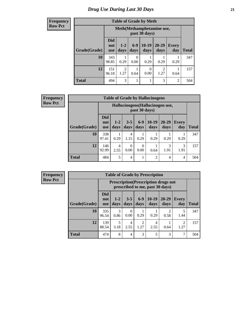#### **Frequency Row Pct**

| <b>Table of Grade by Meth</b> |                                 |                                             |                 |               |                        |                     |              |  |  |  |
|-------------------------------|---------------------------------|---------------------------------------------|-----------------|---------------|------------------------|---------------------|--------------|--|--|--|
|                               |                                 | Meth (Methamphetamine use,<br>past 30 days) |                 |               |                        |                     |              |  |  |  |
| Grade(Grade)                  | <b>Did</b><br>not<br><b>use</b> | $1 - 2$<br>days                             | $6 - 9$<br>days | 10-19<br>days | $20 - 29$<br>days      | <b>Every</b><br>day | <b>Total</b> |  |  |  |
| 10                            | 343<br>98.85                    | 0.29                                        | 0<br>0.00       | 0.29          | 0.29                   | 0.29                | 347          |  |  |  |
| 12                            | 151<br>96.18                    | $\overline{2}$<br>1.27                      | 0.64            | 0<br>0.00     | $\mathfrak{D}$<br>1.27 | 0.64                | 157          |  |  |  |
| <b>Total</b>                  | 494                             | 3                                           |                 |               | 3                      | $\overline{c}$      | 504          |  |  |  |

**Frequency Row Pct**

| <b>Table of Grade by Hallucinogens</b> |                                 |                                                   |                 |                  |                 |               |                     |              |  |
|----------------------------------------|---------------------------------|---------------------------------------------------|-----------------|------------------|-----------------|---------------|---------------------|--------------|--|
|                                        |                                 | Hallucinogens (Hallucinogen use,<br>past 30 days) |                 |                  |                 |               |                     |              |  |
| Grade(Grade)                           | <b>Did</b><br>not<br><b>use</b> | $1 - 2$<br>days                                   | $3 - 5$<br>days | $6 - 9$<br>days  | $10-19$<br>days | 20-29<br>days | <b>Every</b><br>day | <b>Total</b> |  |
| 10                                     | 338<br>97.41                    | 0.29                                              | 4<br>1.15       | 0.29             | 0.29            | 0.29          | 0.29                | 347          |  |
| 12                                     | 146<br>92.99                    | 4<br>2.55                                         | 0<br>0.00       | $\Omega$<br>0.00 | 0.64            | 3<br>1.91     | 3<br>1.91           | 157          |  |
| <b>Total</b>                           | 484                             | 5                                                 | 4               |                  | 2               | 4             | 4                   | 504          |  |

| <b>Table of Grade by Prescription</b> |                                 |                                                                                |                 |                 |                 |                   |                        |              |  |  |
|---------------------------------------|---------------------------------|--------------------------------------------------------------------------------|-----------------|-----------------|-----------------|-------------------|------------------------|--------------|--|--|
|                                       |                                 | <b>Prescription</b> (Prescription drugs not<br>prescribed to me, past 30 days) |                 |                 |                 |                   |                        |              |  |  |
| Grade(Grade)                          | <b>Did</b><br>not<br><b>use</b> | $1 - 2$<br>days                                                                | $3 - 5$<br>days | $6 - 9$<br>days | $10-19$<br>days | $20 - 29$<br>days | Every<br>day           | <b>Total</b> |  |  |
| 10                                    | 335<br>96.54                    | 3<br>0.86                                                                      | 0<br>0.00       | 0.29            | 0.29            | 0.58              | 5<br>1.44              | 347          |  |  |
| 12                                    | 139<br>88.54                    | 5<br>3.18                                                                      | 4<br>2.55       | 2<br>1.27       | 4<br>2.55       | 0.64              | $\mathfrak{D}$<br>1.27 | 157          |  |  |
| <b>Total</b>                          | 474                             | 8                                                                              | 4               | 3               | 5               | 3                 | 7                      | 504          |  |  |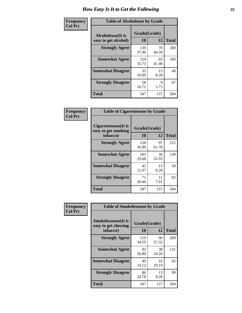| Frequency      | <b>Table of Alcoholease by Grade</b>              |                    |             |              |  |  |  |  |
|----------------|---------------------------------------------------|--------------------|-------------|--------------|--|--|--|--|
| <b>Col Pct</b> | <b>Alcoholease</b> (It is<br>easy to get alcohol) | Grade(Grade)<br>10 | 12          | <b>Total</b> |  |  |  |  |
|                | <b>Strongly Agree</b>                             | 130<br>37.46       | 70<br>44.59 | 200          |  |  |  |  |
|                | <b>Somewhat Agree</b>                             | 124<br>35.73       | 65<br>41.40 | 189          |  |  |  |  |
|                | <b>Somewhat Disagree</b>                          | 35<br>10.09        | 13<br>8.28  | 48           |  |  |  |  |
|                | <b>Strongly Disagree</b>                          | 58<br>16.71        | 9<br>5.73   | 67           |  |  |  |  |
|                | <b>Total</b>                                      | 347                | 157         | 504          |  |  |  |  |

| Frequency      |                                                         | <b>Table of Cigarettesease by Grade</b> |             |              |  |  |  |  |
|----------------|---------------------------------------------------------|-----------------------------------------|-------------|--------------|--|--|--|--|
| <b>Col Pct</b> | Cigarettesease(It is<br>easy to get smoking<br>tobacco) | Grade(Grade)<br>10                      | 12          | <b>Total</b> |  |  |  |  |
|                | <b>Strongly Agree</b>                                   | 128<br>36.89                            | 97<br>61.78 | 225          |  |  |  |  |
|                | <b>Somewhat Agree</b>                                   | 103<br>29.68                            | 36<br>22.93 | 139          |  |  |  |  |
|                | <b>Somewhat Disagree</b>                                | 45<br>12.97                             | 13<br>8.28  | 58           |  |  |  |  |
|                | <b>Strongly Disagree</b>                                | 71<br>20.46                             | 11<br>7.01  | 82           |  |  |  |  |
|                | <b>Total</b>                                            | 347                                     | 157         | 504          |  |  |  |  |

| Frequency      | <b>Table of Smokelessease by Grade</b>                         |                    |              |     |
|----------------|----------------------------------------------------------------|--------------------|--------------|-----|
| <b>Col Pct</b> | <b>Smokelessease</b> (It is<br>easy to get chewing<br>tobacco) | Grade(Grade)<br>10 | <b>Total</b> |     |
|                | <b>Strongly Agree</b>                                          | 119<br>34.29       | 90<br>57.32  | 209 |
|                | <b>Somewhat Agree</b>                                          | 93<br>26.80        | 38<br>24.20  | 131 |
|                | <b>Somewhat Disagree</b>                                       | 49<br>14.12        | 16<br>10.19  | 65  |
|                | <b>Strongly Disagree</b>                                       | 86<br>24.78        | 13<br>8.28   | 99  |
|                | Total                                                          | 347                | 157          | 504 |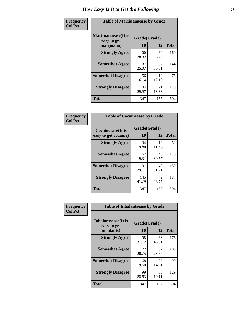| Frequency      | <b>Table of Marijuanaease by Grade</b>           |                    |             |              |
|----------------|--------------------------------------------------|--------------------|-------------|--------------|
| <b>Col Pct</b> | Marijuanaease(It is<br>easy to get<br>marijuana) | Grade(Grade)<br>10 | 12          | <b>Total</b> |
|                | <b>Strongly Agree</b>                            | 100<br>28.82       | 60<br>38.22 | 160          |
|                | <b>Somewhat Agree</b>                            | 87<br>25.07        | 57<br>36.31 | 144          |
|                | <b>Somewhat Disagree</b>                         | 56<br>16.14        | 19<br>12.10 | 75           |
|                | <b>Strongly Disagree</b>                         | 104<br>29.97       | 21<br>13.38 | 125          |
|                | Total                                            | 347                | 157         | 504          |

| <b>Table of Cocaineease by Grade</b>              |                    |             |              |  |  |  |  |  |  |  |  |
|---------------------------------------------------|--------------------|-------------|--------------|--|--|--|--|--|--|--|--|
| <b>Cocaineease</b> (It is<br>easy to get cocaine) | Grade(Grade)<br>10 | 12          | <b>Total</b> |  |  |  |  |  |  |  |  |
| <b>Strongly Agree</b>                             | 34<br>9.80         | 18<br>11.46 | 52           |  |  |  |  |  |  |  |  |
| <b>Somewhat Agree</b>                             | 67<br>19.31        | 48<br>30.57 | 115          |  |  |  |  |  |  |  |  |
| <b>Somewhat Disagree</b>                          | 101<br>29.11       | 49<br>31.21 | 150          |  |  |  |  |  |  |  |  |
| <b>Strongly Disagree</b>                          | 145<br>41.79       | 42<br>26.75 | 187          |  |  |  |  |  |  |  |  |
| <b>Total</b>                                      | 347                | 157         | 504          |  |  |  |  |  |  |  |  |

| Frequency      | <b>Table of Inhalantsease by Grade</b>     |              |             |              |
|----------------|--------------------------------------------|--------------|-------------|--------------|
| <b>Col Pct</b> | <b>Inhalantsease</b> (It is<br>easy to get | Grade(Grade) |             |              |
|                | inhalants)                                 | 10           | 12          | <b>Total</b> |
|                | <b>Strongly Agree</b>                      | 108<br>31.12 | 68<br>43.31 | 176          |
|                | <b>Somewhat Agree</b>                      | 72<br>20.75  | 37<br>23.57 | 109          |
|                | <b>Somewhat Disagree</b>                   | 68<br>19.60  | 22<br>14.01 | 90           |
|                | <b>Strongly Disagree</b>                   | 99<br>28.53  | 30<br>19.11 | 129          |
|                | <b>Total</b>                               | 347          | 157         | 504          |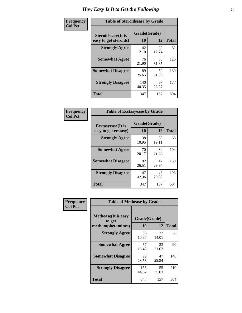| Frequency      | <b>Table of Steroidsease by Grade</b>               |                    |             |              |  |  |  |  |  |  |  |  |
|----------------|-----------------------------------------------------|--------------------|-------------|--------------|--|--|--|--|--|--|--|--|
| <b>Col Pct</b> | <b>Steroidsease</b> (It is<br>easy to get steroids) | Grade(Grade)<br>10 | 12          | <b>Total</b> |  |  |  |  |  |  |  |  |
|                | <b>Strongly Agree</b>                               | 42<br>12.10        | 20<br>12.74 | 62           |  |  |  |  |  |  |  |  |
|                | <b>Somewhat Agree</b>                               | 76<br>21.90        | 50<br>31.85 | 126          |  |  |  |  |  |  |  |  |
|                | <b>Somewhat Disagree</b>                            | 89<br>25.65        | 50<br>31.85 | 139          |  |  |  |  |  |  |  |  |
|                | <b>Strongly Disagree</b>                            | 140<br>40.35       | 37<br>23.57 | 177          |  |  |  |  |  |  |  |  |
|                | <b>Total</b>                                        | 347                | 157         | 504          |  |  |  |  |  |  |  |  |

| Frequency      | <b>Table of Ecstasyease by Grade</b>              |                    |             |              |
|----------------|---------------------------------------------------|--------------------|-------------|--------------|
| <b>Col Pct</b> | <b>Ecstasyease</b> (It is<br>easy to get ecstasy) | Grade(Grade)<br>10 | 12          | <b>Total</b> |
|                | <b>Strongly Agree</b>                             | 38<br>10.95        | 30<br>19.11 | 68           |
|                | <b>Somewhat Agree</b>                             | 70<br>20.17        | 34<br>21.66 | 104          |
|                | <b>Somewhat Disagree</b>                          | 92<br>26.51        | 47<br>29.94 | 139          |
|                | <b>Strongly Disagree</b>                          | 147<br>42.36       | 46<br>29.30 | 193          |
|                | Total                                             | 347                | 157         | 504          |

| Frequency      | <b>Table of Methease by Grade</b>                          |                    |             |              |
|----------------|------------------------------------------------------------|--------------------|-------------|--------------|
| <b>Col Pct</b> | <b>Methease</b> (It is easy<br>to get<br>methamphetamines) | Grade(Grade)<br>10 | 12          | <b>Total</b> |
|                | <b>Strongly Agree</b>                                      | 36<br>10.37        | 22<br>14.01 | 58           |
|                | <b>Somewhat Agree</b>                                      | 57<br>16.43        | 33<br>21.02 | 90           |
|                | <b>Somewhat Disagree</b>                                   | 99<br>28.53        | 47<br>29.94 | 146          |
|                | <b>Strongly Disagree</b>                                   | 155<br>44.67       | 55<br>35.03 | 210          |
|                | <b>Total</b>                                               | 347                | 157         | 504          |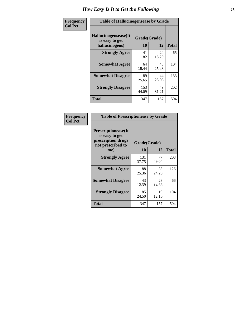| <b>Frequency</b> | <b>Table of Hallucinogensease by Grade</b>                |                    |             |              |  |  |  |  |  |  |  |  |
|------------------|-----------------------------------------------------------|--------------------|-------------|--------------|--|--|--|--|--|--|--|--|
| <b>Col Pct</b>   | Hallucinogensease(It)<br>is easy to get<br>hallucinogens) | Grade(Grade)<br>10 | 12          | <b>Total</b> |  |  |  |  |  |  |  |  |
|                  | <b>Strongly Agree</b>                                     | 41<br>11.82        | 24<br>15.29 | 65           |  |  |  |  |  |  |  |  |
|                  | <b>Somewhat Agree</b>                                     | 64<br>18.44        | 40<br>25.48 | 104          |  |  |  |  |  |  |  |  |
|                  | <b>Somewhat Disagree</b>                                  | 89<br>25.65        | 44<br>28.03 | 133          |  |  |  |  |  |  |  |  |
|                  | <b>Strongly Disagree</b>                                  | 153<br>44.09       | 49<br>31.21 | 202          |  |  |  |  |  |  |  |  |
|                  | <b>Total</b>                                              | 347                | 157         | 504          |  |  |  |  |  |  |  |  |

| <b>Table of Prescriptionease by Grade</b>                                                |              |             |              |  |  |  |  |  |  |  |  |
|------------------------------------------------------------------------------------------|--------------|-------------|--------------|--|--|--|--|--|--|--|--|
| <b>Prescriptionease</b> (It<br>is easy to get<br>prescription drugs<br>not prescribed to | Grade(Grade) |             |              |  |  |  |  |  |  |  |  |
| me)                                                                                      | 10           | 12          | <b>Total</b> |  |  |  |  |  |  |  |  |
| <b>Strongly Agree</b>                                                                    | 131<br>37.75 | 77<br>49.04 | 208          |  |  |  |  |  |  |  |  |
| <b>Somewhat Agree</b>                                                                    | 88<br>25.36  | 38<br>24.20 | 126          |  |  |  |  |  |  |  |  |
| <b>Somewhat Disagree</b>                                                                 | 43<br>12.39  | 23<br>14.65 | 66           |  |  |  |  |  |  |  |  |
| <b>Strongly Disagree</b>                                                                 | 85<br>24.50  | 19<br>12.10 | 104          |  |  |  |  |  |  |  |  |
| <b>Total</b>                                                                             | 347          | 157         | 504          |  |  |  |  |  |  |  |  |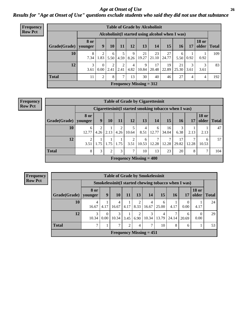*Age at Onset of Use* **26** *Results for "Age at Onset of Use" questions exclude students who said they did not use that substance*

| Frequency      |              |                        |                                                  |                        |           |                        |                           | <b>Table of Grade by Alcoholinit</b> |             |             |                       |                       |              |  |
|----------------|--------------|------------------------|--------------------------------------------------|------------------------|-----------|------------------------|---------------------------|--------------------------------------|-------------|-------------|-----------------------|-----------------------|--------------|--|
| <b>Row Pct</b> |              |                        | Alcoholinit (I started using alcohol when I was) |                        |           |                        |                           |                                      |             |             |                       |                       |              |  |
|                | Grade(Grade) | <b>8 or</b><br>younger | 9                                                | 10                     | 11        | 12                     | 13                        | 14                                   | <b>15</b>   | 16          | 17                    | <b>18 or</b><br>older | <b>Total</b> |  |
|                | 10           | 8<br>7.34              | 2<br>1.83                                        | 6<br>5.50              | 4.59      | 9 <sub>1</sub><br>8.26 | 21<br>19.27               | 23<br>21.10                          | 27<br>24.77 | 6<br>5.50   | 0.92                  | 0.92                  | 109          |  |
|                | 12           | 3<br>3.61              | $\Omega$<br>0.00                                 | $\overline{2}$<br>2.41 | 2<br>2.41 | 4<br>4.82              | 9<br>10.84                | 17<br>20.48                          | 19<br>22.89 | 21<br>25.30 | $\mathcal{E}$<br>3.61 | 3<br>3.61             | 83           |  |
|                | <b>Total</b> | 11                     | $\overline{c}$                                   | 8                      | $\tau$    | 13                     | 30                        | 40                                   | 46          | 27          | 4                     | 4                     | 192          |  |
|                |              |                        |                                                  |                        |           |                        | Frequency Missing $= 312$ |                                      |             |             |                       |                       |              |  |

#### **Frequency Row Pct**

|              | <b>Table of Grade by Cigarettesinit</b>                                                                                                    |                                                                                                   |  |  |                           |  |  |  |  |  |  |  |  |  |  |
|--------------|--------------------------------------------------------------------------------------------------------------------------------------------|---------------------------------------------------------------------------------------------------|--|--|---------------------------|--|--|--|--|--|--|--|--|--|--|
|              | Cigarettesinit (I started smoking tobacco when I was)                                                                                      |                                                                                                   |  |  |                           |  |  |  |  |  |  |  |  |  |  |
| Grade(Grade) | <b>8 or</b><br>younger                                                                                                                     | <b>18 or</b><br>13<br>9<br>12<br>15<br>older<br>11<br>14<br><b>Total</b><br>10<br>17<br><b>16</b> |  |  |                           |  |  |  |  |  |  |  |  |  |  |
| 10           | 2<br>3<br>↑<br>16<br>4<br>6<br>6<br>2.13<br>12.77<br>12.77<br>34.04<br>2.13<br>4.26<br>4.26<br>10.64<br>8.51<br>6.38<br>2.13               |                                                                                                   |  |  |                           |  |  |  |  |  |  |  |  |  |  |
| 12           | $\mathcal{L}$<br>17<br>⇁<br>↑<br>2<br>6<br>6<br>12.28<br>1.75<br>1.75<br>12.28<br>29.82<br>1.75<br>3.51<br>10.53<br>12.28<br>3.51<br>10.53 |                                                                                                   |  |  |                           |  |  |  |  |  |  |  |  |  |  |
| <b>Total</b> | 3<br>3<br>7<br>10<br>23<br>$\mathcal{I}$<br>8<br>13<br>20<br>104<br>2<br>8                                                                 |                                                                                                   |  |  |                           |  |  |  |  |  |  |  |  |  |  |
|              |                                                                                                                                            |                                                                                                   |  |  | Frequency Missing $= 400$ |  |  |  |  |  |  |  |  |  |  |

|              | <b>Table of Grade by Smokelessinit</b>                                                                                            |                                                      |  |  |  |  |  |  |  |  |  |  |  |  |
|--------------|-----------------------------------------------------------------------------------------------------------------------------------|------------------------------------------------------|--|--|--|--|--|--|--|--|--|--|--|--|
|              |                                                                                                                                   | Smokelessinit (I started chewing tobacco when I was) |  |  |  |  |  |  |  |  |  |  |  |  |
| Grade(Grade) | <b>18 or</b><br>8 or<br>13<br>15<br><b>10</b><br>older<br>9<br>14<br><b>16</b><br><b>Total</b><br><b>11</b><br>17<br>younger      |                                                      |  |  |  |  |  |  |  |  |  |  |  |  |
| 10           | 2<br>6<br>4<br>4<br>4<br>8.33<br>4.17<br>4.17<br>4.17<br>0.00<br>16.67<br>25.00<br>4.17<br>16.67<br>16.67                         |                                                      |  |  |  |  |  |  |  |  |  |  |  |  |
| 12           | 3<br>3<br>2<br>7<br>$\Omega$<br>4<br>0<br>6<br>10.34<br>13.79<br>10.34<br>24.14<br>10.34<br>0.00<br>3.45<br>6.90<br>0.00<br>20.69 |                                                      |  |  |  |  |  |  |  |  |  |  |  |  |
| <b>Total</b> | ┑<br>7<br>4<br>┑<br>8<br>$\mathfrak{D}$<br>10<br>6                                                                                |                                                      |  |  |  |  |  |  |  |  |  |  |  |  |
|              | Frequency Missing $= 451$                                                                                                         |                                                      |  |  |  |  |  |  |  |  |  |  |  |  |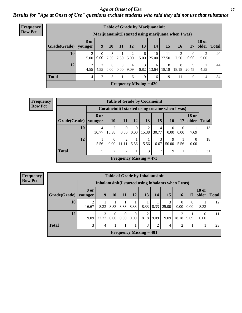### *Age at Onset of Use* **27**

*Results for "Age at Onset of Use" questions exclude students who said they did not use that substance*

| Frequency      | <b>Table of Grade by Marijuanainit</b>                                                                   |                        |                                                     |                      |                  |           |                           |             |             |            |                                |              |    |  |
|----------------|----------------------------------------------------------------------------------------------------------|------------------------|-----------------------------------------------------|----------------------|------------------|-----------|---------------------------|-------------|-------------|------------|--------------------------------|--------------|----|--|
| <b>Row Pct</b> |                                                                                                          |                        | Marijuanainit(I started using marijuana when I was) |                      |                  |           |                           |             |             |            |                                |              |    |  |
|                | <b>8 or</b><br>15<br>9<br>13 <sup>1</sup><br>10<br>12<br>14<br>Grade(Grade)<br>11<br>16<br>17<br>younger |                        |                                                     |                      |                  |           |                           |             |             |            | <b>18 or</b><br>$\Omega$ older | <b>Total</b> |    |  |
|                | 10                                                                                                       | 2<br>5.00              | $\mathbf{0}$<br>0.00                                | 3<br>7.50            | 2.50             | 5.00      | 6<br>15.00                | 10<br>25.00 | 11<br>27.50 | 3<br>7.50  | $\theta$<br>0.00               | 5.00         | 40 |  |
|                | 12                                                                                                       | $\overline{2}$<br>4.55 | $\mathfrak{D}$<br>4.55                              | $\Omega$<br>$0.00\,$ | $\Omega$<br>0.00 | 4<br>9.09 | 3<br>6.82                 | 6<br>13.64  | 8<br>18.18  | 8<br>18.18 | 9<br>20.45                     | 2<br>4.55    | 44 |  |
|                | <b>Total</b>                                                                                             | $\overline{4}$         | 2                                                   | 3 <sub>1</sub>       |                  | 6         | 9                         | 16          | 19          | 11         | 9                              | 4            | 84 |  |
|                |                                                                                                          |                        |                                                     |                      |                  |           | Frequency Missing $= 420$ |             |             |            |                                |              |    |  |

| Frequency                                                                      |              |                 |                                                 |                  |                         | <b>Table of Grade by Cocaineinit</b> |            |                      |                  |                               |    |
|--------------------------------------------------------------------------------|--------------|-----------------|-------------------------------------------------|------------------|-------------------------|--------------------------------------|------------|----------------------|------------------|-------------------------------|----|
| <b>Row Pct</b>                                                                 |              |                 | Cocaineinit(I started using cocaine when I was) |                  |                         |                                      |            |                      |                  |                               |    |
|                                                                                | Grade(Grade) | 8 or<br>younger | <b>10</b>                                       | 11               | 12                      | 13                                   | 15         | <b>16</b>            | 17               | <b>18 or</b><br>older   Total |    |
|                                                                                | <b>10</b>    | 4<br>30.77      | 2<br>15.38                                      | $\Omega$<br>0.00 | $\theta$<br>$0.00\vert$ | 2<br>15.38                           | 4<br>30.77 | $\Omega$<br>$0.00\,$ | $\theta$<br>0.00 | 7.69                          | 13 |
|                                                                                | 12           | 5.56            | $\mathbf{0}$<br>0.00                            | 2<br>11.11       | 5.56                    | 5.56                                 | 16.67      | 9<br>50.00           | 5.56             | $\theta$<br>0.00              | 18 |
| <b>Total</b><br>$\overline{2}$<br>3<br>5<br>$\overline{2}$<br>7<br>$\mathbf Q$ |              |                 |                                                 |                  |                         |                                      |            |                      |                  |                               | 31 |
|                                                                                |              |                 |                                                 |                  |                         | Frequency Missing $= 473$            |            |                      |                  |                               |    |

**Frequency Row Pct**

| <b>Table of Grade by Inhalantsinit</b>                  |                                                                                                                                       |                                                                                                                  |  |  |  |  |  |  |  |  |    |    |
|---------------------------------------------------------|---------------------------------------------------------------------------------------------------------------------------------------|------------------------------------------------------------------------------------------------------------------|--|--|--|--|--|--|--|--|----|----|
|                                                         |                                                                                                                                       | Inhalantsinit (I started using inhalants when I was)                                                             |  |  |  |  |  |  |  |  |    |    |
| Grade(Grade)                                            | 8 or<br>younger                                                                                                                       | <b>18 or</b><br>older<br>12<br>13<br><b>15</b><br>9<br>10<br>14<br>16<br>17<br><b>Total</b><br>11                |  |  |  |  |  |  |  |  |    |    |
| 10                                                      | 16.67                                                                                                                                 | 3<br>$\overline{0}$<br>$\theta$<br>8.33<br>8.33<br>8.33<br>8.33<br>8.33<br>8.33<br>0.00<br>0.00<br>8.33<br>25.00 |  |  |  |  |  |  |  |  |    | 12 |
| 12                                                      | 3<br>2<br>$\theta$<br>$\Omega$<br>$\Omega$<br>18.18<br>0.00<br>0.00<br>0.00<br>9.09<br>9.09<br>18.18<br>9.09<br>27.27<br>0.00<br>9.09 |                                                                                                                  |  |  |  |  |  |  |  |  | 11 |    |
| <b>Total</b><br>3<br>3<br>$\overline{2}$<br>2<br>4<br>4 |                                                                                                                                       |                                                                                                                  |  |  |  |  |  |  |  |  | 23 |    |
|                                                         | <b>Frequency Missing = 481</b>                                                                                                        |                                                                                                                  |  |  |  |  |  |  |  |  |    |    |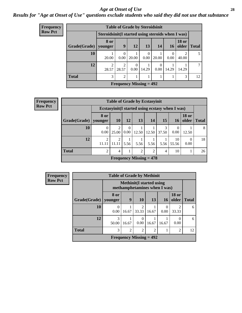### *Age at Onset of Use* **28**

*Results for "Age at Onset of Use" questions exclude students who said they did not use that substance*

| Frequency      | <b>Table of Grade by Steroidsinit</b> |                         |                                                   |                  |                  |                  |                 |              |                 |  |  |  |
|----------------|---------------------------------------|-------------------------|---------------------------------------------------|------------------|------------------|------------------|-----------------|--------------|-----------------|--|--|--|
| <b>Row Pct</b> |                                       |                         | Steroidsinit(I started using steroids when I was) |                  |                  |                  |                 |              |                 |  |  |  |
|                | Grade(Grade)                          | 8 or<br>younger         | 9                                                 | 12               | 13               | 14               | 16 <sup>1</sup> | <b>18 or</b> | older   Total   |  |  |  |
|                | 10                                    | 20.00                   | $\Omega$<br>0.00                                  | 20.00            | $\Omega$<br>0.00 | 20.00            | 0.00            | 40.00        | 5               |  |  |  |
|                | 12                                    | $\mathfrak{D}$<br>28.57 | $\overline{2}$<br>28.57                           | $\theta$<br>0.00 | 14.29            | $\theta$<br>0.00 | 14.29           | 14.29        | $7\phantom{.0}$ |  |  |  |
|                | <b>Total</b>                          | 3                       | $\mathfrak{D}$                                    |                  |                  |                  |                 | 3            | 12              |  |  |  |
|                |                                       |                         | Frequency Missing $= 492$                         |                  |                  |                  |                 |              |                 |  |  |  |

| <b>Frequency</b> | <b>Table of Grade by Ecstasyinit</b>                                  |                  |            |                  |                           |       |            |                                                  |                                |              |  |  |
|------------------|-----------------------------------------------------------------------|------------------|------------|------------------|---------------------------|-------|------------|--------------------------------------------------|--------------------------------|--------------|--|--|
| <b>Row Pct</b>   |                                                                       |                  |            |                  |                           |       |            | Ecstasyinit (I started using ecstasy when I was) |                                |              |  |  |
|                  | Grade(Grade)                                                          | 8 or<br>younger  | <b>10</b>  | 12               | 13                        | 14    | 15         | 16 <sup>1</sup>                                  | <b>18 or</b><br>$\Omega$ older | <b>Total</b> |  |  |
|                  | <b>10</b>                                                             | $\theta$<br>0.00 | 2<br>25.00 | $\theta$<br>0.00 | 12.50                     | 12.50 | 3<br>37.50 | $\Omega$<br>0.00                                 | 12.50                          | 8            |  |  |
|                  | 12                                                                    | 2<br>11.11       | 2<br>11.11 | 5.56             | 5.56                      | 5.56  | 5.56       | 10<br>55.56                                      | $\Omega$<br>0.00               | 18           |  |  |
|                  | <b>Total</b><br>2<br>2<br>10<br>4<br>$\mathfrak{D}$<br>$\overline{4}$ |                  |            |                  |                           |       |            |                                                  |                                |              |  |  |
|                  |                                                                       |                  |            |                  | Frequency Missing $= 478$ |       |            |                                                  |                                |              |  |  |

| <b>Frequency</b> | <b>Table of Grade by Methinit</b> |            |                                                         |                                                                  |       |                      |                       |              |  |  |  |
|------------------|-----------------------------------|------------|---------------------------------------------------------|------------------------------------------------------------------|-------|----------------------|-----------------------|--------------|--|--|--|
| <b>Row Pct</b>   |                                   |            |                                                         | <b>Methinit</b> (I started using<br>methamphetamines when I was) |       |                      |                       |              |  |  |  |
|                  | Grade(Grade)   younger            | 8 or       | 9                                                       | <b>10</b>                                                        | 13    | <b>16</b>            | <b>18 or</b><br>older | <b>Total</b> |  |  |  |
|                  | 10                                | 0<br>0.00  | 16.67                                                   | っ<br>33.33                                                       | 16.67 | $\mathbf{0}$<br>0.00 | 33.33                 | 6            |  |  |  |
|                  | 12                                | 3<br>50.00 | 16.67                                                   | 0.00                                                             | 16.67 | 16.67                | 0.00                  | 6            |  |  |  |
|                  | <b>Total</b>                      | 3          | $\overline{2}$<br>$\overline{c}$<br>$\overline{c}$<br>2 |                                                                  |       |                      |                       |              |  |  |  |
|                  |                                   |            |                                                         | Frequency Missing $= 492$                                        |       |                      |                       |              |  |  |  |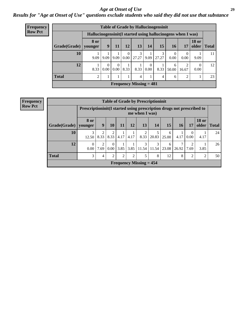### *Age at Onset of Use* **29**

*Results for "Age at Onset of Use" questions exclude students who said they did not use that substance*

| <b>Frequency</b> |              |                                                              |                  |                      |                      | <b>Table of Grade by Hallucinogensinit</b> |                  |       |                            |                  |                       |              |
|------------------|--------------|--------------------------------------------------------------|------------------|----------------------|----------------------|--------------------------------------------|------------------|-------|----------------------------|------------------|-----------------------|--------------|
| <b>Row Pct</b>   |              | Hallucinogensinit (I started using hallucinogens when I was) |                  |                      |                      |                                            |                  |       |                            |                  |                       |              |
|                  | Grade(Grade) | <b>8 or</b><br>younger                                       | 9                | 11                   | 12                   | 13                                         | 14               | 15    | 16                         | 17               | <b>18 or</b><br>older | <b>Total</b> |
|                  | 10           | 9.09                                                         | 9.09             | 9.09                 | $\theta$<br>$0.00\,$ | 3<br>27.27                                 | 9.09             | 27.27 | $\theta$<br>$0.00^{\circ}$ | $\theta$<br>0.00 | 9.09                  | 11           |
|                  | 12           | 8.33                                                         | $\Omega$<br>0.00 | $\Omega$<br>$0.00\,$ | 8.33                 | 8.33                                       | $\theta$<br>0.00 | 8.33  | 6<br>50.00                 | ↑<br>16.67       | $\Omega$<br>0.00      | 12           |
|                  | <b>Total</b> | 2                                                            |                  |                      |                      | $\overline{4}$                             |                  | 4     | 6                          | 2                | 1                     | 23           |
|                  |              |                                                              |                  |                      |                      | Frequency Missing $= 481$                  |                  |       |                            |                  |                       |              |

| Frequency      |              |                                                                        |                |                  |                |      |                           | <b>Table of Grade by Prescriptioninit</b> |            |            |                      |                       |              |
|----------------|--------------|------------------------------------------------------------------------|----------------|------------------|----------------|------|---------------------------|-------------------------------------------|------------|------------|----------------------|-----------------------|--------------|
| <b>Row Pct</b> |              | Prescriptioninit (I started using prescription drugs not prescribed to |                |                  |                |      | me when I was)            |                                           |            |            |                      |                       |              |
|                | Grade(Grade) | <b>8 or</b><br>younger                                                 | 9 <sup>°</sup> | <b>10</b>        | 11             | 12   | 13                        | 14                                        | 15         | 16         | 17                   | <b>18 or</b><br>older | <b>Total</b> |
|                | 10           | 3<br>12.50                                                             | 2<br>8.33      | 2<br>8.33        | 4.17           | 4.17 | 2<br>8.33                 | 20.83                                     | 6<br>25.00 | 1<br>4.17  | $\mathbf{0}$<br>0.00 | 4.17                  | 24           |
|                | 12           | $\theta$<br>0.00                                                       | 2<br>7.69      | $\Omega$<br>0.00 | 3.85           | 3.85 | 3<br>11.54                | 3<br>11.54                                | 6<br>23.08 | 7<br>26.92 | 2<br>7.69            | 3.85                  | 26           |
|                | <b>Total</b> | 3                                                                      | 4              | $\overline{2}$   | $\overline{2}$ | 2    | 5                         | 8                                         | 12         | 8          | 2                    | 2                     | 50           |
|                |              |                                                                        |                |                  |                |      | Frequency Missing $= 454$ |                                           |            |            |                      |                       |              |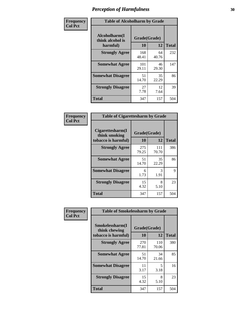| Frequency      | <b>Table of Alcoholharm by Grade</b>          |                    |             |              |
|----------------|-----------------------------------------------|--------------------|-------------|--------------|
| <b>Col Pct</b> | Alcoholharm(I<br>think alcohol is<br>harmful) | Grade(Grade)<br>10 | 12          | <b>Total</b> |
|                | <b>Strongly Agree</b>                         | 168<br>48.41       | 64<br>40.76 | 232          |
|                | <b>Somewhat Agree</b>                         | 101<br>29.11       | 46<br>29.30 | 147          |
|                | <b>Somewhat Disagree</b>                      | 51<br>14.70        | 35<br>22.29 | 86           |
|                | <b>Strongly Disagree</b>                      | 27<br>7.78         | 12<br>7.64  | 39           |
|                | <b>Total</b>                                  | 347                | 157         | 504          |

|                                                          | <b>Table of Cigarettesharm by Grade</b> |              |              |  |  |  |  |  |  |
|----------------------------------------------------------|-----------------------------------------|--------------|--------------|--|--|--|--|--|--|
| Cigarettesharm(I<br>think smoking<br>tobacco is harmful) | Grade(Grade)<br>10                      | 12           | <b>Total</b> |  |  |  |  |  |  |
| <b>Strongly Agree</b>                                    | 275<br>79.25                            | 111<br>70.70 | 386          |  |  |  |  |  |  |
| <b>Somewhat Agree</b>                                    | 51<br>14.70                             | 35<br>22.29  | 86           |  |  |  |  |  |  |
| <b>Somewhat Disagree</b>                                 | 6<br>1.73                               | 3<br>1.91    | 9            |  |  |  |  |  |  |
| <b>Strongly Disagree</b>                                 | 15<br>4.32                              | 8<br>5.10    | 23           |  |  |  |  |  |  |
| Total                                                    | 347                                     | 157          | 504          |  |  |  |  |  |  |

| Frequency      | <b>Table of Smokelessharm by Grade</b>                  |                    |              |              |
|----------------|---------------------------------------------------------|--------------------|--------------|--------------|
| <b>Col Pct</b> | Smokelessharm(I<br>think chewing<br>tobacco is harmful) | Grade(Grade)<br>10 | 12           | <b>Total</b> |
|                | <b>Strongly Agree</b>                                   | 270<br>77.81       | 110<br>70.06 | 380          |
|                | <b>Somewhat Agree</b>                                   | 51<br>14.70        | 34<br>21.66  | 85           |
|                | <b>Somewhat Disagree</b>                                | 11<br>3.17         | 5<br>3.18    | 16           |
|                | <b>Strongly Disagree</b>                                | 15<br>4.32         | 8<br>5.10    | 23           |
|                | <b>Total</b>                                            | 347                | 157          | 504          |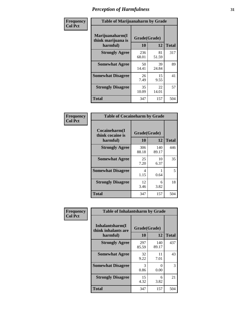| Frequency      | <b>Table of Marijuanaharm by Grade</b>            |                    |             |              |
|----------------|---------------------------------------------------|--------------------|-------------|--------------|
| <b>Col Pct</b> | Marijuanaharm(I<br>think marijuana is<br>harmful) | Grade(Grade)<br>10 | 12          | <b>Total</b> |
|                | <b>Strongly Agree</b>                             | 236<br>68.01       | 81<br>51.59 | 317          |
|                | <b>Somewhat Agree</b>                             | 50<br>14.41        | 39<br>24.84 | 89           |
|                | <b>Somewhat Disagree</b>                          | 26<br>7.49         | 15<br>9.55  | 41           |
|                | <b>Strongly Disagree</b>                          | 35<br>10.09        | 22<br>14.01 | 57           |
|                | <b>Total</b>                                      | 347                | 157         | 504          |

|                                               | <b>Table of Cocaineharm by Grade</b> |              |              |  |  |  |  |  |  |
|-----------------------------------------------|--------------------------------------|--------------|--------------|--|--|--|--|--|--|
| Cocaineharm(I<br>think cocaine is<br>harmful) | Grade(Grade)<br>10                   | 12           | <b>Total</b> |  |  |  |  |  |  |
| <b>Strongly Agree</b>                         | 306<br>88.18                         | 140<br>89.17 | 446          |  |  |  |  |  |  |
| <b>Somewhat Agree</b>                         | 25<br>7.20                           | 10<br>6.37   | 35           |  |  |  |  |  |  |
| <b>Somewhat Disagree</b>                      | 4<br>1.15                            | 0.64         | 5            |  |  |  |  |  |  |
| <b>Strongly Disagree</b>                      | 12<br>3.46                           | 6<br>3.82    | 18           |  |  |  |  |  |  |
| <b>Total</b>                                  | 347                                  | 157          | 504          |  |  |  |  |  |  |

| Frequency      | <b>Table of Inhalantsharm by Grade</b> |              |              |              |  |  |  |  |  |
|----------------|----------------------------------------|--------------|--------------|--------------|--|--|--|--|--|
| <b>Col Pct</b> | Inhalantsharm(I<br>think inhalants are | Grade(Grade) |              |              |  |  |  |  |  |
|                | harmful)                               | 10           | 12           | <b>Total</b> |  |  |  |  |  |
|                | <b>Strongly Agree</b>                  | 297<br>85.59 | 140<br>89.17 | 437          |  |  |  |  |  |
|                | <b>Somewhat Agree</b>                  | 32<br>9.22   | 11<br>7.01   | 43           |  |  |  |  |  |
|                | <b>Somewhat Disagree</b>               | 3<br>0.86    | 0<br>0.00    | 3            |  |  |  |  |  |
|                | <b>Strongly Disagree</b>               | 15<br>4.32   | 6<br>3.82    | 21           |  |  |  |  |  |
|                | <b>Total</b>                           | 347          | 157          | 504          |  |  |  |  |  |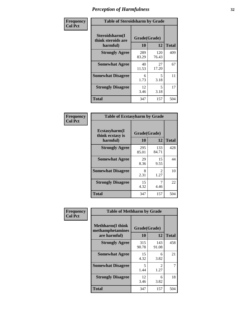| Frequency      | <b>Table of Steroidsharm by Grade</b>            |                    |              |              |
|----------------|--------------------------------------------------|--------------------|--------------|--------------|
| <b>Col Pct</b> | Steroidsharm(I<br>think steroids are<br>harmful) | Grade(Grade)<br>10 | 12           | <b>Total</b> |
|                | <b>Strongly Agree</b>                            | 289<br>83.29       | 120<br>76.43 | 409          |
|                | <b>Somewhat Agree</b>                            | 40<br>11.53        | 27<br>17.20  | 67           |
|                | <b>Somewhat Disagree</b>                         | 6<br>1.73          | 5<br>3.18    | 11           |
|                | <b>Strongly Disagree</b>                         | 12<br>3.46         | 5<br>3.18    | 17           |
|                | <b>Total</b>                                     | 347                | 157          | 504          |

| <b>Table of Ecstasyharm by Grade</b>                |                    |                        |     |  |  |
|-----------------------------------------------------|--------------------|------------------------|-----|--|--|
| $E$ cstasyharm $(I$<br>think ecstasy is<br>harmful) | Grade(Grade)<br>10 | <b>Total</b>           |     |  |  |
| <b>Strongly Agree</b>                               | 295<br>85.01       | 133<br>84.71           | 428 |  |  |
| <b>Somewhat Agree</b>                               | 29<br>8.36         | 15<br>9.55             | 44  |  |  |
| <b>Somewhat Disagree</b>                            | 8<br>2.31          | $\mathfrak{D}$<br>1.27 | 10  |  |  |
| <b>Strongly Disagree</b>                            | 15<br>4.32         | 4.46                   | 22  |  |  |
| Total                                               | 347                | 157                    | 504 |  |  |

| Frequency      | <b>Table of Methharm by Grade</b>                            |                    |                       |              |
|----------------|--------------------------------------------------------------|--------------------|-----------------------|--------------|
| <b>Col Pct</b> | <b>Methharm</b> (I think<br>methamphetamines<br>are harmful) | Grade(Grade)<br>10 | 12                    | <b>Total</b> |
|                | <b>Strongly Agree</b>                                        | 315<br>90.78       | 143<br>91.08          | 458          |
|                | <b>Somewhat Agree</b>                                        | 15<br>4.32         | 6<br>3.82             | 21           |
|                | <b>Somewhat Disagree</b>                                     | 5<br>1.44          | $\mathcal{L}$<br>1.27 | 7            |
|                | <b>Strongly Disagree</b>                                     | 12<br>3.46         | 6<br>3.82             | 18           |
|                | <b>Total</b>                                                 | 347                | 157                   | 504          |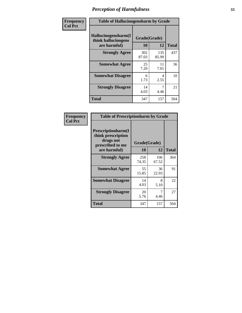| Frequency      | <b>Table of Hallucinogensharm by Grade</b>                 |                    |              |              |
|----------------|------------------------------------------------------------|--------------------|--------------|--------------|
| <b>Col Pct</b> | Hallucinogensharm(I<br>think hallucinogens<br>are harmful) | Grade(Grade)<br>10 | 12           | <b>Total</b> |
|                | <b>Strongly Agree</b>                                      | 302<br>87.03       | 135<br>85.99 | 437          |
|                | <b>Somewhat Agree</b>                                      | 25<br>7.20         | 11<br>7.01   | 36           |
|                | <b>Somewhat Disagree</b>                                   | 6<br>1.73          | 4<br>2.55    | 10           |
|                | <b>Strongly Disagree</b>                                   | 14<br>4.03         | 7<br>4.46    | 21           |
|                | <b>Total</b>                                               | 347                | 157          | 504          |

| <b>Table of Prescriptionharm by Grade</b>                                 |              |              |              |  |  |
|---------------------------------------------------------------------------|--------------|--------------|--------------|--|--|
| Prescriptionharm(I<br>think prescription<br>drugs not<br>prescribed to me | Grade(Grade) |              |              |  |  |
| are harmful)                                                              | 10           | 12           | <b>Total</b> |  |  |
| <b>Strongly Agree</b>                                                     | 258<br>74.35 | 106<br>67.52 | 364          |  |  |
| <b>Somewhat Agree</b>                                                     | 55<br>15.85  | 36<br>22.93  | 91           |  |  |
| <b>Somewhat Disagree</b>                                                  | 14<br>4.03   | 8<br>5.10    | 22           |  |  |
| <b>Strongly Disagree</b>                                                  | 20<br>5.76   | 4.46         | 27           |  |  |
| Total                                                                     | 347          | 157          | 504          |  |  |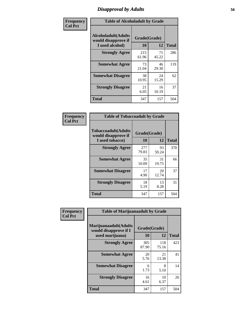# *Disapproval by Adults* **34**

| Frequency      | <b>Table of Alcoholadult by Grade</b>                                 |                    |             |              |
|----------------|-----------------------------------------------------------------------|--------------------|-------------|--------------|
| <b>Col Pct</b> | <b>Alcoholadult</b> (Adults<br>would disapprove if<br>I used alcohol) | Grade(Grade)<br>10 | 12          | <b>Total</b> |
|                | <b>Strongly Agree</b>                                                 | 215<br>61.96       | 71<br>45.22 | 286          |
|                | <b>Somewhat Agree</b>                                                 | 73<br>21.04        | 46<br>29.30 | 119          |
|                | <b>Somewhat Disagree</b>                                              | 38<br>10.95        | 24<br>15.29 | 62           |
|                | <b>Strongly Disagree</b>                                              | 21<br>6.05         | 16<br>10.19 | 37           |
|                | <b>Total</b>                                                          | 347                | 157         | 504          |

| <b>Table of Tobaccoadult by Grade</b>                                                             |              |             |     |  |  |
|---------------------------------------------------------------------------------------------------|--------------|-------------|-----|--|--|
| <b>Tobaccoadult</b> (Adults<br>Grade(Grade)<br>would disapprove if<br>10<br>12<br>I used tobacco) |              |             |     |  |  |
| <b>Strongly Agree</b>                                                                             | 277<br>79.83 | 93<br>59.24 | 370 |  |  |
| <b>Somewhat Agree</b>                                                                             | 35<br>10.09  | 31<br>19.75 | 66  |  |  |
| <b>Somewhat Disagree</b>                                                                          | 17<br>4.90   | 20<br>12.74 | 37  |  |  |
| <b>Strongly Disagree</b>                                                                          | 18<br>5.19   | 13<br>8.28  | 31  |  |  |
| Total                                                                                             | 347          | 157         | 504 |  |  |

| Frequency      | <b>Table of Marijuanaadult by Grade</b>                           |                    |              |              |
|----------------|-------------------------------------------------------------------|--------------------|--------------|--------------|
| <b>Col Pct</b> | Marijuanaadult(Adults<br>would disapprove if I<br>used marijuana) | Grade(Grade)<br>10 | 12           | <b>Total</b> |
|                | <b>Strongly Agree</b>                                             | 305<br>87.90       | 118<br>75.16 | 423          |
|                | <b>Somewhat Agree</b>                                             | 20<br>5.76         | 21<br>13.38  | 41           |
|                | <b>Somewhat Disagree</b>                                          | 6<br>1.73          | 8<br>5.10    | 14           |
|                | <b>Strongly Disagree</b>                                          | 16<br>4.61         | 10<br>6.37   | 26           |
|                | <b>Total</b>                                                      | 347                | 157          | 504          |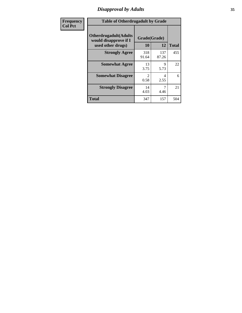# *Disapproval by Adults* **35**

| <b>Frequency</b> | <b>Table of Otherdrugadult by Grade</b>                                     |                    |              |              |
|------------------|-----------------------------------------------------------------------------|--------------------|--------------|--------------|
| <b>Col Pct</b>   | <b>Otherdrugadult</b> (Adults<br>would disapprove if I<br>used other drugs) | Grade(Grade)<br>10 | 12           | <b>Total</b> |
|                  | <b>Strongly Agree</b>                                                       | 318<br>91.64       | 137<br>87.26 | 455          |
|                  | <b>Somewhat Agree</b>                                                       | 13<br>3.75         | 9<br>5.73    | 22           |
|                  | <b>Somewhat Disagree</b>                                                    | 2<br>0.58          | 4<br>2.55    | 6            |
|                  | <b>Strongly Disagree</b>                                                    | 14<br>4.03         | 4.46         | 21           |
|                  | <b>Total</b>                                                                | 347                | 157          | 504          |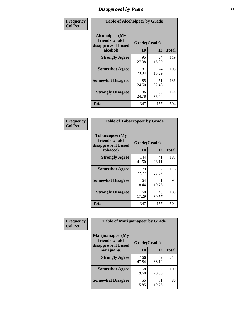# *Disapproval by Peers* **36**

| Frequency      | <b>Table of Alcoholpeer by Grade</b>                    |              |             |              |
|----------------|---------------------------------------------------------|--------------|-------------|--------------|
| <b>Col Pct</b> | Alcoholpeer(My<br>friends would<br>disapprove if I used | Grade(Grade) |             |              |
|                | alcohol)                                                | 10           | 12          | <b>Total</b> |
|                | <b>Strongly Agree</b>                                   | 95<br>27.38  | 24<br>15.29 | 119          |
|                | <b>Somewhat Agree</b>                                   | 81<br>23.34  | 24<br>15.29 | 105          |
|                | <b>Somewhat Disagree</b>                                | 85<br>24.50  | 51<br>32.48 | 136          |
|                | <b>Strongly Disagree</b>                                | 86<br>24.78  | 58<br>36.94 | 144          |
|                | Total                                                   | 347          | 157         | 504          |

| Frequency      | <b>Table of Tobaccopeer by Grade</b>                    |              |             |              |
|----------------|---------------------------------------------------------|--------------|-------------|--------------|
| <b>Col Pct</b> | Tobaccopeer(My<br>friends would<br>disapprove if I used | Grade(Grade) |             |              |
|                | tobacco)                                                | 10           | 12          | <b>Total</b> |
|                | <b>Strongly Agree</b>                                   | 144<br>41.50 | 41<br>26.11 | 185          |
|                | <b>Somewhat Agree</b>                                   | 79<br>22.77  | 37<br>23.57 | 116          |
|                | <b>Somewhat Disagree</b>                                | 64<br>18.44  | 31<br>19.75 | 95           |
|                | <b>Strongly Disagree</b>                                | 60<br>17.29  | 48<br>30.57 | 108          |
|                | Total                                                   | 347          | 157         | 504          |

| Frequency      | <b>Table of Marijuanapeer by Grade</b>                    |              |             |              |
|----------------|-----------------------------------------------------------|--------------|-------------|--------------|
| <b>Col Pct</b> | Marijuanapeer(My<br>friends would<br>disapprove if I used | Grade(Grade) |             |              |
|                | marijuana)                                                | 10           | 12          | <b>Total</b> |
|                | <b>Strongly Agree</b>                                     | 166<br>47.84 | 52<br>33.12 | 218          |
|                | <b>Somewhat Agree</b>                                     | 68<br>19.60  | 32<br>20.38 | 100          |
|                | <b>Somewhat Disagree</b>                                  | 55<br>15.85  | 31<br>19.75 | 86           |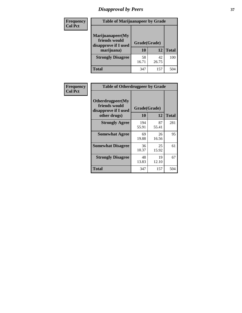# *Disapproval by Peers* **37**

| Frequency<br><b>Col Pct</b> | <b>Table of Marijuanapeer by Grade</b>                                  |                    |             |              |
|-----------------------------|-------------------------------------------------------------------------|--------------------|-------------|--------------|
|                             | Marijuanapeer(My<br>friends would<br>disapprove if I used<br>marijuana) | Grade(Grade)<br>10 | 12          | <b>Total</b> |
|                             | <b>Strongly Disagree</b>                                                | 58<br>16.71        | 42<br>26.75 | 100          |
|                             | Total                                                                   | 347                | 157         | 504          |

| <b>Frequency</b> | <b>Table of Otherdrugpeer by Grade</b>                                    |                           |             |              |
|------------------|---------------------------------------------------------------------------|---------------------------|-------------|--------------|
| <b>Col Pct</b>   | Otherdrugpeer(My<br>friends would<br>disapprove if I used<br>other drugs) | Grade(Grade)<br><b>10</b> | 12          | <b>Total</b> |
|                  | <b>Strongly Agree</b>                                                     | 194                       | 87          | 281          |
|                  |                                                                           | 55.91                     | 55.41       |              |
|                  | <b>Somewhat Agree</b>                                                     | 69<br>19.88               | 26<br>16.56 | 95           |
|                  | <b>Somewhat Disagree</b>                                                  | 36<br>10.37               | 25<br>15.92 | 61           |
|                  | <b>Strongly Disagree</b>                                                  | 48<br>13.83               | 19<br>12.10 | 67           |
|                  | Total                                                                     | 347                       | 157         | 504          |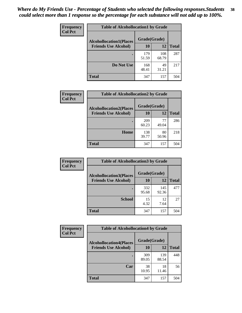| Frequency      | <b>Table of Alcohollocation1 by Grade</b> |              |              |              |  |
|----------------|-------------------------------------------|--------------|--------------|--------------|--|
| <b>Col Pct</b> | <b>Alcohollocation1(Places</b>            | Grade(Grade) |              |              |  |
|                | <b>Friends Use Alcohol)</b>               | 10           | 12           | <b>Total</b> |  |
|                |                                           | 179<br>51.59 | 108<br>68.79 | 287          |  |
|                | Do Not Use                                | 168<br>48.41 | 49<br>31.21  | 217          |  |
|                | <b>Total</b>                              | 347          | 157          | 504          |  |

| Frequency      | <b>Table of Alcohollocation2 by Grade</b>                     |                    |             |              |  |
|----------------|---------------------------------------------------------------|--------------------|-------------|--------------|--|
| <b>Col Pct</b> | <b>Alcohollocation2(Places</b><br><b>Friends Use Alcohol)</b> | Grade(Grade)<br>10 | 12          | <b>Total</b> |  |
|                |                                                               | 209<br>60.23       | 77<br>49.04 | 286          |  |
|                | Home                                                          | 138<br>39.77       | 80<br>50.96 | 218          |  |
|                | Total                                                         | 347                | 157         | 504          |  |

| Frequency<br><b>Col Pct</b> | <b>Table of Alcohollocation 3 by Grade</b>                    |                    |              |              |
|-----------------------------|---------------------------------------------------------------|--------------------|--------------|--------------|
|                             | <b>Alcohollocation3(Places</b><br><b>Friends Use Alcohol)</b> | Grade(Grade)<br>10 | 12           | <b>Total</b> |
|                             |                                                               | 332<br>95.68       | 145<br>92.36 | 477          |
|                             | <b>School</b>                                                 | 15<br>4.32         | 12<br>7.64   | 27           |
|                             | <b>Total</b>                                                  | 347                | 157          | 504          |

| Frequency      | <b>Table of Alcohollocation4 by Grade</b> |              |              |              |
|----------------|-------------------------------------------|--------------|--------------|--------------|
| <b>Col Pct</b> | <b>Alcohollocation4(Places</b>            | Grade(Grade) |              |              |
|                | <b>Friends Use Alcohol)</b>               | 10           | 12           | <b>Total</b> |
|                |                                           | 309<br>89.05 | 139<br>88.54 | 448          |
|                | Car                                       | 38<br>10.95  | 18<br>11.46  | 56           |
|                | <b>Total</b>                              | 347          | 157          | 504          |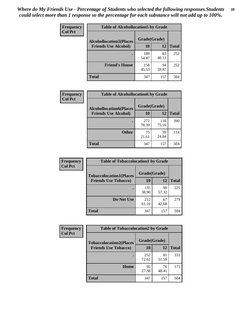| Frequency<br><b>Col Pct</b> | <b>Table of Alcohollocation5 by Grade</b> |              |             |              |
|-----------------------------|-------------------------------------------|--------------|-------------|--------------|
|                             | <b>Alcohollocation5(Places</b>            | Grade(Grade) |             |              |
|                             | <b>Friends Use Alcohol)</b>               | 10           | 12          | <b>Total</b> |
|                             |                                           | 189<br>54.47 | 63<br>40.13 | 252          |
|                             | <b>Friend's House</b>                     | 158<br>45.53 | 94<br>59.87 | 252          |
|                             | <b>Total</b>                              | 347          | 157         | 504          |

| <b>Frequency</b> | <b>Table of Alcohollocation6 by Grade</b>                     |                           |              |              |
|------------------|---------------------------------------------------------------|---------------------------|--------------|--------------|
| <b>Col Pct</b>   | <b>Alcohollocation6(Places</b><br><b>Friends Use Alcohol)</b> | Grade(Grade)<br><b>10</b> | 12           | <b>Total</b> |
|                  |                                                               |                           |              |              |
|                  |                                                               | 272<br>78.39              | 118<br>75.16 | 390          |
|                  | <b>Other</b>                                                  | 75<br>21.61               | 39<br>24.84  | 114          |
|                  | <b>Total</b>                                                  | 347                       | 157          | 504          |

| <b>Frequency</b> | <b>Table of Tobaccolocation1 by Grade</b> |              |             |              |
|------------------|-------------------------------------------|--------------|-------------|--------------|
| <b>Col Pct</b>   | <b>Tobaccolocation1(Places</b>            | Grade(Grade) |             |              |
|                  | <b>Friends Use Tobacco)</b>               | 10           | 12          | <b>Total</b> |
|                  |                                           | 135<br>38.90 | 90<br>57.32 | 225          |
|                  | Do Not Use                                | 212<br>61.10 | 67<br>42.68 | 279          |
|                  | <b>Total</b>                              | 347          | 157         | 504          |

| <b>Frequency</b> | <b>Table of Tobaccolocation2 by Grade</b> |              |             |              |
|------------------|-------------------------------------------|--------------|-------------|--------------|
| <b>Col Pct</b>   | <b>Tobaccolocation2(Places</b>            | Grade(Grade) |             |              |
|                  | <b>Friends Use Tobacco)</b>               | 10           | 12          | <b>Total</b> |
|                  |                                           | 252<br>72.62 | 81<br>51.59 | 333          |
|                  | Home                                      | 95<br>27.38  | 76<br>48.41 | 171          |
|                  | <b>Total</b>                              | 347          | 157         | 504          |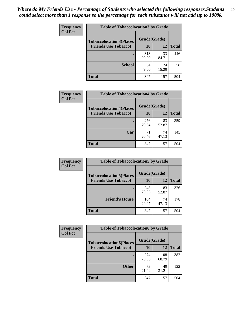| Frequency      | <b>Table of Tobaccolocation 3 by Grade</b> |              |              |              |
|----------------|--------------------------------------------|--------------|--------------|--------------|
| <b>Col Pct</b> | <b>Tobaccolocation3(Places</b>             | Grade(Grade) |              |              |
|                | <b>Friends Use Tobacco)</b>                | 10           | <b>12</b>    | <b>Total</b> |
|                |                                            | 313<br>90.20 | 133<br>84.71 | 446          |
|                | <b>School</b>                              | 34<br>9.80   | 24<br>15.29  | 58           |
|                | <b>Total</b>                               | 347          | 157          | 504          |

| <b>Frequency</b><br><b>Col Pct</b> | <b>Table of Tobaccolocation4 by Grade</b> |              |             |              |
|------------------------------------|-------------------------------------------|--------------|-------------|--------------|
|                                    | <b>Tobaccolocation4(Places</b>            | Grade(Grade) |             |              |
|                                    | <b>Friends Use Tobacco)</b>               | 10           | <b>12</b>   | <b>Total</b> |
|                                    |                                           | 276<br>79.54 | 83<br>52.87 | 359          |
|                                    | Car                                       | 71<br>20.46  | 74<br>47.13 | 145          |
|                                    | <b>Total</b>                              | 347          | 157         | 504          |

| Frequency      | <b>Table of Tobaccolocation5 by Grade</b> |              |             |              |
|----------------|-------------------------------------------|--------------|-------------|--------------|
| <b>Col Pct</b> | <b>Tobaccolocation5(Places</b>            | Grade(Grade) |             |              |
|                | <b>Friends Use Tobacco)</b>               | 10           | 12          | <b>Total</b> |
|                |                                           | 243<br>70.03 | 83<br>52.87 | 326          |
|                | <b>Friend's House</b>                     | 104<br>29.97 | 74<br>47.13 | 178          |
|                | <b>Total</b>                              | 347          | 157         | 504          |

| Frequency      | <b>Table of Tobaccolocation6 by Grade</b> |              |              |              |
|----------------|-------------------------------------------|--------------|--------------|--------------|
| <b>Col Pct</b> | <b>Tobaccolocation6(Places</b>            | Grade(Grade) |              |              |
|                | <b>Friends Use Tobacco)</b>               | 10           | 12           | <b>Total</b> |
|                |                                           | 274<br>78.96 | 108<br>68.79 | 382          |
|                | <b>Other</b>                              | 73<br>21.04  | 49<br>31.21  | 122          |
|                | <b>Total</b>                              | 347          | 157          | 504          |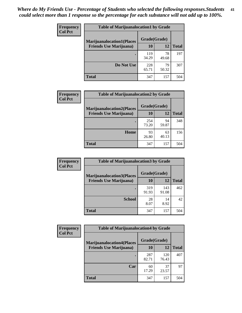| Frequency      | <b>Table of Marijuanalocation1 by Grade</b> |              |             |              |  |
|----------------|---------------------------------------------|--------------|-------------|--------------|--|
| <b>Col Pct</b> | <b>Marijuanalocation1(Places</b>            | Grade(Grade) |             |              |  |
|                | <b>Friends Use Marijuana</b> )              | 10           | 12          | <b>Total</b> |  |
|                |                                             | 119<br>34.29 | 78<br>49.68 | 197          |  |
|                | Do Not Use                                  | 228<br>65.71 | 79<br>50.32 | 307          |  |
|                | <b>Total</b>                                | 347          | 157         | 504          |  |

| <b>Frequency</b> | <b>Table of Marijuanalocation2 by Grade</b>                        |                    |             |              |  |
|------------------|--------------------------------------------------------------------|--------------------|-------------|--------------|--|
| <b>Col Pct</b>   | <b>Marijuanalocation2(Places</b><br><b>Friends Use Marijuana</b> ) | Grade(Grade)<br>10 | 12          | <b>Total</b> |  |
|                  |                                                                    | 254<br>73.20       | 94<br>59.87 | 348          |  |
|                  | Home                                                               | 93<br>26.80        | 63<br>40.13 | 156          |  |
|                  | <b>Total</b>                                                       | 347                | 157         | 504          |  |

| Frequency<br><b>Col Pct</b> | <b>Table of Marijuanalocation3 by Grade</b> |              |              |              |
|-----------------------------|---------------------------------------------|--------------|--------------|--------------|
|                             | <b>Marijuanalocation3</b> (Places           | Grade(Grade) |              |              |
|                             | <b>Friends Use Marijuana</b> )              | <b>10</b>    | 12           | <b>Total</b> |
|                             |                                             | 319<br>91.93 | 143<br>91.08 | 462          |
|                             | <b>School</b>                               | 28<br>8.07   | 14<br>8.92   | 42           |
|                             | <b>Total</b>                                | 347          | 157          | 504          |

| <b>Frequency</b> | <b>Table of Marijuanalocation4 by Grade</b> |              |              |              |
|------------------|---------------------------------------------|--------------|--------------|--------------|
| <b>Col Pct</b>   | <b>Marijuanalocation4(Places</b>            | Grade(Grade) |              |              |
|                  | <b>Friends Use Marijuana</b> )              | 10           | 12           | <b>Total</b> |
|                  |                                             | 287<br>82.71 | 120<br>76.43 | 407          |
|                  | Car                                         | 60<br>17.29  | 37<br>23.57  | 97           |
|                  | <b>Total</b>                                | 347          | 157          | 504          |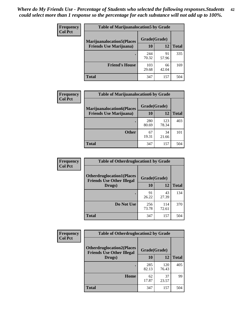| <b>Frequency</b> | <b>Table of Marijuanalocation5 by Grade</b> |              |             |              |  |
|------------------|---------------------------------------------|--------------|-------------|--------------|--|
| <b>Col Pct</b>   | <b>Marijuanalocation5(Places</b>            | Grade(Grade) |             |              |  |
|                  | <b>Friends Use Marijuana</b> )              | 10           | 12          | <b>Total</b> |  |
|                  |                                             | 244<br>70.32 | 91<br>57.96 | 335          |  |
|                  | <b>Friend's House</b>                       | 103<br>29.68 | 66<br>42.04 | 169          |  |
|                  | <b>Total</b>                                | 347          | 157         | 504          |  |

| <b>Frequency</b> | <b>Table of Marijuanalocation6 by Grade</b>                        |                           |              |              |
|------------------|--------------------------------------------------------------------|---------------------------|--------------|--------------|
| <b>Col Pct</b>   | <b>Marijuanalocation6(Places</b><br><b>Friends Use Marijuana</b> ) | Grade(Grade)<br><b>10</b> | 12           | <b>Total</b> |
|                  |                                                                    | 280<br>80.69              | 123<br>78.34 | 403          |
|                  | <b>Other</b>                                                       | 67<br>19.31               | 34<br>21.66  | 101          |
|                  | <b>Total</b>                                                       | 347                       | 157          | 504          |

| <b>Frequency</b> | <b>Table of Otherdruglocation1 by Grade</b>                          |              |              |              |
|------------------|----------------------------------------------------------------------|--------------|--------------|--------------|
| <b>Col Pct</b>   | <b>Otherdruglocation1(Places</b><br><b>Friends Use Other Illegal</b> | Grade(Grade) |              |              |
|                  | Drugs)                                                               | 10           | 12           | <b>Total</b> |
|                  |                                                                      | 91<br>26.22  | 43<br>27.39  | 134          |
|                  | Do Not Use                                                           | 256<br>73.78 | 114<br>72.61 | 370          |
|                  | <b>Total</b>                                                         | 347          | 157          | 504          |

| <b>Frequency</b> | <b>Table of Otherdruglocation2 by Grade</b>                          |              |              |              |
|------------------|----------------------------------------------------------------------|--------------|--------------|--------------|
| <b>Col Pct</b>   | <b>Otherdruglocation2(Places</b><br><b>Friends Use Other Illegal</b> | Grade(Grade) |              |              |
|                  | Drugs)                                                               | <b>10</b>    | 12           | <b>Total</b> |
|                  |                                                                      | 285<br>82.13 | 120<br>76.43 | 405          |
|                  | Home                                                                 | 62<br>17.87  | 37<br>23.57  | 99           |
|                  | <b>Total</b>                                                         | 347          | 157          | 504          |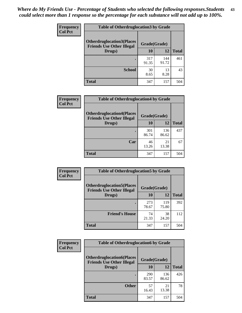| <b>Frequency</b> | <b>Table of Otherdruglocation 3 by Grade</b> |                                                  |              |              |
|------------------|----------------------------------------------|--------------------------------------------------|--------------|--------------|
| <b>Col Pct</b>   | <b>Otherdruglocation3(Places)</b>            | Grade(Grade)<br><b>Friends Use Other Illegal</b> |              |              |
|                  | Drugs)                                       | 10                                               | 12           | <b>Total</b> |
|                  |                                              | 317<br>91.35                                     | 144<br>91.72 | 461          |
|                  | <b>School</b>                                | 30<br>8.65                                       | 13<br>8.28   | 43           |
|                  | <b>Total</b>                                 | 347                                              | 157          | 504          |

| Frequency      | <b>Table of Otherdruglocation4 by Grade</b>                          |              |              |              |
|----------------|----------------------------------------------------------------------|--------------|--------------|--------------|
| <b>Col Pct</b> | <b>Otherdruglocation4(Places</b><br><b>Friends Use Other Illegal</b> | Grade(Grade) |              |              |
|                | Drugs)                                                               | <b>10</b>    | 12           | <b>Total</b> |
|                |                                                                      | 301<br>86.74 | 136<br>86.62 | 437          |
|                | Car                                                                  | 46<br>13.26  | 21<br>13.38  | 67           |
|                | <b>Total</b>                                                         | 347          | 157          | 504          |

| <b>Frequency</b> | <b>Table of Otherdruglocation5 by Grade</b>                          |              |              |              |
|------------------|----------------------------------------------------------------------|--------------|--------------|--------------|
| <b>Col Pct</b>   | <b>Otherdruglocation5(Places</b><br><b>Friends Use Other Illegal</b> | Grade(Grade) |              |              |
|                  | Drugs)                                                               | 10           | 12           | <b>Total</b> |
|                  |                                                                      | 273<br>78.67 | 119<br>75.80 | 392          |
|                  | <b>Friend's House</b>                                                | 74<br>21.33  | 38<br>24.20  | 112          |
|                  | <b>Total</b>                                                         | 347          | 157          | 504          |

| <b>Frequency</b> | <b>Table of Otherdruglocation6 by Grade</b>                          |              |              |              |
|------------------|----------------------------------------------------------------------|--------------|--------------|--------------|
| <b>Col Pct</b>   | <b>Otherdruglocation6(Places</b><br><b>Friends Use Other Illegal</b> | Grade(Grade) |              |              |
|                  | Drugs)                                                               | 10           | 12           | <b>Total</b> |
|                  |                                                                      | 290<br>83.57 | 136<br>86.62 | 426          |
|                  | <b>Other</b>                                                         | 57<br>16.43  | 21<br>13.38  | 78           |
|                  | <b>Total</b>                                                         | 347          | 157          | 504          |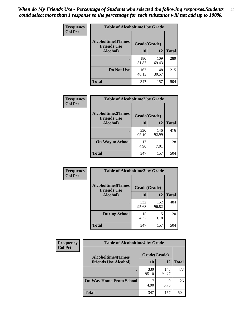| Frequency      | <b>Table of Alcoholtime1 by Grade</b> |              |              |              |
|----------------|---------------------------------------|--------------|--------------|--------------|
| <b>Col Pct</b> | <b>Alcoholtime1(Times</b>             | Grade(Grade) |              |              |
|                | <b>Friends Use</b><br>Alcohol)        | 10           | 12           | <b>Total</b> |
|                |                                       | 180<br>51.87 | 109<br>69.43 | 289          |
|                | Do Not Use                            | 167<br>48.13 | 48<br>30.57  | 215          |
|                | <b>Total</b>                          | 347          | 157          | 504          |

| Frequency      | <b>Table of Alcoholtime2 by Grade</b>           |              |              |              |  |
|----------------|-------------------------------------------------|--------------|--------------|--------------|--|
| <b>Col Pct</b> | <b>Alcoholtime2(Times</b><br><b>Friends Use</b> | Grade(Grade) |              |              |  |
|                | Alcohol)                                        | 10           | 12           | <b>Total</b> |  |
|                |                                                 | 330<br>95.10 | 146<br>92.99 | 476          |  |
|                | <b>On Way to School</b>                         | 17<br>4.90   | 11<br>7.01   | 28           |  |
|                | <b>Total</b>                                    | 347          | 157          | 504          |  |

| Frequency<br><b>Col Pct</b> | <b>Table of Alcoholtime3 by Grade</b>                           |              |              |              |
|-----------------------------|-----------------------------------------------------------------|--------------|--------------|--------------|
|                             | <b>Alcoholtime3(Times</b><br>Grade(Grade)<br><b>Friends Use</b> |              |              |              |
|                             | Alcohol)                                                        | 10           | 12           | <b>Total</b> |
|                             |                                                                 | 332<br>95.68 | 152<br>96.82 | 484          |
|                             | <b>During School</b>                                            | 15<br>4.32   | 5<br>3.18    | 20           |
|                             | Total                                                           | 347          | 157          | 504          |

| <b>Frequency</b> | <b>Table of Alcoholtime4 by Grade</b> |              |              |              |  |
|------------------|---------------------------------------|--------------|--------------|--------------|--|
| <b>Col Pct</b>   | <b>Alcoholtime4(Times</b>             | Grade(Grade) |              |              |  |
|                  | <b>Friends Use Alcohol)</b>           | 10           | 12           | <b>Total</b> |  |
|                  | ٠                                     | 330<br>95.10 | 148<br>94.27 | 478          |  |
|                  | <b>On Way Home From School</b>        | 17<br>4.90   | Q<br>5.73    | 26           |  |
|                  | <b>Total</b>                          | 347          | 157          | 504          |  |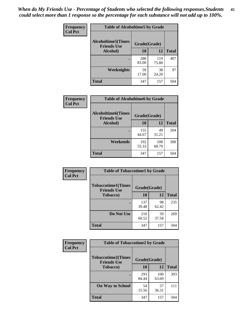*When do My Friends Use - Percentage of Students who selected the following responses.Students could select more than 1 response so the percentage for each substance will not add up to 100%.* **45**

| Frequency      | <b>Table of Alcoholtime5 by Grade</b>           |              |              |              |
|----------------|-------------------------------------------------|--------------|--------------|--------------|
| <b>Col Pct</b> | <b>Alcoholtime5(Times</b><br><b>Friends Use</b> | Grade(Grade) |              |              |
|                | Alcohol)                                        | 10           | 12           | <b>Total</b> |
|                |                                                 | 288<br>83.00 | 119<br>75.80 | 407          |
|                | Weeknights                                      | 59<br>17.00  | 38<br>24.20  | 97           |
|                | <b>Total</b>                                    | 347          | 157          | 504          |

| Frequency      | <b>Table of Alcoholtime6 by Grade</b>           |              |              |              |
|----------------|-------------------------------------------------|--------------|--------------|--------------|
| <b>Col Pct</b> | <b>Alcoholtime6(Times</b><br><b>Friends Use</b> | Grade(Grade) |              |              |
|                | Alcohol)                                        | 10           | 12           | <b>Total</b> |
|                |                                                 | 155<br>44.67 | 49<br>31.21  | 204          |
|                | Weekends                                        | 192<br>55.33 | 108<br>68.79 | 300          |
|                | <b>Total</b>                                    | 347          | 157          | 504          |

| Frequency<br><b>Col Pct</b> | <b>Table of Tobaccotime1 by Grade</b>           |              |             |              |
|-----------------------------|-------------------------------------------------|--------------|-------------|--------------|
|                             | <b>Tobaccotime1(Times</b><br><b>Friends Use</b> |              |             |              |
|                             | <b>Tobacco</b> )                                | 10           | 12          | <b>Total</b> |
|                             |                                                 | 137<br>39.48 | 98<br>62.42 | 235          |
|                             | Do Not Use                                      | 210<br>60.52 | 59<br>37.58 | 269          |
|                             | <b>Total</b>                                    | 347          | 157         | 504          |

| <b>Frequency</b> | <b>Table of Tobaccotime2 by Grade</b>           |              |              |              |
|------------------|-------------------------------------------------|--------------|--------------|--------------|
| <b>Col Pct</b>   | <b>Tobaccotime2(Times</b><br><b>Friends Use</b> | Grade(Grade) |              |              |
|                  | <b>Tobacco</b> )                                | 10           | 12           | <b>Total</b> |
|                  |                                                 | 293<br>84.44 | 100<br>63.69 | 393          |
|                  | <b>On Way to School</b>                         | 54<br>15.56  | 57<br>36.31  | 111          |
|                  | <b>Total</b>                                    | 347          | 157          | 504          |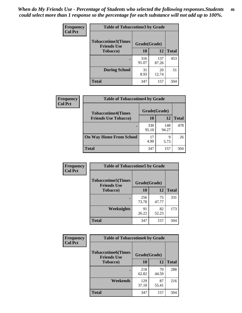*When do My Friends Use - Percentage of Students who selected the following responses.Students could select more than 1 response so the percentage for each substance will not add up to 100%.* **46**

| <b>Frequency</b> | <b>Table of Tobaccotime3 by Grade</b>           |              |              |              |
|------------------|-------------------------------------------------|--------------|--------------|--------------|
| <b>Col Pct</b>   | <b>Tobaccotime3(Times</b><br><b>Friends Use</b> | Grade(Grade) |              |              |
|                  | <b>Tobacco</b> )                                | 10           | 12           | <b>Total</b> |
|                  |                                                 | 316<br>91.07 | 137<br>87.26 | 453          |
|                  | <b>During School</b>                            | 31<br>8.93   | 20<br>12.74  | 51           |
|                  | <b>Total</b>                                    | 347          | 157          | 504          |

| <b>Frequency</b><br><b>Col Pct</b> | <b>Table of Tobaccotime4 by Grade</b> |              |              |              |
|------------------------------------|---------------------------------------|--------------|--------------|--------------|
|                                    | <b>Tobaccotime4(Times</b>             | Grade(Grade) |              |              |
|                                    | <b>Friends Use Tobacco)</b>           | 10           | 12           | <b>Total</b> |
|                                    |                                       | 330<br>95.10 | 148<br>94.27 | 478          |
|                                    | <b>On Way Home From School</b>        | 17<br>4.90   | 9<br>5.73    | 26           |
|                                    | <b>Total</b>                          | 347          | 157          | 504          |

| Frequency      | <b>Table of Tobaccotime5 by Grade</b>           |              |             |              |
|----------------|-------------------------------------------------|--------------|-------------|--------------|
| <b>Col Pct</b> | <b>Tobaccotime5(Times</b><br><b>Friends Use</b> | Grade(Grade) |             |              |
|                | <b>Tobacco</b> )                                | 10           | 12          | <b>Total</b> |
|                |                                                 | 256<br>73.78 | 75<br>47.77 | 331          |
|                | Weeknights                                      | 91<br>26.22  | 82<br>52.23 | 173          |
|                | <b>Total</b>                                    | 347          | 157         | 504          |

| Frequency      | <b>Table of Tobaccotime6 by Grade</b>           |              |             |              |
|----------------|-------------------------------------------------|--------------|-------------|--------------|
| <b>Col Pct</b> | <b>Tobaccotime6(Times</b><br><b>Friends Use</b> | Grade(Grade) |             |              |
|                | <b>Tobacco</b> )                                | 10           | 12          | <b>Total</b> |
|                | ٠                                               | 218<br>62.82 | 70<br>44.59 | 288          |
|                | Weekends                                        | 129<br>37.18 | 87<br>55.41 | 216          |
|                | <b>Total</b>                                    | 347          | 157         | 504          |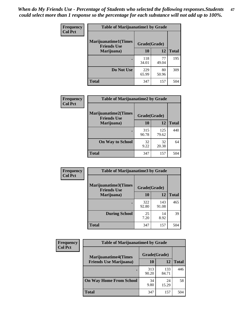| Frequency      | <b>Table of Marijuanatime1 by Grade</b>           |              |             |              |
|----------------|---------------------------------------------------|--------------|-------------|--------------|
| <b>Col Pct</b> | <b>Marijuanatime1(Times</b><br><b>Friends Use</b> | Grade(Grade) |             |              |
|                | Marijuana)                                        | 10           | 12          | <b>Total</b> |
|                |                                                   | 118<br>34.01 | 77<br>49.04 | 195          |
|                | Do Not Use                                        | 229<br>65.99 | 80<br>50.96 | 309          |
|                | <b>Total</b>                                      | 347          | 157         | 504          |

| Frequency      | <b>Table of Marijuanatime2 by Grade</b>           |              |              |              |
|----------------|---------------------------------------------------|--------------|--------------|--------------|
| <b>Col Pct</b> | <b>Marijuanatime2(Times</b><br><b>Friends Use</b> | Grade(Grade) |              |              |
|                | Marijuana)                                        | 10           | 12           | <b>Total</b> |
|                |                                                   | 315<br>90.78 | 125<br>79.62 | 440          |
|                | <b>On Way to School</b>                           | 32<br>9.22   | 32<br>20.38  | 64           |
|                | <b>Total</b>                                      | 347          | 157          | 504          |

| <b>Frequency</b><br><b>Col Pct</b> | <b>Table of Marijuanatime3 by Grade</b>    |              |              |              |  |
|------------------------------------|--------------------------------------------|--------------|--------------|--------------|--|
|                                    | Marijuanatime3(Times<br><b>Friends Use</b> | Grade(Grade) |              |              |  |
|                                    | Marijuana)                                 | 10           | 12           | <b>Total</b> |  |
|                                    |                                            | 322<br>92.80 | 143<br>91.08 | 465          |  |
|                                    | <b>During School</b>                       | 25<br>7.20   | 14<br>8.92   | 39           |  |
|                                    | Total                                      | 347          | 157          | 504          |  |

| <b>Frequency</b> | <b>Table of Marijuanatime4 by Grade</b> |              |              |              |
|------------------|-----------------------------------------|--------------|--------------|--------------|
| <b>Col Pct</b>   | <b>Marijuanatime4</b> (Times            | Grade(Grade) |              |              |
|                  | <b>Friends Use Marijuana</b> )          | 10           | 12           | <b>Total</b> |
|                  |                                         | 313<br>90.20 | 133<br>84.71 | 446          |
|                  | <b>On Way Home From School</b>          | 34<br>9.80   | 24<br>15.29  | 58           |
|                  | <b>Total</b>                            | 347          | 157          | 504          |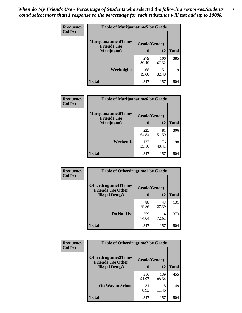| Frequency      | <b>Table of Marijuanatime5 by Grade</b>            |              |              |              |  |
|----------------|----------------------------------------------------|--------------|--------------|--------------|--|
| <b>Col Pct</b> | <b>Marijuanatime5</b> (Times<br><b>Friends Use</b> | Grade(Grade) |              |              |  |
|                | Marijuana)                                         | 10           | 12           | <b>Total</b> |  |
|                |                                                    | 279<br>80.40 | 106<br>67.52 | 385          |  |
|                | Weeknights                                         | 68<br>19.60  | 51<br>32.48  | 119          |  |
|                | <b>Total</b>                                       | 347          | 157          | 504          |  |

| Frequency      | <b>Table of Marijuanatime6 by Grade</b>    |              |             |              |
|----------------|--------------------------------------------|--------------|-------------|--------------|
| <b>Col Pct</b> | Marijuanatime6(Times<br><b>Friends Use</b> | Grade(Grade) |             |              |
|                | Marijuana)                                 | 10           | 12          | <b>Total</b> |
|                |                                            | 225<br>64.84 | 81<br>51.59 | 306          |
|                | Weekends                                   | 122<br>35.16 | 76<br>48.41 | 198          |
|                | <b>Total</b>                               | 347          | 157         | 504          |

| Frequency      | <b>Table of Otherdrugtime1 by Grade</b>                 |              |              |              |  |
|----------------|---------------------------------------------------------|--------------|--------------|--------------|--|
| <b>Col Pct</b> | <b>Otherdrugtime1(Times</b><br><b>Friends Use Other</b> | Grade(Grade) |              |              |  |
|                | <b>Illegal Drugs)</b>                                   | 10           | 12           | <b>Total</b> |  |
|                |                                                         | 88<br>25.36  | 43<br>27.39  | 131          |  |
|                | Do Not Use                                              | 259<br>74.64 | 114<br>72.61 | 373          |  |
|                | <b>Total</b>                                            | 347          | 157          | 504          |  |

| <b>Frequency</b> | <b>Table of Otherdrugtime2 by Grade</b>                 |              |              |              |
|------------------|---------------------------------------------------------|--------------|--------------|--------------|
| <b>Col Pct</b>   | <b>Otherdrugtime2(Times</b><br><b>Friends Use Other</b> | Grade(Grade) |              |              |
|                  | <b>Illegal Drugs</b> )                                  | 10           | 12           | <b>Total</b> |
|                  |                                                         | 316<br>91.07 | 139<br>88.54 | 455          |
|                  | <b>On Way to School</b>                                 | 31<br>8.93   | 18<br>11.46  | 49           |
|                  | Total                                                   | 347          | 157          | 504          |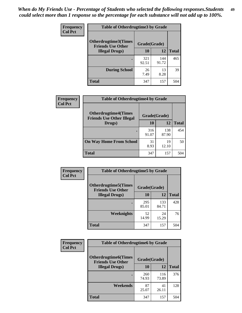| <b>Frequency</b> | <b>Table of Otherdrugtime3 by Grade</b>          |              |              |              |
|------------------|--------------------------------------------------|--------------|--------------|--------------|
| <b>Col Pct</b>   | Otherdrugtime3(Times<br><b>Friends Use Other</b> | Grade(Grade) |              |              |
|                  | <b>Illegal Drugs</b> )                           | 10           | 12           | <b>Total</b> |
|                  |                                                  | 321<br>92.51 | 144<br>91.72 | 465          |
|                  | <b>During School</b>                             | 26<br>7.49   | 13<br>8.28   | 39           |
|                  | Total                                            | 347          | 157          | 504          |

| Frequency      | <b>Table of Otherdrugtime4 by Grade</b>                         |              |              |              |
|----------------|-----------------------------------------------------------------|--------------|--------------|--------------|
| <b>Col Pct</b> | <b>Otherdrugtime4(Times</b><br><b>Friends Use Other Illegal</b> | Grade(Grade) |              |              |
|                | Drugs)                                                          | 10           | 12           | <b>Total</b> |
|                | ٠                                                               | 316<br>91.07 | 138<br>87.90 | 454          |
|                | <b>On Way Home From School</b>                                  | 31<br>8.93   | 19<br>12.10  | 50           |
|                | <b>Total</b>                                                    | 347          | 157          | 504          |

| Frequency      | <b>Table of Otherdrugtime5 by Grade</b>                  |              |              |              |  |  |  |
|----------------|----------------------------------------------------------|--------------|--------------|--------------|--|--|--|
| <b>Col Pct</b> | <b>Otherdrugtime5</b> (Times<br><b>Friends Use Other</b> | Grade(Grade) |              |              |  |  |  |
|                | <b>Illegal Drugs</b> )                                   | 10           | 12           | <b>Total</b> |  |  |  |
|                |                                                          | 295<br>85.01 | 133<br>84.71 | 428          |  |  |  |
|                | Weeknights                                               | 52<br>14.99  | 24<br>15.29  | 76           |  |  |  |
|                | Total                                                    | 347          | 157          | 504          |  |  |  |

| <b>Frequency</b> | <b>Table of Otherdrugtime6 by Grade</b>                 |              |              |              |  |  |  |
|------------------|---------------------------------------------------------|--------------|--------------|--------------|--|--|--|
| <b>Col Pct</b>   | <b>Otherdrugtime6(Times</b><br><b>Friends Use Other</b> | Grade(Grade) |              |              |  |  |  |
|                  | <b>Illegal Drugs</b> )                                  | 10           | 12           | <b>Total</b> |  |  |  |
|                  |                                                         | 260<br>74.93 | 116<br>73.89 | 376          |  |  |  |
|                  | Weekends                                                | 87<br>25.07  | 41<br>26.11  | 128          |  |  |  |
|                  | <b>Total</b>                                            | 347          | 157          | 504          |  |  |  |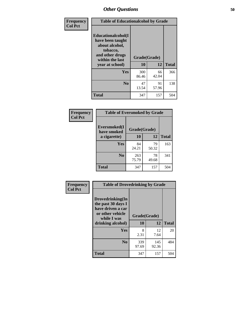| Frequency      | <b>Table of Educationalcohol by Grade</b>                                                                  |              |             |              |  |  |  |
|----------------|------------------------------------------------------------------------------------------------------------|--------------|-------------|--------------|--|--|--|
| <b>Col Pct</b> | Educationalcohol(I<br>have been taught<br>about alcohol,<br>tobacco,<br>and other drugs<br>within the last | Grade(Grade) |             |              |  |  |  |
|                | year at school)                                                                                            | 10           | 12          | <b>Total</b> |  |  |  |
|                | <b>Yes</b>                                                                                                 | 300<br>86.46 | 66<br>42.04 | 366          |  |  |  |
|                | N <sub>0</sub>                                                                                             | 47<br>13.54  | 91<br>57.96 | 138          |  |  |  |
|                | <b>Total</b>                                                                                               | 347          | 157         | 504          |  |  |  |

| Frequency      | <b>Table of Eversmoked by Grade</b> |              |             |              |  |  |  |
|----------------|-------------------------------------|--------------|-------------|--------------|--|--|--|
| <b>Col Pct</b> | Eversmoked(I<br>have smoked         | Grade(Grade) |             |              |  |  |  |
|                | a cigarette)                        | 10           | 12          | <b>Total</b> |  |  |  |
|                | <b>Yes</b>                          | 84<br>24.21  | 79<br>50.32 | 163          |  |  |  |
|                | N <sub>0</sub>                      | 263<br>75.79 | 78<br>49.68 | 341          |  |  |  |
|                | <b>Total</b>                        | 347          | 157         | 504          |  |  |  |

| Frequency      | <b>Table of Drovedrinking by Grade</b>                                                                              |                    |              |              |  |  |  |
|----------------|---------------------------------------------------------------------------------------------------------------------|--------------------|--------------|--------------|--|--|--|
| <b>Col Pct</b> | Drovedrinking(In<br>the past 30 days I<br>have driven a car<br>or other vehicle<br>while I was<br>drinking alcohol) | Grade(Grade)<br>10 | 12           | <b>Total</b> |  |  |  |
|                | <b>Yes</b>                                                                                                          | 8<br>2.31          | 12<br>7.64   | 20           |  |  |  |
|                | N <sub>0</sub>                                                                                                      | 339<br>97.69       | 145<br>92.36 | 484          |  |  |  |
|                | <b>Total</b>                                                                                                        | 347                | 157          | 504          |  |  |  |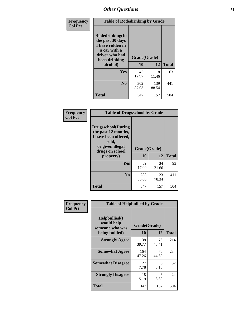| Frequency<br><b>Col Pct</b> | <b>Table of Rodedrinking by Grade</b>                                                                                  |                    |              |              |  |  |  |
|-----------------------------|------------------------------------------------------------------------------------------------------------------------|--------------------|--------------|--------------|--|--|--|
|                             | Rodedrinking(In<br>the past 30 days<br>I have ridden in<br>a car with a<br>driver who had<br>been drinking<br>alcohol) | Grade(Grade)<br>10 | 12           | <b>Total</b> |  |  |  |
|                             |                                                                                                                        |                    |              |              |  |  |  |
|                             | <b>Yes</b>                                                                                                             | 45<br>12.97        | 18<br>11.46  | 63           |  |  |  |
|                             | N <sub>0</sub>                                                                                                         | 302<br>87.03       | 139<br>88.54 | 441          |  |  |  |
|                             | <b>Total</b>                                                                                                           | 347                | 157          | 504          |  |  |  |

#### **Frequency Col Pct**

| <b>Table of Drugsschool by Grade</b>                                                                                      |              |              |              |  |  |  |  |
|---------------------------------------------------------------------------------------------------------------------------|--------------|--------------|--------------|--|--|--|--|
| <b>Drugsschool</b> (During<br>the past 12 months,<br>I have been offered,<br>sold,<br>or given illegal<br>drugs on school | Grade(Grade) |              |              |  |  |  |  |
| property)                                                                                                                 | 10           | 12           | <b>Total</b> |  |  |  |  |
| Yes                                                                                                                       | 59<br>17.00  | 34<br>21.66  | 93           |  |  |  |  |
| N <sub>0</sub>                                                                                                            | 288<br>83.00 | 123<br>78.34 | 411          |  |  |  |  |
| Total                                                                                                                     | 347          | 157          | 504          |  |  |  |  |

| Frequency      | <b>Table of Helpbullied by Grade</b>                 |              |             |              |  |  |  |  |
|----------------|------------------------------------------------------|--------------|-------------|--------------|--|--|--|--|
| <b>Col Pct</b> | $Helpb$ ullied $(I$<br>would help<br>someone who was | Grade(Grade) |             |              |  |  |  |  |
|                | being bullied)                                       | 10           | 12          | <b>Total</b> |  |  |  |  |
|                | <b>Strongly Agree</b>                                | 138<br>39.77 | 76<br>48.41 | 214          |  |  |  |  |
|                | <b>Somewhat Agree</b>                                | 164<br>47.26 | 70<br>44.59 | 234          |  |  |  |  |
|                | <b>Somewhat Disagree</b>                             | 27<br>7.78   | 5<br>3.18   | 32           |  |  |  |  |
|                | <b>Strongly Disagree</b>                             | 18<br>5.19   | 6<br>3.82   | 24           |  |  |  |  |
|                | <b>Total</b>                                         | 347          | 157         | 504          |  |  |  |  |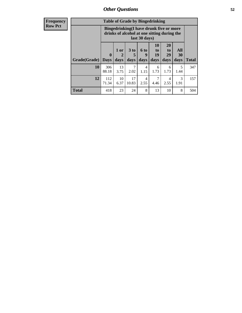| <b>Frequency</b> |
|------------------|
| <b>Row Pct</b>   |

| <b>Table of Grade by Bingedrinking</b>                                                                                                                                              |              |                                                                                                         |             |                        |                   |              |           |     |  |
|-------------------------------------------------------------------------------------------------------------------------------------------------------------------------------------|--------------|---------------------------------------------------------------------------------------------------------|-------------|------------------------|-------------------|--------------|-----------|-----|--|
|                                                                                                                                                                                     |              | Bingedrinking(I have drunk five or more<br>drinks of alcohol at one sitting during the<br>last 30 days) |             |                        |                   |              |           |     |  |
| <b>20</b><br><b>10</b><br>1 or<br>3 to<br><b>6 to</b><br>to<br>to<br>19<br>29<br>$\mathbf{0}$<br>9<br>2<br>5<br>Grade(Grade)<br>days<br>days<br>days<br>days<br><b>Days</b><br>days |              |                                                                                                         |             |                        | All<br>30<br>days | <b>Total</b> |           |     |  |
| 10                                                                                                                                                                                  | 306<br>88.18 | 13<br>3.75                                                                                              | 2.02        | 4<br>1.15              | 6<br>1.73         | 6<br>1.73    | 5<br>1.44 | 347 |  |
| 12                                                                                                                                                                                  | 112<br>71.34 | 10<br>6.37                                                                                              | 17<br>10.83 | $\overline{4}$<br>2.55 | 7<br>4.46         | 4<br>2.55    | 3<br>1.91 | 157 |  |
|                                                                                                                                                                                     |              |                                                                                                         |             |                        |                   |              |           |     |  |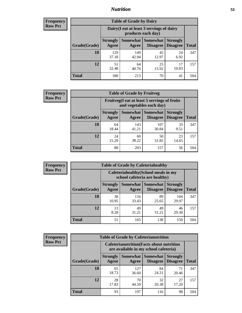## *Nutrition* **53**

| <b>Frequency</b><br>Row Pct |
|-----------------------------|
|                             |

| <b>Table of Grade by Dairy</b> |                                                                                                                           |                                                                 |             |             |     |  |  |  |
|--------------------------------|---------------------------------------------------------------------------------------------------------------------------|-----------------------------------------------------------------|-------------|-------------|-----|--|--|--|
|                                |                                                                                                                           | Dairy (I eat at least 3 servings of dairy<br>products each day) |             |             |     |  |  |  |
| Grade(Grade)                   | Somewhat<br><b>Somewhat</b><br><b>Strongly</b><br><b>Strongly</b><br><b>Disagree</b><br>Agree<br><b>Disagree</b><br>Agree |                                                                 |             |             |     |  |  |  |
| 10                             | 129<br>37.18                                                                                                              | 149<br>42.94                                                    | 45<br>12.97 | 24<br>6.92  | 347 |  |  |  |
| 12                             | 51<br>32.48                                                                                                               | 64<br>40.76                                                     | 25<br>15.92 | 17<br>10.83 | 157 |  |  |  |
| <b>Total</b>                   | 180                                                                                                                       | 213                                                             | 70          | 41          | 504 |  |  |  |

| <b>Frequency</b> |  |
|------------------|--|
| <b>Row Pct</b>   |  |

| <b>Table of Grade by Fruitveg</b>                                        |                          |              |                            |                                             |              |  |
|--------------------------------------------------------------------------|--------------------------|--------------|----------------------------|---------------------------------------------|--------------|--|
| Fruitveg(I eat at least 5 servings of fruits<br>and vegetables each day) |                          |              |                            |                                             |              |  |
| Grade(Grade)                                                             | <b>Strongly</b><br>Agree | Agree        | <b>Somewhat   Somewhat</b> | <b>Strongly</b><br><b>Disagree</b> Disagree | <b>Total</b> |  |
| 10                                                                       | 64<br>18.44              | 143<br>41.21 | 107<br>30.84               | 33<br>9.51                                  | 347          |  |
| 12                                                                       | 24<br>15.29              | 60<br>38.22  | 50<br>31.85                | 23<br>14.65                                 | 157          |  |
| <b>Total</b>                                                             | 88                       | 203          | 157                        | 56                                          | 504          |  |

| <b>Frequency</b> | <b>Table of Grade by Cafeteriahealthy</b> |                          |                                                                       |                                   |                                    |              |  |  |
|------------------|-------------------------------------------|--------------------------|-----------------------------------------------------------------------|-----------------------------------|------------------------------------|--------------|--|--|
| <b>Row Pct</b>   |                                           |                          | Cafeteriahealthy (School meals in my<br>school cafeteria are healthy) |                                   |                                    |              |  |  |
|                  | Grade(Grade)                              | <b>Strongly</b><br>Agree | Agree                                                                 | Somewhat   Somewhat  <br>Disagree | <b>Strongly</b><br><b>Disagree</b> | <b>Total</b> |  |  |
|                  | 10                                        | 38<br>10.95              | 116<br>33.43                                                          | 89<br>25.65                       | 104<br>29.97                       | 347          |  |  |
|                  | 12                                        | 13<br>8.28               | 49<br>31.21                                                           | 49<br>31.21                       | 46<br>29.30                        | 157          |  |  |
|                  | Total                                     | 51                       | 165                                                                   | 138                               | 150                                | 504          |  |  |

| <b>Frequency</b> |
|------------------|
| <b>Row Pct</b>   |

| <b>Table of Grade by Cafeterianutrition</b>                                               |                          |                   |                             |                                    |              |  |
|-------------------------------------------------------------------------------------------|--------------------------|-------------------|-----------------------------|------------------------------------|--------------|--|
| <b>Cafeterianutrition</b> (Facts about nutrition<br>are available in my school cafeteria) |                          |                   |                             |                                    |              |  |
| Grade(Grade)                                                                              | <b>Strongly</b><br>Agree | Somewhat<br>Agree | <b>Somewhat</b><br>Disagree | <b>Strongly</b><br><b>Disagree</b> | <b>Total</b> |  |
| 10                                                                                        | 65<br>18.73              | 127<br>36.60      | 84<br>24.21                 | 71<br>20.46                        | 347          |  |
| 12                                                                                        | 28<br>17.83              | 70<br>44.59       | 32<br>20.38                 | 27<br>17.20                        | 157          |  |
| <b>Total</b>                                                                              | 93                       | 197               | 116                         | 98                                 | 504          |  |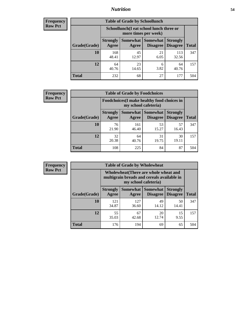## *Nutrition* **54**

| Frequency      |
|----------------|
| <b>Row Pct</b> |

| <b>Table of Grade by Schoollunch</b> |                          |                                                                 |                             |                                    |              |  |  |
|--------------------------------------|--------------------------|-----------------------------------------------------------------|-----------------------------|------------------------------------|--------------|--|--|
|                                      |                          | Schoollunch(I eat school lunch three or<br>more times per week) |                             |                                    |              |  |  |
| Grade(Grade)                         | <b>Strongly</b><br>Agree | Somewhat<br>Agree                                               | <b>Somewhat</b><br>Disagree | <b>Strongly</b><br><b>Disagree</b> | <b>Total</b> |  |  |
| 10                                   | 168<br>48.41             | 45<br>12.97                                                     | 21<br>6.05                  | 113<br>32.56                       | 347          |  |  |
| 12                                   | 64<br>40.76              | 23<br>14.65                                                     | 6<br>3.82                   | 64<br>40.76                        | 157          |  |  |
| <b>Total</b>                         | 232                      | 68                                                              | 27                          | 177                                | 504          |  |  |

| <b>Frequency</b> |  |
|------------------|--|
| <b>Row Pct</b>   |  |

| <b>Table of Grade by Foodchoices</b>                                |                          |              |                                   |                                    |              |  |
|---------------------------------------------------------------------|--------------------------|--------------|-----------------------------------|------------------------------------|--------------|--|
| Foodchoices (I make healthy food choices in<br>my school cafeteria) |                          |              |                                   |                                    |              |  |
| Grade(Grade)                                                        | <b>Strongly</b><br>Agree | Agree        | Somewhat   Somewhat  <br>Disagree | <b>Strongly</b><br><b>Disagree</b> | <b>Total</b> |  |
| 10                                                                  | 76<br>21.90              | 161<br>46.40 | 53<br>15.27                       | 57<br>16.43                        | 347          |  |
| 12                                                                  | 32<br>20.38              | 64<br>40.76  | 31<br>19.75                       | 30<br>19.11                        | 157          |  |
| <b>Total</b>                                                        | 108                      | 225          | 84                                | 87                                 | 504          |  |

| <b>Frequency</b> |  |
|------------------|--|
| Row Pci          |  |

r.

| <b>Table of Grade by Wholewheat</b>                                                                         |                          |              |                                        |                                    |              |  |
|-------------------------------------------------------------------------------------------------------------|--------------------------|--------------|----------------------------------------|------------------------------------|--------------|--|
| Wholewheat (There are whole wheat and<br>multigrain breads and cereals available in<br>my school cafeteria) |                          |              |                                        |                                    |              |  |
| Grade(Grade)                                                                                                | <b>Strongly</b><br>Agree | Agree        | Somewhat   Somewhat<br><b>Disagree</b> | <b>Strongly</b><br><b>Disagree</b> | <b>Total</b> |  |
| 10                                                                                                          | 121<br>34.87             | 127<br>36.60 | 49<br>14.12                            | 50<br>14.41                        | 347          |  |
| 12                                                                                                          | 55<br>35.03              | 67<br>42.68  | 20<br>12.74                            | 15<br>9.55                         | 157          |  |
| <b>Total</b>                                                                                                | 176                      | 194          | 69                                     | 65                                 | 504          |  |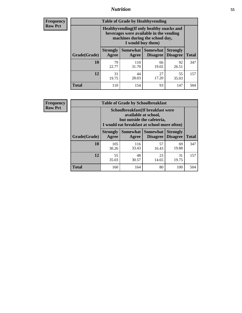## *Nutrition* **55**

**Frequency Row Pct**

| <b>Table of Grade by Healthyvending</b> |                                                                                                                                               |                          |                                    |                                    |              |  |  |
|-----------------------------------------|-----------------------------------------------------------------------------------------------------------------------------------------------|--------------------------|------------------------------------|------------------------------------|--------------|--|--|
|                                         | Healthyvending (If only healthy snacks and<br>beverages were available in the vending<br>machines during the school day,<br>I would buy them) |                          |                                    |                                    |              |  |  |
| Grade(Grade)                            | <b>Strongly</b><br>Agree                                                                                                                      | <b>Somewhat</b><br>Agree | <b>Somewhat</b><br><b>Disagree</b> | <b>Strongly</b><br><b>Disagree</b> | <b>Total</b> |  |  |
| 10                                      | 79<br>22.77                                                                                                                                   | 110<br>31.70             | 66<br>19.02                        | 92<br>26.51                        | 347          |  |  |
| 12                                      | 31<br>19.75                                                                                                                                   | 44<br>28.03              | 27<br>17.20                        | 55<br>35.03                        | 157          |  |  |
| Total                                   | 110                                                                                                                                           | 154                      | 93                                 | 147                                | 504          |  |  |

**Frequency Row Pct**

| <b>Table of Grade by Schoolbreakfast</b> |                                                                                                                                         |              |                                        |                                    |              |  |
|------------------------------------------|-----------------------------------------------------------------------------------------------------------------------------------------|--------------|----------------------------------------|------------------------------------|--------------|--|
|                                          | Schoolbreakfast (If breakfast were<br>available at school,<br>but outside the cafeteria,<br>I would eat breakfast at school more often) |              |                                        |                                    |              |  |
| Grade(Grade)                             | <b>Strongly</b><br>Agree                                                                                                                | Agree        | Somewhat   Somewhat<br><b>Disagree</b> | <b>Strongly</b><br><b>Disagree</b> | <b>Total</b> |  |
| 10                                       | 105<br>30.26                                                                                                                            | 116<br>33.43 | 57<br>16.43                            | 69<br>19.88                        | 347          |  |
| 12                                       | 55<br>35.03                                                                                                                             | 48<br>30.57  | 23<br>14.65                            | 31<br>19.75                        | 157          |  |
| <b>Total</b>                             | 160                                                                                                                                     | 164          | 80                                     | 100                                | 504          |  |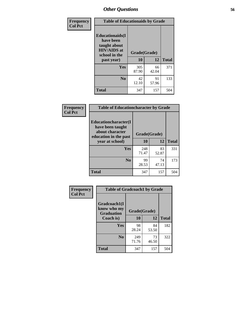| Frequency<br><b>Col Pct</b> | <b>Table of Educationaids by Grade</b>                                                                    |                    |             |              |
|-----------------------------|-----------------------------------------------------------------------------------------------------------|--------------------|-------------|--------------|
|                             | <b>Educationaids</b> (I<br>have been<br>taught about<br><b>HIV/AIDS</b> at<br>school in the<br>past year) | Grade(Grade)<br>10 | 12          | <b>Total</b> |
|                             | Yes                                                                                                       | 305<br>87.90       | 66<br>42.04 | 371          |
|                             | N <sub>0</sub>                                                                                            | 42<br>12.10        | 91<br>57.96 | 133          |
|                             | <b>Total</b>                                                                                              | 347                | 157         | 504          |

| Frequency      | <b>Table of Educationcharacter by Grade</b>      |              |             |              |  |
|----------------|--------------------------------------------------|--------------|-------------|--------------|--|
| <b>Col Pct</b> | <b>Educationcharacter(I)</b><br>have been taught |              |             |              |  |
|                | about character<br>education in the past         | Grade(Grade) |             |              |  |
|                | year at school)                                  | 10           | 12          | <b>Total</b> |  |
|                | Yes                                              | 248<br>71.47 | 83<br>52.87 | 331          |  |
|                | N <sub>0</sub>                                   | 99<br>28.53  | 74<br>47.13 | 173          |  |
|                | <b>Total</b>                                     | 347          | 157         | 504          |  |

| Frequency      | <b>Table of Gradcoach1 by Grade</b>              |              |             |              |
|----------------|--------------------------------------------------|--------------|-------------|--------------|
| <b>Col Pct</b> | Gradcoach1(I<br>know who my<br><b>Graduation</b> | Grade(Grade) |             |              |
|                | Coach is)                                        | 10           | 12          | <b>Total</b> |
|                | Yes                                              | 98<br>28.24  | 84<br>53.50 | 182          |
|                | N <sub>0</sub>                                   | 249<br>71.76 | 73<br>46.50 | 322          |
|                | <b>Total</b>                                     | 347          | 157         | 504          |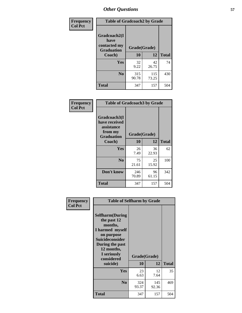| Frequency      | <b>Table of Gradcoach2 by Grade</b> |              |              |              |  |
|----------------|-------------------------------------|--------------|--------------|--------------|--|
| <b>Col Pct</b> | Gradcoach2(I<br>have                |              |              |              |  |
|                | contacted my<br><b>Graduation</b>   |              | Grade(Grade) |              |  |
|                | Coach)                              | 10           | 12           | <b>Total</b> |  |
|                | Yes                                 | 32<br>9.22   | 42<br>26.75  | 74           |  |
|                | N <sub>0</sub>                      | 315<br>90.78 | 115<br>73.25 | 430          |  |
|                | <b>Total</b>                        | 347          | 157          | 504          |  |

| Frequency<br><b>Col Pct</b> | <b>Table of Gradcoach3 by Grade</b>                                         |              |             |              |
|-----------------------------|-----------------------------------------------------------------------------|--------------|-------------|--------------|
|                             | Gradcoach3(I<br>have received<br>assistance<br>from my<br><b>Graduation</b> | Grade(Grade) |             |              |
|                             | Coach)                                                                      | 10           | 12          | <b>Total</b> |
|                             | Yes                                                                         | 26<br>7.49   | 36<br>22.93 | 62           |
|                             | N <sub>0</sub>                                                              | 75<br>21.61  | 25<br>15.92 | 100          |
|                             | Don't know                                                                  | 246<br>70.89 | 96<br>61.15 | 342          |
|                             | <b>Total</b>                                                                | 347          | 157         | 504          |

| Frequency<br><b>Col Pct</b> | <b>Table of Selfharm by Grade</b>                                                                                                                                                      |                    |              |              |
|-----------------------------|----------------------------------------------------------------------------------------------------------------------------------------------------------------------------------------|--------------------|--------------|--------------|
|                             | <b>Selfharm</b> (During<br>the past 12<br>months,<br>I harmed myself<br>on purpose<br><b>Suicideconsider</b><br>During the past<br>12 months,<br>I seriously<br>considered<br>suicide) | Grade(Grade)<br>10 | 12           | <b>Total</b> |
|                             | <b>Yes</b>                                                                                                                                                                             | 23<br>6.63         | 12<br>7.64   | 35           |
|                             | N <sub>0</sub>                                                                                                                                                                         | 324<br>93.37       | 145<br>92.36 | 469          |
|                             | <b>Total</b>                                                                                                                                                                           | 347                | 157          | 504          |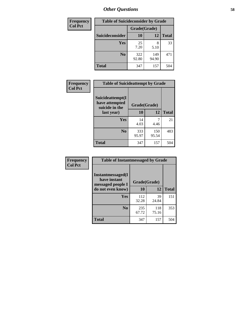| <b>Frequency</b> | <b>Table of Suicideconsider by Grade</b> |              |              |              |
|------------------|------------------------------------------|--------------|--------------|--------------|
| <b>Col Pct</b>   |                                          | Grade(Grade) |              |              |
|                  | Suicideconsider                          | <b>10</b>    | 12           | <b>Total</b> |
|                  | Yes                                      | 25<br>7.20   | 5.10         | 33           |
|                  | N <sub>0</sub>                           | 322<br>92.80 | 149<br>94.90 | 471          |
|                  | Total                                    | 347          | 157          | 504          |

| Frequency      | <b>Table of Suicideattempt by Grade</b>              |              |              |              |
|----------------|------------------------------------------------------|--------------|--------------|--------------|
| <b>Col Pct</b> | Suicideattempt(I<br>have attempted<br>suicide in the | Grade(Grade) |              |              |
|                | last year)                                           | 10           | 12           | <b>Total</b> |
|                | Yes                                                  | 14<br>4.03   | 4.46         | 21           |
|                | N <sub>0</sub>                                       | 333<br>95.97 | 150<br>95.54 | 483          |
|                | <b>Total</b>                                         | 347          | 157          | 504          |

| Frequency      | <b>Table of Instantmessaged by Grade</b>               |              |              |              |
|----------------|--------------------------------------------------------|--------------|--------------|--------------|
| <b>Col Pct</b> | Instantmessaged(I<br>have instant<br>messaged people I | Grade(Grade) |              |              |
|                | do not even know)                                      | 10           | 12           | <b>Total</b> |
|                | Yes                                                    | 112<br>32.28 | 39<br>24.84  | 151          |
|                | N <sub>0</sub>                                         | 235<br>67.72 | 118<br>75.16 | 353          |
|                | <b>Total</b>                                           | 347          | 157          | 504          |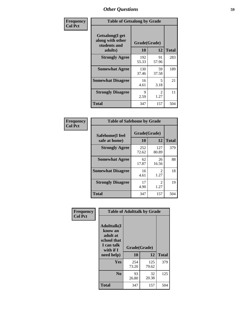| Frequency      | <b>Table of Getsalong by Grade</b>                                     |                    |                        |              |
|----------------|------------------------------------------------------------------------|--------------------|------------------------|--------------|
| <b>Col Pct</b> | <b>Getsalong</b> (I get<br>along with other<br>students and<br>adults) | Grade(Grade)<br>10 | 12                     | <b>Total</b> |
|                | <b>Strongly Agree</b>                                                  | 192<br>55.33       | 91<br>57.96            | 283          |
|                | <b>Somewhat Agree</b>                                                  | 130<br>37.46       | 59<br>37.58            | 189          |
|                | <b>Somewhat Disagree</b>                                               | 16<br>4.61         | 5<br>3.18              | 21           |
|                | <b>Strongly Disagree</b>                                               | 9<br>2.59          | $\mathfrak{D}$<br>1.27 | 11           |
|                | Total                                                                  | 347                | 157                    | 504          |

| Frequency      | <b>Table of Safehome by Grade</b> |              |                        |              |
|----------------|-----------------------------------|--------------|------------------------|--------------|
| <b>Col Pct</b> | Safehome(I feel<br>safe at home)  | Grade(Grade) |                        |              |
|                |                                   | 10           | 12                     | <b>Total</b> |
|                | <b>Strongly Agree</b>             | 252<br>72.62 | 127<br>80.89           | 379          |
|                | <b>Somewhat Agree</b>             | 62<br>17.87  | 26<br>16.56            | 88           |
|                | <b>Somewhat Disagree</b>          | 16<br>4.61   | $\mathfrak{D}$<br>1.27 | 18           |
|                | <b>Strongly Disagree</b>          | 17<br>4.90   | 2<br>1.27              | 19           |
|                | <b>Total</b>                      | 347          | 157                    | 504          |

| Frequency      | <b>Table of Adulttalk by Grade</b>                                                  |              |              |              |  |  |  |  |
|----------------|-------------------------------------------------------------------------------------|--------------|--------------|--------------|--|--|--|--|
| <b>Col Pct</b> | <b>Adulttalk(I</b><br>know an<br>adult at<br>school that<br>I can talk<br>with if I | Grade(Grade) |              |              |  |  |  |  |
|                | need help)                                                                          | 10           | 12           | <b>Total</b> |  |  |  |  |
|                | <b>Yes</b>                                                                          | 254<br>73.20 | 125<br>79.62 | 379          |  |  |  |  |
|                | N <sub>0</sub>                                                                      | 93<br>26.80  | 32<br>20.38  | 125          |  |  |  |  |
|                | <b>Total</b>                                                                        | 347          | 157          | 504          |  |  |  |  |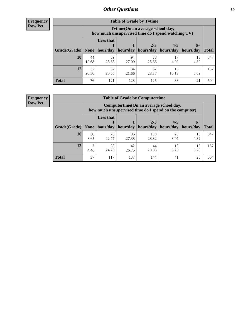**Frequency Row Pct**

| <b>Table of Grade by Tytime</b> |             |                                                                                                                                  |             |             |             |            |     |  |  |  |
|---------------------------------|-------------|----------------------------------------------------------------------------------------------------------------------------------|-------------|-------------|-------------|------------|-----|--|--|--|
|                                 |             | Tvtime(On an average school day,<br>how much unsupervised time do I spend watching TV)                                           |             |             |             |            |     |  |  |  |
| Grade(Grade)   None             |             | <b>Less that</b><br>$2 - 3$<br>$4 - 5$<br>$6+$<br>hour/day   hour/day<br>hours/day<br>  hours/day<br>  hours/day<br><b>Total</b> |             |             |             |            |     |  |  |  |
| 10                              | 44<br>12.68 | 89<br>25.65                                                                                                                      | 94<br>27.09 | 88<br>25.36 | 4.90        | 15<br>4.32 | 347 |  |  |  |
| 12                              | 32<br>20.38 | 32<br>20.38                                                                                                                      | 34<br>21.66 | 37<br>23.57 | 16<br>10.19 | 6<br>3.82  | 157 |  |  |  |
| <b>Total</b>                    | 76          | 121                                                                                                                              | 128         | 125         | 33          | 21         | 504 |  |  |  |

**Frequency Row Pct**

| <b>Table of Grade by Computertime</b> |            |                                                                                                                               |             |              |            |            |     |  |  |  |
|---------------------------------------|------------|-------------------------------------------------------------------------------------------------------------------------------|-------------|--------------|------------|------------|-----|--|--|--|
|                                       |            | Computertime(On an average school day,<br>how much unsupervised time do I spend on the computer)                              |             |              |            |            |     |  |  |  |
| Grade(Grade)                          | None       | <b>Less that</b><br>$2 - 3$<br>$4 - 5$<br>$6+$<br>hour/day<br>hours/day<br>hours/day<br>hour/day<br>hours/day<br><b>Total</b> |             |              |            |            |     |  |  |  |
| 10                                    | 30<br>8.65 | 79<br>22.77                                                                                                                   | 95<br>27.38 | 100<br>28.82 | 28<br>8.07 | 15<br>4.32 | 347 |  |  |  |
| 12                                    | ┑<br>4.46  | 38<br>42<br>44<br>13<br>13<br>24.20<br>8.28<br>8.28<br>28.03<br>26.75                                                         |             |              |            |            |     |  |  |  |
| <b>Total</b>                          | 37         | 117                                                                                                                           | 137         | 144          | 41         | 28         | 504 |  |  |  |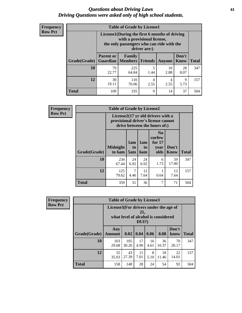#### *Questions about Driving Laws* **61** *Driving Questions were asked only of high school students.*

| <b>Frequency</b> |
|------------------|
| <b>Row Pct</b>   |

| <b>Table of Grade by License1</b> |                                     |                                                                                                                                           |                |            |               |              |  |  |  |
|-----------------------------------|-------------------------------------|-------------------------------------------------------------------------------------------------------------------------------------------|----------------|------------|---------------|--------------|--|--|--|
|                                   |                                     | License1(During the first 6 months of driving<br>with a provisional license,<br>the only passengers who can ride with the<br>driver are:) |                |            |               |              |  |  |  |
| Grade(Grade)                      | <b>Parent or</b><br><b>Guardian</b> | <b>Family</b><br><b>Members</b>                                                                                                           | <b>Friends</b> | Anyone     | Don't<br>Know | <b>Total</b> |  |  |  |
| 10                                | 79<br>22.77                         | 225<br>64.84                                                                                                                              | 5<br>1.44      | 10<br>2.88 | 28<br>8.07    | 347          |  |  |  |
| 12                                | 30<br>19.11                         | 110<br>70.06                                                                                                                              | 4<br>2.55      | 4<br>2.55  | 9<br>5.73     | 157          |  |  |  |
| <b>Total</b>                      | 109                                 | 335                                                                                                                                       | 9              | 14         | 37            | 504          |  |  |  |

| <b>Frequency</b> | <b>Table of Grade by License2</b> |                                     |                  |                              |                                                                   |                      |              |  |  |
|------------------|-----------------------------------|-------------------------------------|------------------|------------------------------|-------------------------------------------------------------------|----------------------|--------------|--|--|
| <b>Row Pct</b>   |                                   | provisional driver's license cannot |                  |                              | License2(17 yr old drivers with a<br>drive between the hours of:) |                      |              |  |  |
|                  | Grade(Grade)                      | <b>Midnight</b><br>to 6am           | 1am<br>to<br>5am | 1am<br>t <sub>0</sub><br>6am | N <sub>0</sub><br>curfew<br>for $17$<br>year<br>olds              | Don't<br><b>Know</b> | <b>Total</b> |  |  |
|                  | 10                                | 234<br>67.44                        | 24<br>6.92       | 24<br>6.92                   | 6<br>1.73                                                         | 59<br>17.00          | 347          |  |  |
|                  | 12                                | 125<br>79.62                        | 7<br>4.46        | 12<br>7.64                   | 0.64                                                              | 12<br>7.64           | 157          |  |  |
|                  | <b>Total</b>                      | 359                                 | 31               | 36                           | 7                                                                 | 71                   | 504          |  |  |

| Frequency      | <b>Table of Grade by License3</b> |                                       |              |                 |            |                                     |               |              |  |
|----------------|-----------------------------------|---------------------------------------|--------------|-----------------|------------|-------------------------------------|---------------|--------------|--|
| <b>Row Pct</b> |                                   | License3(For drivers under the age of |              | 21,<br>$DUI$ ?) |            | what level of alcohol is considered |               |              |  |
|                | Grade(Grade)                      | Any<br><b>Amount</b>                  | 0.02         | 0.04            | 0.06       | 0.08                                | Don't<br>know | <b>Total</b> |  |
|                | 10                                | 103<br>29.68                          | 105<br>30.26 | 17<br>4.90      | 16<br>4.61 | 36<br>10.37                         | 70<br>20.17   | 347          |  |
|                | 12                                | 55<br>35.03                           | 43<br>27.39  | 11<br>7.01      | 8<br>5.10  | 18<br>11.46                         | 22<br>14.01   | 157          |  |
|                | <b>Total</b>                      | 158                                   | 148          | 28              | 24         | 54                                  | 92            | 504          |  |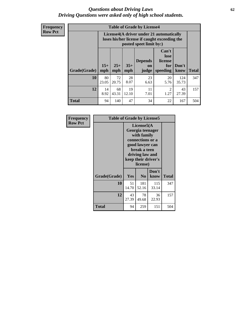#### *Questions about Driving Laws* **62** *Driving Questions were asked only of high school students.*

**Frequency Row Pct**

| <b>Table of Grade by License4</b> |                                                                                                                                               |                                                                                                                      |             |            |                        |              |              |  |  |  |
|-----------------------------------|-----------------------------------------------------------------------------------------------------------------------------------------------|----------------------------------------------------------------------------------------------------------------------|-------------|------------|------------------------|--------------|--------------|--|--|--|
|                                   |                                                                                                                                               | License4(A driver under 21 automatically<br>loses his/her license if caught exceeding the<br>posted speet limit by:) |             |            |                        |              |              |  |  |  |
| Grade(Grade)                      | Can't<br>lose<br><b>Depends</b><br>license<br>$15+$<br>$25+$<br>$35+$<br>Don't<br>for<br>on<br>mph<br>mph<br>speeding<br>mph<br>judge<br>know |                                                                                                                      |             |            |                        |              | <b>Total</b> |  |  |  |
| 10                                | 80<br>23.05                                                                                                                                   | 72<br>20.75                                                                                                          | 28<br>8.07  | 23<br>6.63 | 20<br>5.76             | 124<br>35.73 | 347          |  |  |  |
| 12                                | 14<br>8.92                                                                                                                                    | 68<br>43.31                                                                                                          | 19<br>12.10 | 11<br>7.01 | $\mathfrak{D}$<br>1.27 | 43<br>27.39  | 157          |  |  |  |
| <b>Total</b>                      | 94                                                                                                                                            | 140                                                                                                                  | 47          | 34         | 22                     | 167          | 504          |  |  |  |

| Frequency      | <b>Table of Grade by License5</b> |             |                                                                                                                                      |                     |       |
|----------------|-----------------------------------|-------------|--------------------------------------------------------------------------------------------------------------------------------------|---------------------|-------|
| <b>Row Pct</b> |                                   |             | License5(A)<br>Georgia teenager<br>with family<br>connections or a<br>good lawyer can<br>break a teen<br>driving law and<br>license) | keep their driver's |       |
|                | Grade(Grade)                      | <b>Yes</b>  | N <sub>0</sub>                                                                                                                       | Don't<br>know       | Total |
|                | 10                                | 51<br>14.70 | 181<br>52.16                                                                                                                         | 115<br>33.14        | 347   |
|                | 12                                | 43<br>27.39 | 78<br>49.68                                                                                                                          | 36<br>22.93         | 157   |
|                | Total                             | 94          | 259                                                                                                                                  | 151                 | 504   |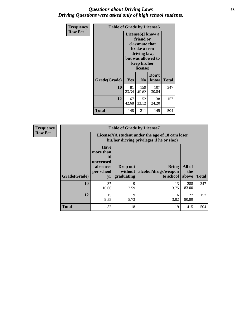### *Questions about Driving Laws* **63** *Driving Questions were asked only of high school students.*

| <b>Frequency</b> | <b>Table of Grade by License6</b> |             |                                                                                                                                                 |               |              |  |  |
|------------------|-----------------------------------|-------------|-------------------------------------------------------------------------------------------------------------------------------------------------|---------------|--------------|--|--|
| <b>Row Pct</b>   |                                   |             | License <sub>6</sub> (I know a<br>friend or<br>classmate that<br>broke a teen<br>driving law,<br>but was allowed to<br>keep his/her<br>license) |               |              |  |  |
|                  | Grade(Grade)                      | Yes         | N <sub>0</sub>                                                                                                                                  | Don't<br>know | <b>Total</b> |  |  |
|                  | 10                                | 81<br>23.34 | 159<br>45.82                                                                                                                                    | 107<br>30.84  | 347          |  |  |
|                  | 12                                | 67<br>42.68 | 52<br>33.12                                                                                                                                     | 38<br>24.20   | 157          |  |  |
|                  | <b>Total</b>                      | 148         | 211                                                                                                                                             | 145           | 504          |  |  |

| Frequency      |              | <b>Table of Grade by License7</b>                                           |                                     |                                                                                               |                        |              |  |  |
|----------------|--------------|-----------------------------------------------------------------------------|-------------------------------------|-----------------------------------------------------------------------------------------------|------------------------|--------------|--|--|
| <b>Row Pct</b> |              |                                                                             |                                     | License7(A student under the age of 18 cam loser<br>his/her driving privileges if he or she:) |                        |              |  |  |
|                | Grade(Grade) | <b>Have</b><br>more than<br>10<br>unexcused<br>absences<br>per school<br>yr | Drop out<br>without  <br>graduating | <b>Bring</b><br>alcohol/drugs/weapon<br>to school                                             | All of<br>the<br>above | <b>Total</b> |  |  |
|                | 10           | 37<br>10.66                                                                 | 9<br>2.59                           | 13<br>3.75                                                                                    | 288<br>83.00           | 347          |  |  |
|                | 12           | 15<br>9.55                                                                  | 9<br>5.73                           | 6<br>3.82                                                                                     | 127<br>80.89           | 157          |  |  |
|                | <b>Total</b> | 52                                                                          | 18                                  | 19                                                                                            | 415                    | 504          |  |  |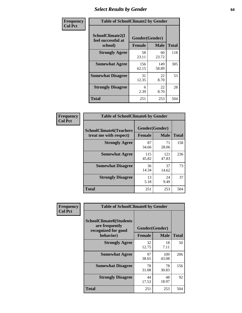# *Select Results by Gender* **64**

| Frequency      |                                                   | <b>Table of SchoolClimate2 by Gender</b> |              |              |  |  |  |  |
|----------------|---------------------------------------------------|------------------------------------------|--------------|--------------|--|--|--|--|
| <b>Col Pct</b> | SchoolClimate2(I<br>feel successful at<br>school) | Gender(Gender)<br><b>Female</b>          | <b>Male</b>  | <b>Total</b> |  |  |  |  |
|                | <b>Strongly Agree</b>                             | 58<br>23.11                              | 60<br>23.72  | 118          |  |  |  |  |
|                | <b>Somewhat Agree</b>                             | 156<br>62.15                             | 149<br>58.89 | 305          |  |  |  |  |
|                | <b>Somewhat Disagree</b>                          | 31<br>12.35                              | 22<br>8.70   | 53           |  |  |  |  |
|                | <b>Strongly Disagree</b>                          | 6<br>2.39                                | 22<br>8.70   | 28           |  |  |  |  |
|                | <b>Total</b>                                      | 251                                      | 253          | 504          |  |  |  |  |

| Frequency      | <b>Table of SchoolClimate6 by Gender</b>                 |                                 |              |              |
|----------------|----------------------------------------------------------|---------------------------------|--------------|--------------|
| <b>Col Pct</b> | <b>SchoolClimate6(Teachers</b><br>treat me with respect) | Gender(Gender)<br><b>Female</b> | <b>Male</b>  | <b>Total</b> |
|                | <b>Strongly Agree</b>                                    | 87<br>34.66                     | 71<br>28.06  | 158          |
|                | <b>Somewhat Agree</b>                                    | 115<br>45.82                    | 121<br>47.83 | 236          |
|                | <b>Somewhat Disagree</b>                                 | 36<br>14.34                     | 37<br>14.62  | 73           |
|                | <b>Strongly Disagree</b>                                 | 13<br>5.18                      | 24<br>9.49   | 37           |
|                | <b>Total</b>                                             | 251                             | 253          | 504          |

| <b>Frequency</b> | <b>Table of SchoolClimate8 by Gender</b>                                             |                                 |              |              |
|------------------|--------------------------------------------------------------------------------------|---------------------------------|--------------|--------------|
| <b>Col Pct</b>   | <b>SchoolClimate8(Students</b><br>are frequently<br>recognized for good<br>behavior) | Gender(Gender)<br><b>Female</b> | <b>Male</b>  | <b>Total</b> |
|                  | <b>Strongly Agree</b>                                                                | 32                              | 18           | 50           |
|                  |                                                                                      | 12.75                           | 7.11         |              |
|                  | <b>Somewhat Agree</b>                                                                | 97<br>38.65                     | 109<br>43.08 | 206          |
|                  | <b>Somewhat Disagree</b>                                                             | 78<br>31.08                     | 78<br>30.83  | 156          |
|                  | <b>Strongly Disagree</b>                                                             | 44<br>17.53                     | 48<br>18.97  | 92           |
|                  | Total                                                                                | 251                             | 253          | 504          |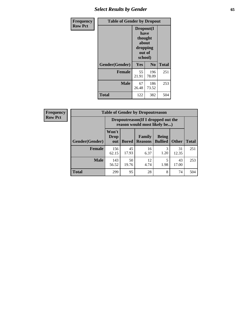# *Select Results by Gender* **65**

| <b>Frequency</b> | <b>Table of Gender by Dropout</b> |                                                                        |                |              |
|------------------|-----------------------------------|------------------------------------------------------------------------|----------------|--------------|
| <b>Row Pct</b>   |                                   | Dropout(I<br>have<br>thought<br>about<br>dropping<br>out of<br>school) |                |              |
|                  | Gender(Gender)                    | Yes                                                                    | N <sub>0</sub> | <b>Total</b> |
|                  | <b>Female</b>                     | 55<br>21.91                                                            | 196<br>78.09   | 251          |
|                  | <b>Male</b>                       | 67<br>26.48                                                            | 186<br>73.52   | 253          |
|                  | <b>Total</b>                      | 122                                                                    | 382            | 504          |

| <b>Frequency</b> | <b>Table of Gender by Dropoutreason</b> |                                                                     |              |                                 |                                |              |              |
|------------------|-----------------------------------------|---------------------------------------------------------------------|--------------|---------------------------------|--------------------------------|--------------|--------------|
| <b>Row Pct</b>   |                                         | Dropoutreason (If I dropped out the<br>reason would most likely be) |              |                                 |                                |              |              |
|                  | Gender(Gender)                          | Won't<br><b>Drop</b><br>out                                         | <b>Bored</b> | <b>Family</b><br><b>Reasons</b> | <b>Being</b><br><b>Bullied</b> | <b>Other</b> | <b>Total</b> |
|                  | <b>Female</b>                           | 156<br>62.15                                                        | 45<br>17.93  | 16<br>6.37                      | 3<br>1.20                      | 31<br>12.35  | 251          |
|                  | <b>Male</b>                             | 143<br>56.52                                                        | 50<br>19.76  | 12<br>4.74                      | 5<br>1.98                      | 43<br>17.00  | 253          |
|                  | <b>Total</b>                            | 299                                                                 | 95           | 28                              | 8                              | 74           | 504          |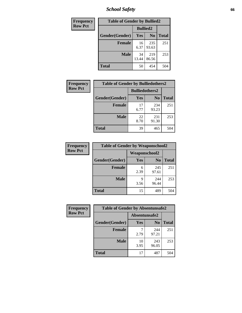*School Safety* **66**

| Frequency      | <b>Table of Gender by Bullied2</b> |                 |                |              |
|----------------|------------------------------------|-----------------|----------------|--------------|
| <b>Row Pct</b> |                                    | <b>Bullied2</b> |                |              |
|                | Gender(Gender)                     | Yes             | N <sub>0</sub> | <b>Total</b> |
|                | <b>Female</b>                      | 16<br>6.37      | 235<br>93.63   | 251          |
|                | <b>Male</b>                        | 34<br>13.44     | 219<br>86.56   | 253          |
|                | Total                              | 50              | 454            | 504          |

| Frequency      | <b>Table of Gender by Bulliedothers2</b> |                       |                |              |
|----------------|------------------------------------------|-----------------------|----------------|--------------|
| <b>Row Pct</b> |                                          | <b>Bulliedothers2</b> |                |              |
|                | Gender(Gender)                           | <b>Yes</b>            | N <sub>0</sub> | <b>Total</b> |
|                | <b>Female</b>                            | 17<br>6.77            | 234<br>93.23   | 251          |
|                | <b>Male</b>                              | 22<br>8.70            | 231<br>91.30   | 253          |
|                | <b>Total</b>                             | 39                    | 465            | 504          |

| Frequency      | <b>Table of Gender by Weaponschool2</b> |                      |                |              |
|----------------|-----------------------------------------|----------------------|----------------|--------------|
| <b>Row Pct</b> |                                         | <b>Weaponschool2</b> |                |              |
|                | Gender(Gender)                          | Yes                  | N <sub>0</sub> | <b>Total</b> |
|                | <b>Female</b>                           | 6<br>2.39            | 245<br>97.61   | 251          |
|                | <b>Male</b>                             | q<br>3.56            | 244<br>96.44   | 253          |
|                | <b>Total</b>                            | 15                   | 489            | 504          |

| Frequency      | <b>Table of Gender by Absentunsafe2</b> |               |                |              |  |
|----------------|-----------------------------------------|---------------|----------------|--------------|--|
| <b>Row Pct</b> |                                         | Absentunsafe2 |                |              |  |
|                | Gender(Gender)                          | Yes           | N <sub>0</sub> | <b>Total</b> |  |
|                | <b>Female</b>                           | 2.79          | 244<br>97.21   | 251          |  |
|                | <b>Male</b>                             | 10<br>3.95    | 243<br>96.05   | 253          |  |
|                | <b>Total</b>                            | 17            | 487            | 504          |  |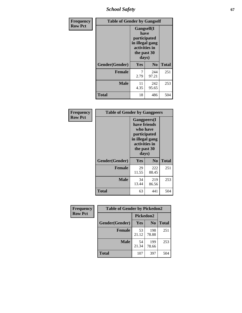*School Safety* **67**

| Frequency      | <b>Table of Gender by Gangself</b> |                                                                                                |                |              |
|----------------|------------------------------------|------------------------------------------------------------------------------------------------|----------------|--------------|
| <b>Row Pct</b> |                                    | Gangself(I<br>have<br>participated<br>in illegal gang<br>activities in<br>the past 30<br>days) |                |              |
|                | Gender(Gender)                     | Yes                                                                                            | N <sub>0</sub> | <b>Total</b> |
|                | <b>Female</b>                      | 7<br>2.79                                                                                      | 244<br>97.21   | 251          |
|                | <b>Male</b>                        | 11<br>4.35                                                                                     | 242<br>95.65   | 253          |
|                | <b>Total</b>                       | 18                                                                                             | 486            | 504          |

| Frequency      | <b>Table of Gender by Gangpeers</b> |                                                                                                                             |                |              |
|----------------|-------------------------------------|-----------------------------------------------------------------------------------------------------------------------------|----------------|--------------|
| <b>Row Pct</b> |                                     | <b>Gangpeers</b> (I<br>have friends<br>who have<br>participated<br>in illegal gang<br>activities in<br>the past 30<br>days) |                |              |
|                | Gender(Gender)                      | <b>Yes</b>                                                                                                                  | N <sub>0</sub> | <b>Total</b> |
|                | <b>Female</b>                       | 29<br>11.55                                                                                                                 | 222<br>88.45   | 251          |
|                | <b>Male</b>                         | 34<br>13.44                                                                                                                 | 219<br>86.56   | 253          |
|                | <b>Total</b>                        | 63                                                                                                                          | 441            | 504          |

| Frequency      | <b>Table of Gender by Pickedon2</b> |             |                |              |
|----------------|-------------------------------------|-------------|----------------|--------------|
| <b>Row Pct</b> |                                     | Pickedon2   |                |              |
|                | Gender(Gender)                      | Yes         | N <sub>0</sub> | <b>Total</b> |
|                | <b>Female</b>                       | 53<br>21.12 | 198<br>78.88   | 251          |
|                | <b>Male</b>                         | 54<br>21.34 | 199<br>78.66   | 253          |
|                | <b>Total</b>                        | 107         | 397            | 504          |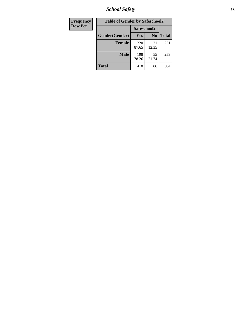*School Safety* **68**

| Frequency      | <b>Table of Gender by Safeschool2</b> |              |                |              |
|----------------|---------------------------------------|--------------|----------------|--------------|
| <b>Row Pct</b> |                                       | Safeschool2  |                |              |
|                | Gender(Gender)                        | <b>Yes</b>   | N <sub>0</sub> | <b>Total</b> |
|                | <b>Female</b>                         | 220<br>87.65 | 31<br>12.35    | 251          |
|                | <b>Male</b>                           | 198<br>78.26 | 55<br>21.74    | 253          |
|                | <b>Total</b>                          | 418          | 86             | 504          |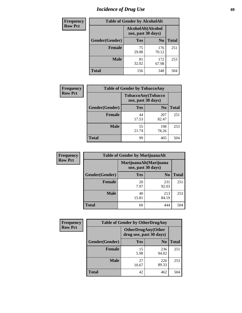# *Incidence of Drug Use* 69

| <b>Frequency</b> | <b>Table of Gender by AlcoholAlt</b>     |             |                |              |
|------------------|------------------------------------------|-------------|----------------|--------------|
| <b>Row Pct</b>   | AlcoholAlt(Alcohol<br>use, past 30 days) |             |                |              |
|                  | Gender(Gender)                           | <b>Yes</b>  | N <sub>0</sub> | <b>Total</b> |
|                  | <b>Female</b>                            | 75<br>29.88 | 176<br>70.12   | 251          |
|                  | <b>Male</b>                              | 81<br>32.02 | 172<br>67.98   | 253          |
|                  | <b>Total</b>                             | 156         | 348            | 504          |

| <b>Frequency</b> | <b>Table of Gender by TobaccoAny</b> |                    |                    |              |
|------------------|--------------------------------------|--------------------|--------------------|--------------|
| <b>Row Pct</b>   |                                      | use, past 30 days) | TobaccoAny(Tobacco |              |
|                  | Gender(Gender)                       | Yes                | N <sub>0</sub>     | <b>Total</b> |
|                  | <b>Female</b>                        | 44<br>17.53        | 207<br>82.47       | 251          |
|                  | <b>Male</b>                          | 55<br>21.74        | 198<br>78.26       | 253          |
|                  | <b>Total</b>                         | 99                 | 405                | 504          |

| <b>Frequency</b> | <b>Table of Gender by MarijuanaAlt</b> |             |                                              |       |
|------------------|----------------------------------------|-------------|----------------------------------------------|-------|
| <b>Row Pct</b>   |                                        |             | MarijuanaAlt(Marijuana<br>use, past 30 days) |       |
|                  | Gender(Gender)                         | <b>Yes</b>  | N <sub>0</sub>                               | Total |
|                  | <b>Female</b>                          | 20<br>7.97  | 231<br>92.03                                 | 251   |
|                  | <b>Male</b>                            | 40<br>15.81 | 213<br>84.19                                 | 253   |
|                  | <b>Total</b>                           | 60          | 444                                          | 504   |

| <b>Frequency</b> | <b>Table of Gender by OtherDrugAny</b> |                                                      |                |              |
|------------------|----------------------------------------|------------------------------------------------------|----------------|--------------|
| <b>Row Pct</b>   |                                        | <b>OtherDrugAny(Other</b><br>drug use, past 30 days) |                |              |
|                  | <b>Gender</b> (Gender)                 | <b>Yes</b>                                           | N <sub>0</sub> | <b>Total</b> |
|                  | <b>Female</b>                          | 15<br>5.98                                           | 236<br>94.02   | 251          |
|                  | <b>Male</b>                            | 27<br>10.67                                          | 226<br>89.33   | 253          |
|                  | <b>Total</b>                           | 42                                                   | 462            | 504          |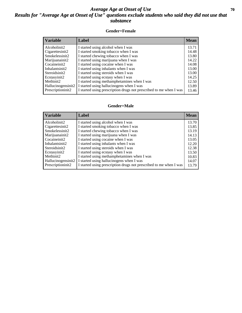### *Average Age at Onset of Use* **70** *Results for "Average Age at Onset of Use" questions exclude students who said they did not use that substance*

#### **Gender=Female**

| <b>Variable</b>                 | Label                                                              | <b>Mean</b> |
|---------------------------------|--------------------------------------------------------------------|-------------|
| Alcoholinit2                    | I started using alcohol when I was                                 | 13.71       |
| Cigarettesinit2                 | I started smoking tobacco when I was                               | 14.48       |
| Smokelessinit2                  | I started chewing tobacco when I was                               | 13.80       |
| Marijuanainit2                  | I started using marijuana when I was                               | 14.22       |
| Cocaineinit2                    | I started using cocaine when I was                                 | 14.08       |
| Inhalantsinit2                  | I started using inhalants when I was                               | 13.00       |
| Steroidsinit2                   | I started using steroids when I was                                | 13.00       |
| Ecstasyinit2                    | I started using ecstasy when I was                                 | 14.25       |
| Methinit2                       | I started using methamphetamines when I was                        | 12.50       |
| Hallucinogensinit2              | I started using hallucinogens when I was                           | 13.89       |
| Prescription in it <sub>2</sub> | I started using prescription drugs not prescribed to me when I was | 13.46       |

#### **Gender=Male**

| <b>Variable</b>                                       | Label                                                                                                          | <b>Mean</b>    |
|-------------------------------------------------------|----------------------------------------------------------------------------------------------------------------|----------------|
| Alcoholinit2                                          | I started using alcohol when I was                                                                             | 13.70          |
| Cigarettesinit2<br>Smokelessinit2                     | I started smoking tobacco when I was<br>I started chewing tobacco when I was                                   | 13.85<br>13.19 |
| Marijuanainit2                                        | I started using marijuana when I was                                                                           | 14.13          |
| Cocaineinit2<br>Inhalantsinit2                        | I started using cocaine when I was<br>I started using inhalants when I was                                     | 13.05<br>12.20 |
| Steroidsinit2                                         | I started using steroids when I was                                                                            | 12.38          |
| Ecstasyinit2                                          | I started using ecstasy when I was                                                                             | 13.50          |
| Methinit2                                             | I started using methamphetamines when I was                                                                    | 10.83          |
| Hallucinogensinit2<br>Prescription in it <sub>2</sub> | I started using hallucinogens when I was<br>I started using prescription drugs not prescribed to me when I was | 14.07<br>13.79 |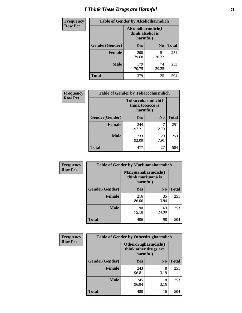# *I Think These Drugs are Harmful* **71**

| <b>Frequency</b> | <b>Table of Gender by Alcoholharmdich</b> |                                                   |                |              |
|------------------|-------------------------------------------|---------------------------------------------------|----------------|--------------|
| <b>Row Pct</b>   |                                           | Alcoholharmdich(I<br>think alcohol is<br>harmful) |                |              |
|                  | Gender(Gender)                            | Yes                                               | N <sub>0</sub> | <b>Total</b> |
|                  | <b>Female</b>                             | 200<br>79.68                                      | 51<br>20.32    | 251          |
|                  | <b>Male</b>                               | 179<br>70.75                                      | 74<br>29.25    | 253          |
|                  | Total                                     | 379                                               | 125            | 504          |

| Frequency      | <b>Table of Gender by Tobaccoharmdich</b> |                  |                               |              |
|----------------|-------------------------------------------|------------------|-------------------------------|--------------|
| <b>Row Pct</b> |                                           | think tobacco is | Tobaccoharmdich(I<br>harmful) |              |
|                | Gender(Gender)                            | Yes              | N <sub>0</sub>                | <b>Total</b> |
|                | <b>Female</b>                             | 244<br>97.21     | 7<br>2.79                     | 251          |
|                | <b>Male</b>                               | 233<br>92.09     | 20<br>7.91                    | 253          |
|                | <b>Total</b>                              | 477              | 27                            | 504          |

| Frequency      | <b>Table of Gender by Marijuanaharmdich</b> |              |                                           |              |  |
|----------------|---------------------------------------------|--------------|-------------------------------------------|--------------|--|
| <b>Row Pct</b> |                                             | harmful)     | Marijuanaharmdich(I<br>think marijuana is |              |  |
|                | Gender(Gender)                              | <b>Yes</b>   | N <sub>0</sub>                            | <b>Total</b> |  |
|                | <b>Female</b>                               | 216<br>86.06 | 35<br>13.94                               | 251          |  |
|                | <b>Male</b>                                 | 190<br>75.10 | 63<br>24.90                               | 253          |  |
|                | <b>Total</b>                                | 406          | 98                                        | 504          |  |

| Frequency      | <b>Table of Gender by Otherdrugharmdich</b> |                                                          |                |              |
|----------------|---------------------------------------------|----------------------------------------------------------|----------------|--------------|
| <b>Row Pct</b> |                                             | Otherdrugharmdich(I<br>think other drugs are<br>harmful) |                |              |
|                | Gender(Gender)                              | <b>Yes</b>                                               | N <sub>0</sub> | <b>Total</b> |
|                | <b>Female</b>                               | 243<br>96.81                                             | 8<br>3.19      | 251          |
|                | <b>Male</b>                                 | 245<br>96.84                                             | 8<br>3.16      | 253          |
|                | <b>Total</b>                                | 488                                                      | 16             | 504          |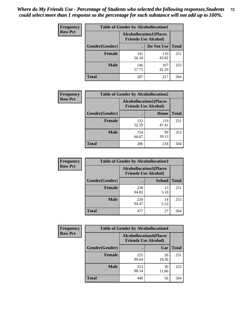| <b>Frequency</b> | <b>Table of Gender by Alcohollocation1</b> |                                                               |              |              |
|------------------|--------------------------------------------|---------------------------------------------------------------|--------------|--------------|
| <b>Row Pct</b>   |                                            | <b>Alcohollocation1(Places</b><br><b>Friends Use Alcohol)</b> |              |              |
|                  | Gender(Gender)                             |                                                               | Do Not Use   | <b>Total</b> |
|                  | <b>Female</b>                              | 141<br>56.18                                                  | 110<br>43.82 | 251          |
|                  | <b>Male</b>                                | 146<br>57.71                                                  | 107<br>42.29 | 253          |
|                  | <b>Total</b>                               | 287                                                           | 217          | 504          |

| <b>Frequency</b> | <b>Table of Gender by Alcohollocation2</b> |                                                               |              |              |
|------------------|--------------------------------------------|---------------------------------------------------------------|--------------|--------------|
| <b>Row Pct</b>   |                                            | <b>Alcohollocation2(Places</b><br><b>Friends Use Alcohol)</b> |              |              |
|                  | Gender(Gender)                             |                                                               | Home         | <b>Total</b> |
|                  | <b>Female</b>                              | 132<br>52.59                                                  | 119<br>47.41 | 251          |
|                  | <b>Male</b>                                | 154<br>60.87                                                  | 99<br>39.13  | 253          |
|                  | <b>Total</b>                               | 286                                                           | 218          | 504          |

| Frequency      | <b>Table of Gender by Alcohollocation3</b> |                                                               |               |              |
|----------------|--------------------------------------------|---------------------------------------------------------------|---------------|--------------|
| <b>Row Pct</b> |                                            | <b>Alcohollocation3(Places</b><br><b>Friends Use Alcohol)</b> |               |              |
|                | Gender(Gender)                             |                                                               | <b>School</b> | <b>Total</b> |
|                | <b>Female</b>                              | 238<br>94.82                                                  | 13<br>5.18    | 251          |
|                | <b>Male</b>                                | 239<br>94.47                                                  | 14<br>5.53    | 253          |
|                | <b>Total</b>                               | 477                                                           | 27            | 504          |

| Frequency      | <b>Table of Gender by Alcohollocation4</b> |                                                               |             |              |  |
|----------------|--------------------------------------------|---------------------------------------------------------------|-------------|--------------|--|
| <b>Row Pct</b> |                                            | <b>Alcohollocation4(Places</b><br><b>Friends Use Alcohol)</b> |             |              |  |
|                | Gender(Gender)                             |                                                               | Car         | <b>Total</b> |  |
|                | <b>Female</b>                              | 225<br>89.64                                                  | 26<br>10.36 | 251          |  |
|                | <b>Male</b>                                | 223<br>88.14                                                  | 30<br>11.86 | 253          |  |
|                | <b>Total</b>                               | 448                                                           | 56          | 504          |  |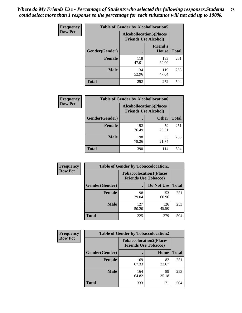| <b>Frequency</b> | <b>Table of Gender by Alcohollocation5</b> |                                                                |                                 |              |
|------------------|--------------------------------------------|----------------------------------------------------------------|---------------------------------|--------------|
| <b>Row Pct</b>   |                                            | <b>Alcohollocation5</b> (Places<br><b>Friends Use Alcohol)</b> |                                 |              |
|                  | Gender(Gender)                             |                                                                | <b>Friend's</b><br><b>House</b> | <b>Total</b> |
|                  | <b>Female</b>                              | 118<br>47.01                                                   | 133<br>52.99                    | 251          |
|                  | <b>Male</b>                                | 134<br>52.96                                                   | 119<br>47.04                    | 253          |
|                  | <b>Total</b>                               | 252                                                            | 252                             | 504          |

| Frequency      | <b>Table of Gender by Alcohollocation6</b> |                                                               |              |              |
|----------------|--------------------------------------------|---------------------------------------------------------------|--------------|--------------|
| <b>Row Pct</b> |                                            | <b>Alcohollocation6(Places</b><br><b>Friends Use Alcohol)</b> |              |              |
|                | Gender(Gender)                             |                                                               | <b>Other</b> | <b>Total</b> |
|                | <b>Female</b>                              | 192<br>76.49                                                  | 59<br>23.51  | 251          |
|                | <b>Male</b>                                | 198<br>78.26                                                  | 55<br>21.74  | 253          |
|                | <b>Total</b>                               | 390                                                           | 114          | 504          |

| Frequency      | <b>Table of Gender by Tobaccolocation1</b>                    |              |              |              |  |
|----------------|---------------------------------------------------------------|--------------|--------------|--------------|--|
| <b>Row Pct</b> | <b>Tobaccolocation1(Places</b><br><b>Friends Use Tobacco)</b> |              |              |              |  |
|                | Gender(Gender)                                                |              | Do Not Use   | <b>Total</b> |  |
|                | Female                                                        | 98<br>39.04  | 153<br>60.96 | 251          |  |
|                | <b>Male</b>                                                   | 127<br>50.20 | 126<br>49.80 | 253          |  |
|                | <b>Total</b>                                                  | 225          | 279          | 504          |  |

| <b>Frequency</b> | <b>Table of Gender by Tobaccolocation2</b> |                             |                                |              |
|------------------|--------------------------------------------|-----------------------------|--------------------------------|--------------|
| <b>Row Pct</b>   |                                            | <b>Friends Use Tobacco)</b> | <b>Tobaccolocation2(Places</b> |              |
|                  | Gender(Gender)                             |                             | Home                           | <b>Total</b> |
|                  | Female                                     | 169<br>67.33                | 82<br>32.67                    | 251          |
|                  | <b>Male</b>                                | 164<br>64.82                | 89<br>35.18                    | 253          |
|                  | <b>Total</b>                               | 333                         | 171                            | 504          |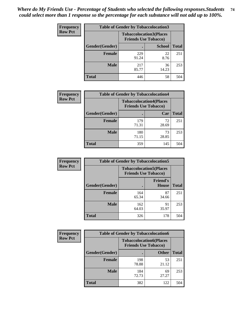| <b>Frequency</b> | <b>Table of Gender by Tobaccolocation3</b> |              |                                                               |              |
|------------------|--------------------------------------------|--------------|---------------------------------------------------------------|--------------|
| <b>Row Pct</b>   |                                            |              | <b>Tobaccolocation3(Places</b><br><b>Friends Use Tobacco)</b> |              |
|                  | Gender(Gender)                             |              | <b>School</b>                                                 | <b>Total</b> |
|                  | <b>Female</b>                              | 229<br>91.24 | 22<br>8.76                                                    | 251          |
|                  | <b>Male</b>                                | 217<br>85.77 | 36<br>14.23                                                   | 253          |
|                  | <b>Total</b>                               | 446          | 58                                                            | 504          |

| <b>Frequency</b> | <b>Table of Gender by Tobaccolocation4</b> |                                                               |             |              |
|------------------|--------------------------------------------|---------------------------------------------------------------|-------------|--------------|
| <b>Row Pct</b>   |                                            | <b>Tobaccolocation4(Places</b><br><b>Friends Use Tobacco)</b> |             |              |
|                  | Gender(Gender)                             |                                                               | Car         | <b>Total</b> |
|                  | <b>Female</b>                              | 179<br>71.31                                                  | 72<br>28.69 | 251          |
|                  | <b>Male</b>                                | 180<br>71.15                                                  | 73<br>28.85 | 253          |
|                  | <b>Total</b>                               | 359                                                           | 145         | 504          |

| <b>Frequency</b> | <b>Table of Gender by Tobaccolocation5</b>                    |              |                                 |              |
|------------------|---------------------------------------------------------------|--------------|---------------------------------|--------------|
| <b>Row Pct</b>   | <b>Tobaccolocation5(Places</b><br><b>Friends Use Tobacco)</b> |              |                                 |              |
|                  | Gender(Gender)                                                |              | <b>Friend's</b><br><b>House</b> | <b>Total</b> |
|                  | <b>Female</b>                                                 | 164<br>65.34 | 87<br>34.66                     | 251          |
|                  | <b>Male</b>                                                   | 162<br>64.03 | 91<br>35.97                     | 253          |
|                  | <b>Total</b>                                                  | 326          | 178                             | 504          |

| <b>Frequency</b> |                | <b>Table of Gender by Tobaccolocation6</b> |                                |              |
|------------------|----------------|--------------------------------------------|--------------------------------|--------------|
| <b>Row Pct</b>   |                | <b>Friends Use Tobacco)</b>                | <b>Tobaccolocation6(Places</b> |              |
|                  | Gender(Gender) |                                            | <b>Other</b>                   | <b>Total</b> |
|                  | Female         | 198<br>78.88                               | 53<br>21.12                    | 251          |
|                  | <b>Male</b>    | 184<br>72.73                               | 69<br>27.27                    | 253          |
|                  | <b>Total</b>   | 382                                        | 122                            | 504          |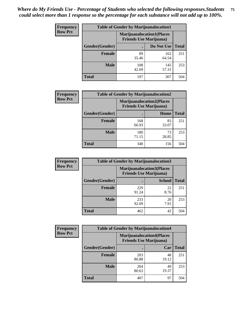| <b>Frequency</b> | <b>Table of Gender by Marijuanalocation1</b> |                                                                    |              |              |  |
|------------------|----------------------------------------------|--------------------------------------------------------------------|--------------|--------------|--|
| <b>Row Pct</b>   |                                              | <b>Marijuanalocation1(Places</b><br><b>Friends Use Marijuana</b> ) |              |              |  |
|                  | <b>Gender</b> (Gender)                       |                                                                    | Do Not Use   | <b>Total</b> |  |
|                  | <b>Female</b>                                | 89<br>35.46                                                        | 162<br>64.54 | 251          |  |
|                  | <b>Male</b>                                  | 108<br>42.69                                                       | 145<br>57.31 | 253          |  |
|                  | <b>Total</b>                                 | 197                                                                | 307          | 504          |  |

| <b>Frequency</b> | <b>Table of Gender by Marijuanalocation2</b> |                                                                    |             |              |  |
|------------------|----------------------------------------------|--------------------------------------------------------------------|-------------|--------------|--|
| <b>Row Pct</b>   |                                              | <b>Marijuanalocation2(Places</b><br><b>Friends Use Marijuana</b> ) |             |              |  |
|                  | Gender(Gender)                               |                                                                    | Home        | <b>Total</b> |  |
|                  | Female                                       | 168<br>66.93                                                       | 83<br>33.07 | 251          |  |
|                  | <b>Male</b>                                  | 180<br>71.15                                                       | 73<br>28.85 | 253          |  |
|                  | <b>Total</b>                                 | 348                                                                | 156         | 504          |  |

| Frequency      |                | <b>Table of Gender by Marijuanalocation3</b> |                                                                    |              |
|----------------|----------------|----------------------------------------------|--------------------------------------------------------------------|--------------|
| <b>Row Pct</b> |                |                                              | <b>Marijuanalocation3(Places</b><br><b>Friends Use Marijuana</b> ) |              |
|                | Gender(Gender) |                                              | <b>School</b>                                                      | <b>Total</b> |
|                | Female         | 229<br>91.24                                 | 22<br>8.76                                                         | 251          |
|                | <b>Male</b>    | 233<br>92.09                                 | 20<br>7.91                                                         | 253          |
|                | <b>Total</b>   | 462                                          | 42                                                                 | 504          |

| Frequency      | <b>Table of Gender by Marijuanalocation4</b> |                                |                                  |              |
|----------------|----------------------------------------------|--------------------------------|----------------------------------|--------------|
| <b>Row Pct</b> |                                              | <b>Friends Use Marijuana</b> ) | <b>Marijuanalocation4(Places</b> |              |
|                | <b>Gender</b> (Gender)                       |                                | Car                              | <b>Total</b> |
|                | Female                                       | 203<br>80.88                   | 48<br>19.12                      | 251          |
|                | <b>Male</b>                                  | 204<br>80.63                   | 49<br>19.37                      | 253          |
|                | <b>Total</b>                                 | 407                            | 97                               | 504          |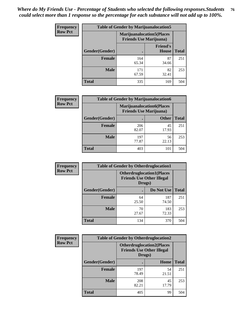| <b>Frequency</b> | <b>Table of Gender by Marijuanalocation5</b> |                                                                     |                          |              |
|------------------|----------------------------------------------|---------------------------------------------------------------------|--------------------------|--------------|
| <b>Row Pct</b>   |                                              | <b>Marijuanalocation5</b> (Places<br><b>Friends Use Marijuana</b> ) |                          |              |
|                  | Gender(Gender)                               |                                                                     | <b>Friend's</b><br>House | <b>Total</b> |
|                  | <b>Female</b>                                | 164<br>65.34                                                        | 87<br>34.66              | 251          |
|                  | <b>Male</b>                                  | 171<br>67.59                                                        | 82<br>32.41              | 253          |
|                  | <b>Total</b>                                 | 335                                                                 | 169                      | 504          |

| <b>Frequency</b> | <b>Table of Gender by Marijuanalocation6</b> |                                                                    |              |              |
|------------------|----------------------------------------------|--------------------------------------------------------------------|--------------|--------------|
| <b>Row Pct</b>   |                                              | <b>Marijuanalocation6(Places</b><br><b>Friends Use Marijuana</b> ) |              |              |
|                  | Gender(Gender)                               |                                                                    | <b>Other</b> | <b>Total</b> |
|                  | <b>Female</b>                                | 206<br>82.07                                                       | 45<br>17.93  | 251          |
|                  | <b>Male</b>                                  | 197<br>77.87                                                       | 56<br>22.13  | 253          |
|                  | <b>Total</b>                                 | 403                                                                | 101          | 504          |

| <b>Frequency</b> | <b>Table of Gender by Otherdruglocation1</b> |                                                                                |              |              |
|------------------|----------------------------------------------|--------------------------------------------------------------------------------|--------------|--------------|
| <b>Row Pct</b>   |                                              | <b>Otherdruglocation1(Places</b><br><b>Friends Use Other Illegal</b><br>Drugs) |              |              |
|                  | Gender(Gender)                               |                                                                                | Do Not Use   | <b>Total</b> |
|                  | Female                                       | 64<br>25.50                                                                    | 187<br>74.50 | 251          |
|                  | <b>Male</b>                                  | 70<br>27.67                                                                    | 183<br>72.33 | 253          |
|                  | <b>Total</b>                                 | 134                                                                            | 370          | 504          |

| Frequency      | <b>Table of Gender by Otherdruglocation2</b> |                                                                                |             |              |
|----------------|----------------------------------------------|--------------------------------------------------------------------------------|-------------|--------------|
| <b>Row Pct</b> |                                              | <b>Otherdruglocation2(Places</b><br><b>Friends Use Other Illegal</b><br>Drugs) |             |              |
|                | Gender(Gender)                               |                                                                                | Home        | <b>Total</b> |
|                | Female                                       | 197<br>78.49                                                                   | 54<br>21.51 | 251          |
|                | <b>Male</b>                                  | 208<br>82.21                                                                   | 45<br>17.79 | 253          |
|                | <b>Total</b>                                 | 405                                                                            | 99          | 504          |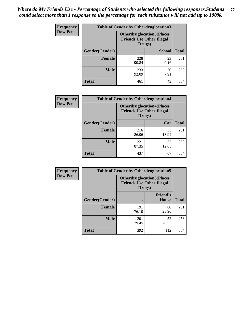| <b>Frequency</b> | <b>Table of Gender by Otherdruglocation3</b> |                                                                                |               |              |
|------------------|----------------------------------------------|--------------------------------------------------------------------------------|---------------|--------------|
| <b>Row Pct</b>   |                                              | <b>Otherdruglocation3(Places</b><br><b>Friends Use Other Illegal</b><br>Drugs) |               |              |
|                  | Gender(Gender)                               |                                                                                | <b>School</b> | <b>Total</b> |
|                  | <b>Female</b>                                | 228<br>90.84                                                                   | 23<br>9.16    | 251          |
|                  | <b>Male</b>                                  | 233<br>92.09                                                                   | 20<br>7.91    | 253          |
|                  | <b>Total</b>                                 | 461                                                                            | 43            | 504          |

| Frequency      | <b>Table of Gender by Otherdruglocation4</b> |                                            |                                  |              |
|----------------|----------------------------------------------|--------------------------------------------|----------------------------------|--------------|
| <b>Row Pct</b> |                                              | <b>Friends Use Other Illegal</b><br>Drugs) | <b>Otherdruglocation4(Places</b> |              |
|                | Gender(Gender)                               |                                            | Car                              | <b>Total</b> |
|                | <b>Female</b>                                | 216<br>86.06                               | 35<br>13.94                      | 251          |
|                | <b>Male</b>                                  | 221<br>87.35                               | 32<br>12.65                      | 253          |
|                | <b>Total</b>                                 | 437                                        | 67                               | 504          |

| Frequency      | <b>Table of Gender by Otherdruglocation5</b>                                   |              |                                 |              |
|----------------|--------------------------------------------------------------------------------|--------------|---------------------------------|--------------|
| <b>Row Pct</b> | <b>Otherdruglocation5(Places</b><br><b>Friends Use Other Illegal</b><br>Drugs) |              |                                 |              |
|                | Gender(Gender)                                                                 |              | <b>Friend's</b><br><b>House</b> | <b>Total</b> |
|                | <b>Female</b>                                                                  | 191<br>76.10 | 60<br>23.90                     | 251          |
|                | <b>Male</b>                                                                    | 201<br>79.45 | 52<br>20.55                     | 253          |
|                | <b>Total</b>                                                                   | 392          | 112                             | 504          |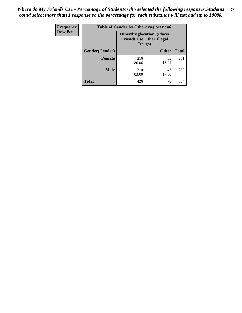| Frequency      | <b>Table of Gender by Otherdruglocation6</b> |                                            |                                  |              |
|----------------|----------------------------------------------|--------------------------------------------|----------------------------------|--------------|
| <b>Row Pct</b> |                                              | <b>Friends Use Other Illegal</b><br>Drugs) | <b>Otherdruglocation6(Places</b> |              |
|                | Gender(Gender)                               |                                            | <b>Other</b>                     | <b>Total</b> |
|                | <b>Female</b>                                | 216<br>86.06                               | 35<br>13.94                      | 251          |
|                | <b>Male</b>                                  | 210<br>83.00                               | 43<br>17.00                      | 253          |
|                | <b>Total</b>                                 | 426                                        | 78                               | 504          |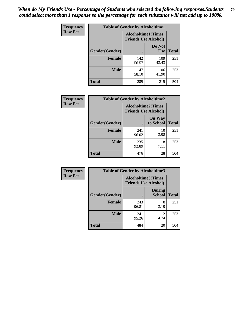| <b>Frequency</b> | <b>Table of Gender by Alcoholtime1</b> |                                                   |                      |              |
|------------------|----------------------------------------|---------------------------------------------------|----------------------|--------------|
| <b>Row Pct</b>   |                                        | Alcoholtime1(Times<br><b>Friends Use Alcohol)</b> |                      |              |
|                  | Gender(Gender)                         | $\bullet$                                         | Do Not<br><b>Use</b> | <b>Total</b> |
|                  | <b>Female</b>                          | 142<br>56.57                                      | 109<br>43.43         | 251          |
|                  | <b>Male</b>                            | 147<br>58.10                                      | 106<br>41.90         | 253          |
|                  | <b>Total</b>                           | 289                                               | 215                  | 504          |

| Frequency      | <b>Table of Gender by Alcoholtime2</b> |                                                          |                            |              |
|----------------|----------------------------------------|----------------------------------------------------------|----------------------------|--------------|
| <b>Row Pct</b> |                                        | <b>Alcoholtime2(Times</b><br><b>Friends Use Alcohol)</b> |                            |              |
|                | Gender(Gender)                         |                                                          | <b>On Way</b><br>to School | <b>Total</b> |
|                | <b>Female</b>                          | 241<br>96.02                                             | 10<br>3.98                 | 251          |
|                | <b>Male</b>                            | 235<br>92.89                                             | 18<br>7.11                 | 253          |
|                | <b>Total</b>                           | 476                                                      | 28                         | 504          |

| Frequency      | <b>Table of Gender by Alcoholtime3</b> |                                                          |                                |              |
|----------------|----------------------------------------|----------------------------------------------------------|--------------------------------|--------------|
| <b>Row Pct</b> |                                        | <b>Alcoholtime3(Times</b><br><b>Friends Use Alcohol)</b> |                                |              |
|                | Gender(Gender)                         |                                                          | <b>During</b><br><b>School</b> | <b>Total</b> |
|                | <b>Female</b>                          | 243<br>96.81                                             | 8<br>3.19                      | 251          |
|                | <b>Male</b>                            | 241<br>95.26                                             | 12<br>4.74                     | 253          |
|                | <b>Total</b>                           | 484                                                      | 20                             | 504          |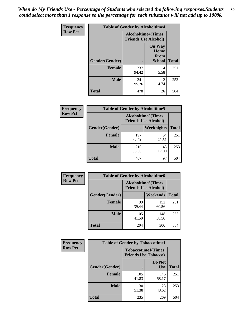*When do My Friends Use - Percentage of Students who selected the following responses.Students could select more than 1 response so the percentage for each substance will not add up to 100%.* **80**

| <b>Frequency</b> | <b>Table of Gender by Alcoholtime4</b> |                           |                                                |              |
|------------------|----------------------------------------|---------------------------|------------------------------------------------|--------------|
| <b>Row Pct</b>   |                                        | <b>Alcoholtime4(Times</b> | <b>Friends Use Alcohol)</b>                    |              |
|                  | Gender(Gender)                         |                           | <b>On Way</b><br>Home<br>From<br><b>School</b> | <b>Total</b> |
|                  | <b>Female</b>                          | 237<br>94.42              | 14<br>5.58                                     | 251          |
|                  | <b>Male</b>                            | 241<br>95.26              | 12<br>4.74                                     | 253          |
|                  | <b>Total</b>                           | 478                       | 26                                             | 504          |

| <b>Frequency</b> | <b>Table of Gender by Alcoholtime5</b> |                                                           |             |              |
|------------------|----------------------------------------|-----------------------------------------------------------|-------------|--------------|
| <b>Row Pct</b>   |                                        | <b>Alcoholtime5</b> (Times<br><b>Friends Use Alcohol)</b> |             |              |
|                  | Gender(Gender)                         |                                                           | Weeknights  | <b>Total</b> |
|                  | <b>Female</b>                          | 197<br>78.49                                              | 54<br>21.51 | 251          |
|                  | <b>Male</b>                            | 210<br>83.00                                              | 43<br>17.00 | 253          |
|                  | <b>Total</b>                           | 407                                                       | 97          | 504          |

| <b>Frequency</b> | <b>Table of Gender by Alcoholtime6</b> |                                                           |                 |              |
|------------------|----------------------------------------|-----------------------------------------------------------|-----------------|--------------|
| <b>Row Pct</b>   |                                        | <b>Alcoholtime6</b> (Times<br><b>Friends Use Alcohol)</b> |                 |              |
|                  | Gender(Gender)                         |                                                           | <b>Weekends</b> | <b>Total</b> |
|                  | <b>Female</b>                          | 99<br>39.44                                               | 152<br>60.56    | 251          |
|                  | <b>Male</b>                            | 105<br>41.50                                              | 148<br>58.50    | 253          |
|                  | Total                                  | 204                                                       | 300             | 504          |

| Frequency      | <b>Table of Gender by Tobaccotime1</b> |                                                          |               |              |
|----------------|----------------------------------------|----------------------------------------------------------|---------------|--------------|
| <b>Row Pct</b> |                                        | <b>Tobaccotime1(Times</b><br><b>Friends Use Tobacco)</b> |               |              |
|                | Gender(Gender)                         |                                                          | Do Not<br>Use | <b>Total</b> |
|                | Female                                 | 105<br>41.83                                             | 146<br>58.17  | 251          |
|                | <b>Male</b>                            | 130<br>51.38                                             | 123<br>48.62  | 253          |
|                | <b>Total</b>                           | 235                                                      | 269           | 504          |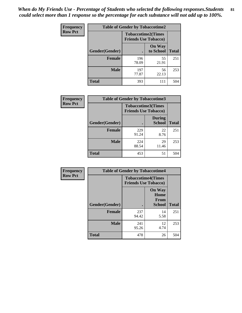*When do My Friends Use - Percentage of Students who selected the following responses.Students could select more than 1 response so the percentage for each substance will not add up to 100%.* **81**

| Frequency      | <b>Table of Gender by Tobaccotime2</b> |                                                          |                            |              |
|----------------|----------------------------------------|----------------------------------------------------------|----------------------------|--------------|
| <b>Row Pct</b> |                                        | <b>Tobaccotime2(Times</b><br><b>Friends Use Tobacco)</b> |                            |              |
|                | Gender(Gender)                         |                                                          | <b>On Way</b><br>to School | <b>Total</b> |
|                | <b>Female</b>                          | 196<br>78.09                                             | 55<br>21.91                | 251          |
|                | <b>Male</b>                            | 197<br>77.87                                             | 56<br>22.13                | 253          |
|                | <b>Total</b>                           | 393                                                      | 111                        | 504          |

| Frequency      | <b>Table of Gender by Tobaccotime3</b> |                                                          |                                |              |
|----------------|----------------------------------------|----------------------------------------------------------|--------------------------------|--------------|
| <b>Row Pct</b> |                                        | <b>Tobaccotime3(Times</b><br><b>Friends Use Tobacco)</b> |                                |              |
|                | Gender(Gender)                         |                                                          | <b>During</b><br><b>School</b> | <b>Total</b> |
|                | <b>Female</b>                          | 229<br>91.24                                             | 22<br>8.76                     | 251          |
|                | <b>Male</b>                            | 224<br>88.54                                             | 29<br>11.46                    | 253          |
|                | <b>Total</b>                           | 453                                                      | 51                             | 504          |

| Frequency      | <b>Table of Gender by Tobaccotime4</b> |                                                          |                                                       |              |
|----------------|----------------------------------------|----------------------------------------------------------|-------------------------------------------------------|--------------|
| <b>Row Pct</b> |                                        | <b>Tobaccotime4(Times</b><br><b>Friends Use Tobacco)</b> |                                                       |              |
|                | Gender(Gender)                         |                                                          | <b>On Way</b><br>Home<br><b>From</b><br><b>School</b> | <b>Total</b> |
|                | <b>Female</b>                          | 237<br>94.42                                             | 14<br>5.58                                            | 251          |
|                | <b>Male</b>                            | 241<br>95.26                                             | 12<br>4.74                                            | 253          |
|                | <b>Total</b>                           | 478                                                      | 26                                                    | 504          |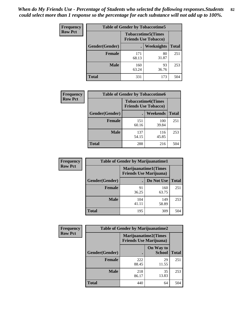| Frequency      | <b>Table of Gender by Tobaccotime5</b> |              |                                                          |              |
|----------------|----------------------------------------|--------------|----------------------------------------------------------|--------------|
| <b>Row Pct</b> |                                        |              | <b>Tobaccotime5(Times</b><br><b>Friends Use Tobacco)</b> |              |
|                | <b>Gender</b> (Gender)                 |              | Weeknights                                               | <b>Total</b> |
|                | <b>Female</b>                          | 171<br>68.13 | 80<br>31.87                                              | 251          |
|                | <b>Male</b>                            | 160<br>63.24 | 93<br>36.76                                              | 253          |
|                | <b>Total</b>                           | 331          | 173                                                      | 504          |

| Frequency      | <b>Table of Gender by Tobaccotime6</b> |                                                          |                 |              |
|----------------|----------------------------------------|----------------------------------------------------------|-----------------|--------------|
| <b>Row Pct</b> |                                        | <b>Tobaccotime6(Times</b><br><b>Friends Use Tobacco)</b> |                 |              |
|                | Gender(Gender)                         |                                                          | <b>Weekends</b> | <b>Total</b> |
|                | Female                                 | 151<br>60.16                                             | 100<br>39.84    | 251          |
|                | <b>Male</b>                            | 137<br>54.15                                             | 116<br>45.85    | 253          |
|                | <b>Total</b>                           | 288                                                      | 216             | 504          |

| Frequency      | <b>Table of Gender by Marijuanatime1</b>               |              |              |              |
|----------------|--------------------------------------------------------|--------------|--------------|--------------|
| <b>Row Pct</b> | Marijuanatime1(Times<br><b>Friends Use Marijuana</b> ) |              |              |              |
|                | Gender(Gender)                                         |              | Do Not Use   | <b>Total</b> |
|                | <b>Female</b>                                          | 91<br>36.25  | 160<br>63.75 | 251          |
|                | <b>Male</b>                                            | 104<br>41.11 | 149<br>58.89 | 253          |
|                | <b>Total</b>                                           | 195          | 309          | 504          |

| <b>Frequency</b> | <b>Table of Gender by Marijuanatime2</b>                      |              |                            |              |
|------------------|---------------------------------------------------------------|--------------|----------------------------|--------------|
| <b>Row Pct</b>   | <b>Marijuanatime2(Times</b><br><b>Friends Use Marijuana</b> ) |              |                            |              |
|                  | Gender(Gender)                                                |              | On Way to<br><b>School</b> | <b>Total</b> |
|                  | <b>Female</b>                                                 | 222<br>88.45 | 29<br>11.55                | 251          |
|                  | <b>Male</b>                                                   | 218<br>86.17 | 35<br>13.83                | 253          |
|                  | <b>Total</b>                                                  | 440          | 64                         | 504          |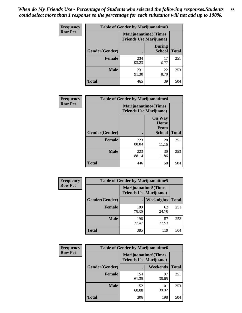*When do My Friends Use - Percentage of Students who selected the following responses.Students could select more than 1 response so the percentage for each substance will not add up to 100%.* **83**

| <b>Frequency</b> | <b>Table of Gender by Marijuanatime3</b> |              |                                                        |              |
|------------------|------------------------------------------|--------------|--------------------------------------------------------|--------------|
| <b>Row Pct</b>   |                                          |              | Marijuanatime3(Times<br><b>Friends Use Marijuana</b> ) |              |
|                  | Gender(Gender)                           |              | <b>During</b><br><b>School</b>                         | <b>Total</b> |
|                  | Female                                   | 234<br>93.23 | 17<br>6.77                                             | 251          |
|                  | <b>Male</b>                              | 231<br>91.30 | 22<br>8.70                                             | 253          |
|                  | <b>Total</b>                             | 465          | 39                                                     | 504          |

| Frequency      | <b>Table of Gender by Marijuanatime4</b> |                                |                                                       |              |
|----------------|------------------------------------------|--------------------------------|-------------------------------------------------------|--------------|
| <b>Row Pct</b> |                                          | <b>Friends Use Marijuana</b> ) | <b>Marijuanatime4</b> (Times                          |              |
|                | Gender(Gender)                           |                                | <b>On Way</b><br>Home<br><b>From</b><br><b>School</b> | <b>Total</b> |
|                | <b>Female</b>                            | 223<br>88.84                   | 28<br>11.16                                           | 251          |
|                | <b>Male</b>                              | 223<br>88.14                   | 30<br>11.86                                           | 253          |
|                | <b>Total</b>                             | 446                            | 58                                                    | 504          |

| Frequency      | <b>Table of Gender by Marijuanatime5</b> |                                                                |             |              |
|----------------|------------------------------------------|----------------------------------------------------------------|-------------|--------------|
| <b>Row Pct</b> |                                          | <b>Marijuanatime5</b> (Times<br><b>Friends Use Marijuana</b> ) |             |              |
|                | Gender(Gender)                           | ٠                                                              | Weeknights  | <b>Total</b> |
|                | <b>Female</b>                            | 189<br>75.30                                                   | 62<br>24.70 | 251          |
|                | <b>Male</b>                              | 196<br>77.47                                                   | 57<br>22.53 | 253          |
|                | <b>Total</b>                             | 385                                                            | 119         | 504          |

| Frequency      | <b>Table of Gender by Marijuanatime6</b> |                                                               |                 |              |  |
|----------------|------------------------------------------|---------------------------------------------------------------|-----------------|--------------|--|
| <b>Row Pct</b> |                                          | <b>Marijuanatime6(Times</b><br><b>Friends Use Marijuana</b> ) |                 |              |  |
|                | Gender(Gender)                           |                                                               | <b>Weekends</b> | <b>Total</b> |  |
|                | <b>Female</b>                            | 154<br>61.35                                                  | 97<br>38.65     | 251          |  |
|                | <b>Male</b>                              | 152<br>60.08                                                  | 101<br>39.92    | 253          |  |
|                | <b>Total</b>                             | 306                                                           | 198             | 504          |  |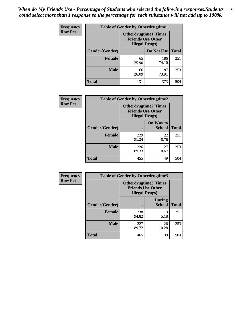*When do My Friends Use - Percentage of Students who selected the following responses.Students could select more than 1 response so the percentage for each substance will not add up to 100%.* **84**

| <b>Frequency</b> | <b>Table of Gender by Otherdrugtime1</b> |                        |                                                          |              |  |
|------------------|------------------------------------------|------------------------|----------------------------------------------------------|--------------|--|
| <b>Row Pct</b>   |                                          | <b>Illegal Drugs</b> ) | <b>Otherdrugtime1</b> (Times<br><b>Friends Use Other</b> |              |  |
|                  | Gender(Gender)                           |                        | Do Not Use                                               | <b>Total</b> |  |
|                  | <b>Female</b>                            | 65<br>25.90            | 186<br>74.10                                             | 251          |  |
|                  | <b>Male</b>                              | 66<br>26.09            | 187<br>73.91                                             | 253          |  |
|                  | <b>Total</b>                             | 131                    | 373                                                      | 504          |  |

| <b>Frequency</b> | <b>Table of Gender by Otherdrugtime2</b> |                                                                                   |                            |              |  |
|------------------|------------------------------------------|-----------------------------------------------------------------------------------|----------------------------|--------------|--|
| <b>Row Pct</b>   |                                          | <b>Otherdrugtime2(Times</b><br><b>Friends Use Other</b><br><b>Illegal Drugs</b> ) |                            |              |  |
|                  | <b>Gender</b> (Gender)                   |                                                                                   | On Way to<br><b>School</b> | <b>Total</b> |  |
|                  | <b>Female</b>                            | 229<br>91.24                                                                      | 22<br>8.76                 | 251          |  |
|                  | <b>Male</b>                              | 226<br>89.33                                                                      | 27<br>10.67                | 253          |  |
|                  | <b>Total</b>                             | 455                                                                               | 49                         | 504          |  |

| Frequency      | <b>Table of Gender by Otherdrugtime3</b> |                                                                                   |                                |              |  |
|----------------|------------------------------------------|-----------------------------------------------------------------------------------|--------------------------------|--------------|--|
| <b>Row Pct</b> |                                          | <b>Otherdrugtime3(Times</b><br><b>Friends Use Other</b><br><b>Illegal Drugs</b> ) |                                |              |  |
|                | Gender(Gender)                           |                                                                                   | <b>During</b><br><b>School</b> | <b>Total</b> |  |
|                | <b>Female</b>                            | 238<br>94.82                                                                      | 13<br>5.18                     | 251          |  |
|                | <b>Male</b>                              | 227<br>89.72                                                                      | 26<br>10.28                    | 253          |  |
|                | <b>Total</b>                             | 465                                                                               | 39                             | 504          |  |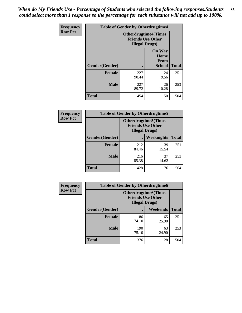*When do My Friends Use - Percentage of Students who selected the following responses.Students could select more than 1 response so the percentage for each substance will not add up to 100%.* **85**

| <b>Frequency</b> |                | <b>Table of Gender by Otherdrugtime4</b> |                                                         |              |
|------------------|----------------|------------------------------------------|---------------------------------------------------------|--------------|
| <b>Row Pct</b>   |                | <b>Illegal Drugs</b> )                   | <b>Otherdrugtime4(Times</b><br><b>Friends Use Other</b> |              |
|                  | Gender(Gender) |                                          | <b>On Way</b><br>Home<br><b>From</b><br><b>School</b>   | <b>Total</b> |
|                  | <b>Female</b>  | 227<br>90.44                             | 24<br>9.56                                              | 251          |
|                  | <b>Male</b>    | 227<br>89.72                             | 26<br>10.28                                             | 253          |
|                  | <b>Total</b>   | 454                                      | 50                                                      | 504          |

| <b>Frequency</b> | <b>Table of Gender by Otherdrugtime5</b> |                                                                                    |             |              |
|------------------|------------------------------------------|------------------------------------------------------------------------------------|-------------|--------------|
| <b>Row Pct</b>   |                                          | <b>Otherdrugtime5</b> (Times<br><b>Friends Use Other</b><br><b>Illegal Drugs</b> ) |             |              |
|                  | Gender(Gender)                           |                                                                                    | Weeknights  | <b>Total</b> |
|                  | Female                                   | 212<br>84.46                                                                       | 39<br>15.54 | 251          |
|                  | <b>Male</b>                              | 216<br>85.38                                                                       | 37<br>14.62 | 253          |
|                  | <b>Total</b>                             | 428                                                                                | 76          | 504          |

| <b>Frequency</b> | <b>Table of Gender by Otherdrugtime6</b> |                                                                                   |             |              |
|------------------|------------------------------------------|-----------------------------------------------------------------------------------|-------------|--------------|
| <b>Row Pct</b>   |                                          | <b>Otherdrugtime6(Times</b><br><b>Friends Use Other</b><br><b>Illegal Drugs</b> ) |             |              |
|                  | Gender(Gender)                           |                                                                                   | Weekends    | <b>Total</b> |
|                  | Female                                   | 186<br>74.10                                                                      | 65<br>25.90 | 251          |
|                  | <b>Male</b>                              | 190<br>75.10                                                                      | 63<br>24.90 | 253          |
|                  | <b>Total</b>                             | 376                                                                               | 128         | 504          |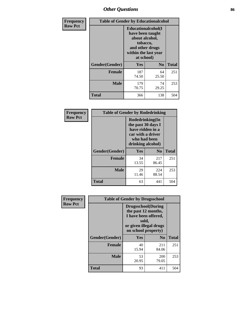# *Other Questions* **86**

| <b>Frequency</b> | <b>Table of Gender by Educationalcohol</b> |                                                                                                                               |                |              |
|------------------|--------------------------------------------|-------------------------------------------------------------------------------------------------------------------------------|----------------|--------------|
| <b>Row Pct</b>   |                                            | Educationalcohol(I<br>have been taught<br>about alcohol,<br>tobacco,<br>and other drugs<br>within the last year<br>at school) |                |              |
|                  | Gender(Gender)                             | <b>Yes</b>                                                                                                                    | N <sub>0</sub> | <b>Total</b> |
|                  | <b>Female</b>                              | 187<br>74.50                                                                                                                  | 64<br>25.50    | 251          |
|                  | <b>Male</b>                                | 179<br>70.75                                                                                                                  | 74<br>29.25    | 253          |
|                  | <b>Total</b>                               | 366                                                                                                                           | 138            | 504          |

| Frequency      | <b>Table of Gender by Rodedrinking</b> |                                                                                                                     |                |              |  |
|----------------|----------------------------------------|---------------------------------------------------------------------------------------------------------------------|----------------|--------------|--|
| <b>Row Pct</b> |                                        | Rodedrinking(In<br>the past 30 days I<br>have ridden in a<br>car with a driver<br>who had been<br>drinking alcohol) |                |              |  |
|                | Gender(Gender)                         | Yes                                                                                                                 | N <sub>0</sub> | <b>Total</b> |  |
|                | <b>Female</b>                          | 34<br>13.55                                                                                                         | 217<br>86.45   | 251          |  |
|                | <b>Male</b>                            | 29<br>11.46                                                                                                         | 224<br>88.54   | 253          |  |
|                | <b>Total</b>                           | 63                                                                                                                  | 441            | 504          |  |

| Frequency      |                | <b>Table of Gender by Drugsschool</b>                                                                                               |                |              |  |  |
|----------------|----------------|-------------------------------------------------------------------------------------------------------------------------------------|----------------|--------------|--|--|
| <b>Row Pct</b> |                | <b>Drugsschool</b> (During<br>the past 12 months,<br>I have been offered,<br>sold,<br>or given illegal drugs<br>on school property) |                |              |  |  |
|                | Gender(Gender) | Yes                                                                                                                                 | N <sub>0</sub> | <b>Total</b> |  |  |
|                | <b>Female</b>  | 40<br>15.94                                                                                                                         | 211<br>84.06   | 251          |  |  |
|                | <b>Male</b>    | 53<br>20.95                                                                                                                         | 200<br>79.05   | 253          |  |  |
|                | <b>Total</b>   | 93                                                                                                                                  | 411            | 504          |  |  |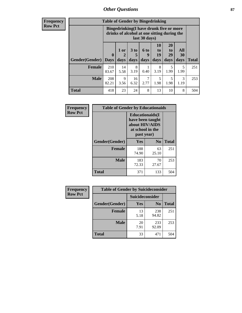### *Other Questions* **87**

**Frequency Row Pct**

| <b>Table of Gender by Bingedrinking</b> |                         |                                                                                                         |                   |                   |                               |                               |                   |              |
|-----------------------------------------|-------------------------|---------------------------------------------------------------------------------------------------------|-------------------|-------------------|-------------------------------|-------------------------------|-------------------|--------------|
|                                         |                         | Bingedrinking(I have drunk five or more<br>drinks of alcohol at one sitting during the<br>last 30 days) |                   |                   |                               |                               |                   |              |
| <b>Gender</b> (Gender)                  | $\bf{0}$<br><b>Days</b> | 1 or<br>days                                                                                            | 3 to<br>5<br>days | 6 to<br>9<br>days | <b>10</b><br>to<br>19<br>days | <b>20</b><br>to<br>29<br>days | All<br>30<br>days | <b>Total</b> |
|                                         |                         |                                                                                                         |                   |                   |                               |                               |                   |              |
| <b>Female</b>                           | 210<br>83.67            | 14<br>5.58                                                                                              | 8<br>3.19         | 0.40              | 8<br>3.19                     | 5<br>1.99                     | 5<br>1.99         | 251          |
| <b>Male</b>                             | 208<br>82.21            | 9<br>3.56                                                                                               | 16<br>6.32        | 2.77              | 5<br>1.98                     | 5<br>1.98                     | 3<br>1.19         | 253          |

| Frequency      | <b>Table of Gender by Educationaids</b> |                                                                                                 |             |              |
|----------------|-----------------------------------------|-------------------------------------------------------------------------------------------------|-------------|--------------|
| <b>Row Pct</b> |                                         | <b>Educationaids</b> (I<br>have been taught<br>about HIV/AIDS<br>at school in the<br>past year) |             |              |
|                | Gender(Gender)                          | Yes                                                                                             | $\bf N_0$   | <b>Total</b> |
|                | <b>Female</b>                           | 188<br>74.90                                                                                    | 63<br>25.10 | 251          |
|                | <b>Male</b>                             | 183<br>72.33                                                                                    | 70<br>27.67 | 253          |
|                | <b>Total</b>                            | 371                                                                                             | 133         | 504          |

| Frequency      | <b>Table of Gender by Suicideconsider</b> |                 |                |              |
|----------------|-------------------------------------------|-----------------|----------------|--------------|
| <b>Row Pct</b> |                                           | Suicideconsider |                |              |
|                | Gender(Gender)                            | Yes             | N <sub>0</sub> | <b>Total</b> |
|                | <b>Female</b>                             | 13<br>5.18      | 238<br>94.82   | 251          |
|                | <b>Male</b>                               | 20<br>7.91      | 233<br>92.09   | 253          |
|                | <b>Total</b>                              | 33              | 471            | 504          |